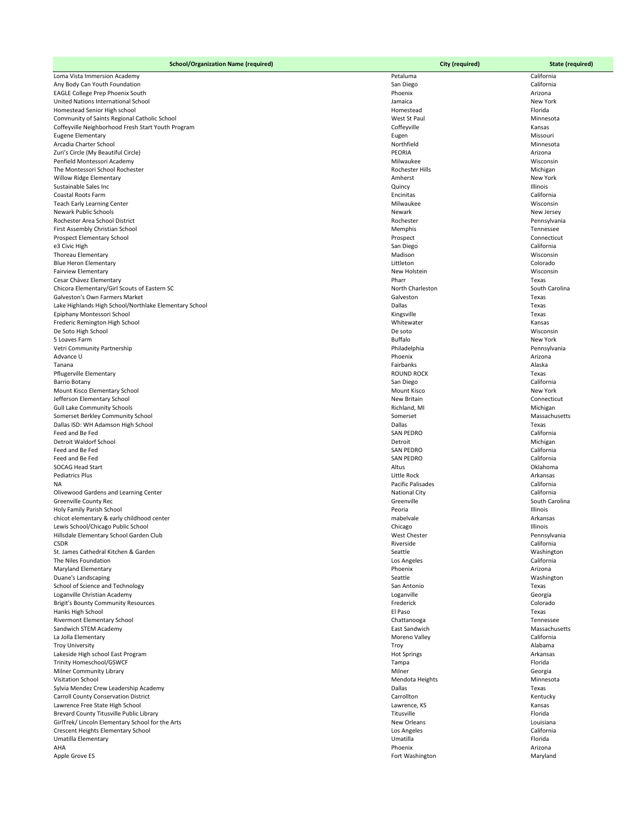| <b>School/Organization Name (required)</b>                                                      | <b>City (required)</b>                  | <b>State (required)</b>   |
|-------------------------------------------------------------------------------------------------|-----------------------------------------|---------------------------|
| Loma Vista Immersion Academy                                                                    | Petaluma                                | California                |
| Any Body Can Youth Foundation                                                                   | San Diego                               | California                |
| EAGLE College Prep Phoenix South                                                                | Phoenix                                 | Arizona                   |
| United Nations International School                                                             | Jamaica                                 | New York                  |
| Homestead Senior High school<br>Community of Saints Regional Catholic School                    | Homestead<br>West St Paul               | Florida<br>Minnesota      |
| Coffeyville Neighborhood Fresh Start Youth Program                                              | Coffeyville                             | Kansas                    |
| <b>Eugene Elementary</b>                                                                        | Eugen                                   | Missouri                  |
| Arcadia Charter School                                                                          | Northfield                              | Minnesota                 |
| Zuri's Circle (My Beautiful Circle)                                                             | PEORIA                                  | Arizona                   |
| Penfield Montessori Academy                                                                     | Milwaukee                               | Wisconsin                 |
| The Montessori School Rochester                                                                 | Rochester Hills<br>Amherst              | Michigan<br>New York      |
| <b>Willow Ridge Elementary</b><br>Sustainable Sales Inc                                         | Quincy                                  | Illinois                  |
| <b>Coastal Roots Farm</b>                                                                       | Encinitas                               | California                |
| <b>Teach Early Learning Center</b>                                                              | Milwaukee                               | Wisconsin                 |
| <b>Newark Public Schools</b>                                                                    | Newark                                  | New Jersey                |
| Rochester Area School District                                                                  | Rochester                               | Pennsylvania              |
| First Assembly Christian School                                                                 | Memphis                                 | Tennessee                 |
| <b>Prospect Elementary School</b><br>e3 Civic High                                              | Prospect<br>San Diego                   | Connecticut<br>California |
| Thoreau Elementary                                                                              | Madison                                 | Wisconsin                 |
| <b>Blue Heron Elementary</b>                                                                    | Littleton                               | Colorado                  |
| <b>Fairview Elementary</b>                                                                      | New Holstein                            | Wisconsin                 |
| Cesar Chávez Elementary                                                                         | Pharr                                   | Texas                     |
| Chicora Elementary/Girl Scouts of Eastern SC                                                    | North Charleston                        | South Carolina            |
| <b>Galveston's Own Farmers Market</b><br>Lake Highlands High School/Northlake Elementary School | Galveston<br>Dallas                     | Texas<br>Texas            |
| Epiphany Montessori School                                                                      | Kingsville                              | Texas                     |
| Frederic Remington High School                                                                  | Whitewater                              | Kansas                    |
| De Soto High School                                                                             | De soto                                 | Wisconsin                 |
| 5 Loaves Farm                                                                                   | <b>Buffalo</b>                          | New York                  |
| Vetri Community Partnership                                                                     | Philadelphia                            | Pennsylvania              |
| Advance U<br>Tanana                                                                             | Phoenix<br>Fairbanks                    | Arizona<br>Alaska         |
| Pflugerville Elementary                                                                         | <b>ROUND ROCK</b>                       | Texas                     |
| <b>Barrio Botany</b>                                                                            | San Diego                               | California                |
| Mount Kisco Elementary School                                                                   | <b>Mount Kisco</b>                      | New York                  |
| Jefferson Elementary School                                                                     | New Britain                             | Connecticut               |
| <b>Gull Lake Community Schools</b>                                                              | Richland, MI                            | Michigan                  |
| Somerset Berkley Community School<br>Dallas ISD: WH Adamson High School                         | Somerset<br>Dallas                      | Massachusetts<br>Texas    |
| Feed and Be Fed                                                                                 | <b>SAN PEDRO</b>                        | California                |
| <b>Detroit Waldorf School</b>                                                                   | Detroit                                 | Michigan                  |
| Feed and Be Fed                                                                                 | <b>SAN PEDRO</b>                        | California                |
| Feed and Be Fed                                                                                 | <b>SAN PEDRO</b>                        | California                |
| <b>SOCAG Head Start</b>                                                                         | Altus                                   | Oklahoma                  |
| <b>Pediatrics Plus</b><br>NA.                                                                   | Little Rock<br><b>Pacific Palisades</b> | Arkansas<br>California    |
| Olivewood Gardens and Learning Center                                                           | <b>National City</b>                    | California                |
| <b>Greenville County Rec</b>                                                                    | Greenville                              | South Carolina            |
| Holy Family Parish School                                                                       | Peoria                                  | Illinois                  |
| chicot elementary & early childhood center                                                      | mabelvale                               | Arkansas                  |
| Lewis School/Chicago Public School<br>Hillsdale Elementary School Garden Club                   | Chicago<br><b>West Chester</b>          | Illinois<br>Pennsylvania  |
| <b>CSDR</b>                                                                                     | Riverside                               | California                |
| St. James Cathedral Kitchen & Garden                                                            | Seattle                                 | Washington                |
| The Niles Foundation                                                                            | Los Angeles                             | California                |
| <b>Maryland Elementary</b>                                                                      | Phoenix                                 | Arizona                   |
| Duane's Landscaping                                                                             | Seattle                                 | Washington                |
| School of Science and Technology<br>Loganville Christian Academy                                | San Antonio<br>Loganville               | Texas<br>Georgia          |
| <b>Brigit's Bounty Community Resources</b>                                                      | Frederick                               | Colorado                  |
| Hanks High School                                                                               | El Paso                                 | Texas                     |
| <b>Rivermont Elementary School</b>                                                              | Chattanooga                             | Tennessee                 |
| Sandwich STEM Academy                                                                           | East Sandwich                           | Massachusetts             |
| La Jolla Elementary                                                                             | Moreno Valley                           | California<br>Alabama     |
| <b>Troy University</b><br>Lakeside High school East Program                                     | Troy<br><b>Hot Springs</b>              | Arkansas                  |
| <b>Trinity Homeschool/GSWCF</b>                                                                 | Tampa                                   | Florida                   |
| <b>Milner Community Library</b>                                                                 | Milner                                  | Georgia                   |
| <b>Visitation School</b>                                                                        | Mendota Heights                         | Minnesota                 |
| Sylvia Mendez Crew Leadership Academy                                                           | Dallas                                  | Texas                     |
| <b>Carroll County Conservation District</b>                                                     | Carrollton                              | Kentucky                  |
| Lawrence Free State High School<br>Brevard County Titusville Public Library                     | Lawrence, KS<br>Titusville              | Kansas<br>Florida         |
| GirlTrek/ Lincoln Elementary School for the Arts                                                | New Orleans                             | Louisiana                 |
| <b>Crescent Heights Elementary School</b>                                                       | Los Angeles                             | California                |
| Umatilla Elementary                                                                             | Umatilla                                | Florida                   |
| AHA                                                                                             | Phoenix                                 | Arizona                   |
| Apple Grove ES                                                                                  | Fort Washington                         | Maryland                  |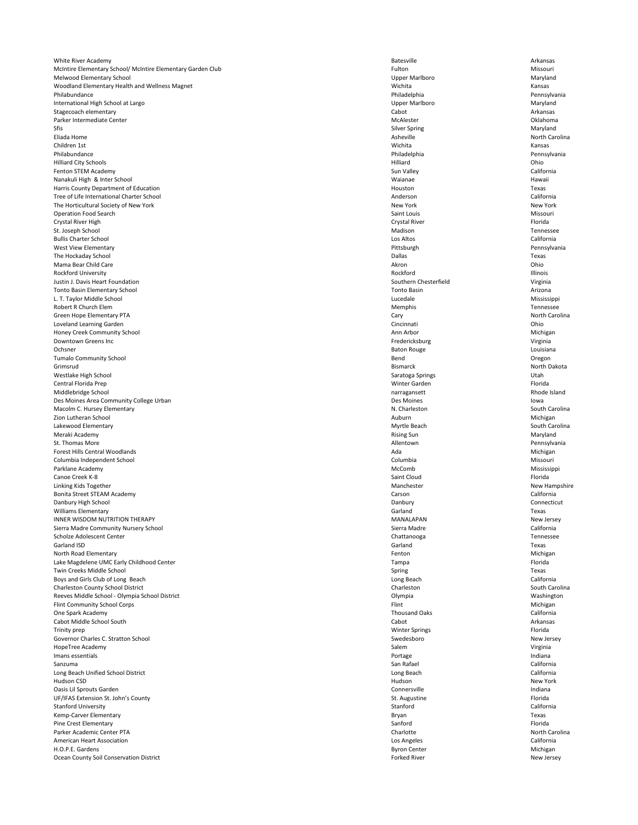White River Academy **Arkansas Batesville** Arkansas **Batesville Batesville** Arkansas **Batesville** Arkansas **Arkansas** McIntire Elementary School/ McIntire Elementary Garden Club **Fulton** Fulton Fulton **Fulton** Missouri Melwood Elementary School **Maryland** Maryland Channel Upper Maryland Upper Marlboro **Maryland** Upper Maryland Channel Maryland Maryland Channel Maryland Maryland Channel Maryland Channel Maryland Maryland Channel Maryland Woodland Elementary Health and Wellness Magnet **National Accord Properties Accord Wichita** Kansas Kansas Kansas Philabundance **Philadelphia Renaudical Pennsylvania** Philadelphia Philadelphia Pennsylvania International High School at Largo Upper Marlboro Maryland Stagecoach elementary **Stagecoach elementary** Arkansas Parker Intermediate Center **CENTER COMPUTER COMPUTER** COMPUTER MCALESTER MCALESTER MCALESTER COMPUTER OKLAHOMA Sfis Silver Spring Maryland eliada Home and a sheville and a sheville and a sheville and a sheville and a sheville  $\sim$  North Carolina and  $\sim$  North Carolina Children 1st Wichita Kansas Philabundance **Philadelphia Renaudical Philadelphia** Philadelphia Philadelphia Pennsylvania Hilliard City Schools Hilliard Ohio Fenton STEM Academy California Nanakuli High & Inter School Waianae Hawaii Harris County Department of Education Texas **Texas** and the extent of Education Texas and the extension of the extension of the extension of the extension of the extension of the extension of the extension of the extension Tree of Life International Charter School **California** California The Horticultural Society of New York New York New York New York New York New York New York New York Operation Food Search Saint Louis Missouri Crystal River High Crystal River Florida St. Joseph School **Exercise Contract Contract Contract Contract Contract Contract Contract Contract Contract Contract Contract Contract Contract Contract Contract Contract Contract Contract Contract Contract Contract Contr** Bullis Charter School Los Altos California West View Elementary Pittsburgh Pennsylvania The Hockaday School **Example 19 Texas** Texas **Dallas** Dallas **Texas** Dallas **Texas** Mama Bear Child Care **Acron Child Care** Akron Child Care Akron Child Care Akron Child Care Akron Child Care Akron Child Care Akron Child Care Akron Child Care Akron Child Care Akron Child Care Akron Child Care Akron Child Rockford University Rockford Illinois Justin J. Davis Heart Foundation Nirginia Southern Chesterfield Southern Chesterfield Virginia Tonto Basin Elementary School Tonto Basin Arizona L. T. Taylor Middle School Lucedale Mississippi Robert R Church Elem **Memphis** Tennessee Green Hope Elementary PTA **Same Cary Cary Cary Cary Cary** Cary Cary Cary North Carolina Loveland Learning Garden Cincinnati Ohio Honey Creek Community School Michigan Number of the Michigan Ann Arbor Ann Arbor Michigan Downtown Greens Inc **State Contract Contract Contract Contract Contract Contract Contract Contract Contract Contract Contract Contract Contract Contract Contract Contract Contract Contract Contract Contract Contract Contra** Ochsner Baton Rouge Louisiana Tumalo Community School **Community School** Cregon Grimsrud Bismarck North Dakota Westlake High School **Saratoga Springs** Utah Central Florida Prep Winter Garden Florida Middlebridge School narragansett Rhode Island Des Moines Area Community College Urban and a community College Urban Des Moines and Des Moines and Des Moines Macolm C. Hursey Elementary **N. Charleston** N. Charleston South Carolina zion Lutheran School **Auburn Michigan** Michigan Michigan Auburn Auburn Auburn Michigan Lakewood Elementary South Carolina and South Carolina and South Carolina and South Carolina and South Carolina Meraki Academy **Rising Sun Maryland** Rising Sun Rising Sun Rising Sun Rising Sun Maryland St. Thomas More **Superintensis and Security Control** Allentown Allentown **Pennsylvania** Forest Hills Central Woodlands **Ada** Michigan Michigan Michigan Michigan Michigan Michigan Michigan Michigan Michigan Columbia Independent School Columbia Missouri Parklane Academy Mississippi Canoe Creek K-8 Saint Cloud Florida Linking Kids Together **New Hampshire** New Hampshire New Hampshire Bonita Street STEAM Academy Carson California Danbury High School **Connecticut** Connecticut Williams Elementary **Example 2008** Carland Carland Carland Carland Carland Texas INNER WISDOM NUTRITION THERAPY MANALAPAN New Jersey Sierra Madre Community Nursery School **Exercise 2018** Sierra Madre Sierra Madre California Scholze Adolescent Center Chattanooga Tennessee

| Garland ISD                                    | Garland               | Texas           |
|------------------------------------------------|-----------------------|-----------------|
| North Road Elementary                          | Fenton                | Michigan        |
| Lake Magdelene UMC Early Childhood Center      | Tampa                 | Florida         |
| Twin Creeks Middle School                      | Spring                | Texas           |
| Boys and Girls Club of Long Beach              | Long Beach            | California      |
| <b>Charleston County School District</b>       | Charleston            | South Carolina  |
| Reeves Middle School - Olympia School District | Olympia               | Washington      |
| <b>Flint Community School Corps</b>            | Flint                 | Michigan        |
| One Spark Academy                              | <b>Thousand Oaks</b>  | California      |
| Cabot Middle School South                      | Cabot                 | Arkansas        |
| Trinity prep                                   | <b>Winter Springs</b> | Florida         |
| Governor Charles C. Stratton School            | Swedesboro            | New Jersey      |
| HopeTree Academy                               | Salem                 | Virginia        |
| Imans essentials                               | Portage               | Indiana         |
| Sanzuma                                        | San Rafael            | California      |
| Long Beach Unified School District             | Long Beach            | California      |
| Hudson CSD                                     | Hudson                | <b>New York</b> |
| Oasis Lil Sprouts Garden                       | Connersville          | Indiana         |
| UF/IFAS Extension St. John's County            | St. Augustine         | Florida         |
| <b>Stanford University</b>                     | Stanford              | California      |
| Kemp-Carver Elementary                         | Bryan                 | Texas           |
| Pine Crest Elementary                          | Sanford               | Florida         |
| Parker Academic Center PTA                     | Charlotte             | North Carolina  |
| <b>American Heart Association</b>              | Los Angeles           | California      |
| H.O.P.E. Gardens                               | <b>Byron Center</b>   | Michigan        |
| Ocean County Soil Conservation District        | <b>Forked River</b>   | New Jersey      |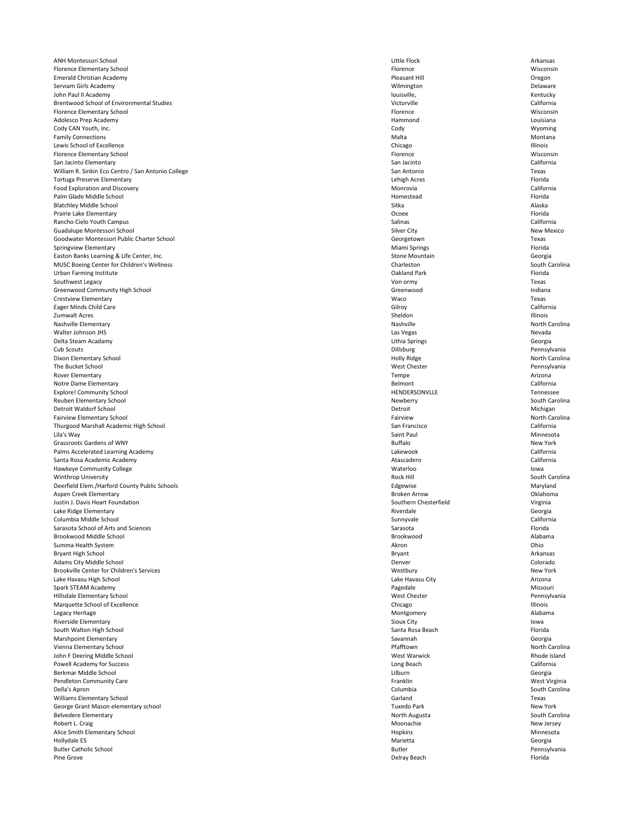ANH Montessori School **Arkansas** Arkansas Arkansas Cittle Flock Little Flock Arkansas Florence Elementary School Wisconsin Nisconsin **Florence** and The Misconsin **Florence** and Misconsin **Wisconsin** Emerald Christian Academy Pleasant Hill Oregon Serviam Girls Academy **Serviam Girls Academy** Delaware John Paul II Academy **Statemy** Rentucky Brentwood School of Environmental Studies and Studies and Studies and Studies and Studies and Studies and Studies and Studies and Studies and Studies and Studies and Studies and Studies and Studies and Studies and Studies Florence Elementary School Wisconsin Nisconsin Florence **Florence** and Misconsin Nisconsin Adolesco Prep Academy **Hammond** Louisiana **Hammond** Countries and Louisiana Louisiana Cody CAN Youth, Inc. Cody Wyoming Family Connections **Montana** Montana Lewis School of Excellence **Chicago** Illinois Florence Elementary School Florence Wisconsin San Jacinto Elementary **San Jacinto California** California William R. Sinkin Eco Centro / San Antonio College Texas Tortuga Preserve Elementary Lehigh Acres Florida Food Exploration and Discovery **Monrovia** California California California California California California California Palm Glade Middle School **Florida** Florida **Homestead** Florida **Homestead** Florida **Florida** Florida **Florida** Florida **Florida** Florida **Florida** Florida **Florida** Florida **Florida** Florida **Florida** Florida **Florida** Flo Blatchley Middle School and alaska Alaska Alaska Sitka Sitka Alaska Alaska Alaska Alaska Alaska Alaska Alaska Alaska Prairie Lake Elementary Ocoee Florida Rancho Cielo Youth Campus California Guadalupe Montessori School New Mexico New Mexico Silver City Silver City New Mexico Goodwater Montessori Public Charter School Texas Springview Elementary **Subset Contracts Florida** Florida **Miami Springs** Florida **Miami Springs** Florida **Florida** Florida **Florida Florida Florida Florida Florida Florida Florida Florida Florida Florida** Easton Banks Learning & Life Center, Inc. Stone Mountain Georgia Center, Inc. Stone Mountain Georgia MUSC Boeing Center for Children's Wellness **Charleston** Charleston Charleston South Carolina Urban Farming Institute **The Contract of Contract Contract Contract Contract Contract Contract Contract Contract Contract Contract Contract Contract Contract Contract Contract Contract Contract Contract Contract Contract C** Southwest Legacy Von ormy Texas Greenwood Community High School and a state of the Community High School and indiana Crestview Elementary Waco Texas Eager Minds Child Care California California Zumwalt Acres Sheldon Illinois Nashville Elementary **Nashville** Nashville Nashville Nashville Nashville Nashville Nashville North Carolina Walter Johnson JHS Las Vegas Nevada Delta Steam Acadamy Lithia Springs Georgia Cub Scouts Dillsburg Pennsylvania Dixon Elementary School North Carolina and School North Carolina and School North Carolina and Holly Ridge North Carolina The Bucket School **Exercise Pennsylvania Mest Chester West Chester West Chester Pennsylvania** Rover Elementary **Research Arizona** Arizona Notre Dame Elementary **Subset California** Belmont **California** Belmont California Explore! Community School Tennessee Reuben Elementary School South Carolina and South Carolina and South Carolina and South Carolina and South Carolina Detroit Waldorf School Michigan Nichigan Detroit Detroit Detroit Nichigan Fairview Elementary School North Carolina Thurgood Marshall Academic High School **San Francisco** San Francisco San Francisco California Lila's Way Saint Paul Minnesota Grassroots Gardens of WNY New York Palms Accelerated Learning Academy **California** California Santa Rosa Academic Academy **Atascadero California** Atascadero **Atascadero California** Atascadero California Hawkeye Community College **Exercise Community College** Iowa Winthrop University South Carolina and South Carolina Rock Hill Rock Hill South Carolina Deerfield Elem./Harford County Public Schools **Edgewise** Edgewise Edgewise **Maryland** Aspen Creek Elementary Broken Arrow Oklahoma Justin J. Davis Heart Foundation Virginia Southern Chesterfield Southern Chesterfield Virginia Lake Ridge Elementary **Riverdale** Georgia Columbia Middle School Sunnyvale California Sarasota School of Arts and Sciences **Sarasota** Florida Sarasota Sarasota Sarasota Sarasota Florida Brookwood Middle School Brookwood Alabama

| Summa Health System                              | Akron               | Ohio           |
|--------------------------------------------------|---------------------|----------------|
| <b>Bryant High School</b>                        | <b>Bryant</b>       | Arkansas       |
| <b>Adams City Middle School</b>                  | Denver              | Colorado       |
| <b>Brookville Center for Children's Services</b> | Westbury            | New York       |
| Lake Havasu High School                          | Lake Havasu City    | Arizona        |
| Spark STEAM Academy                              | Pagedale            | Missouri       |
| Hillsdale Elementary School                      | <b>West Chester</b> | Pennsylvania   |
| Marquette School of Excellence                   | Chicago             | Illinois       |
| Legacy Heritage                                  | Montgomery          | Alabama        |
| Riverside Elementary                             | Sioux City          | lowa           |
| South Walton High School                         | Santa Rosa Beach    | Florida        |
| Marshpoint Elementary                            | Savannah            | Georgia        |
| Vienna Elementary School                         | Pfafftown           | North Carolina |
| John F Deering Middle School                     | <b>West Warwick</b> | Rhode Island   |
| <b>Powell Academy for Success</b>                | Long Beach          | California     |
| Berkmar Middle School                            | Lilburn             | Georgia        |
| <b>Pendleton Community Care</b>                  | Franklin            | West Virginia  |
| Della's Apron                                    | Columbia            | South Carolina |
| Williams Elementary School                       | Garland             | Texas          |
| George Grant Mason elementary school             | <b>Tuxedo Park</b>  | New York       |
| <b>Belvedere Elementary</b>                      | North Augusta       | South Carolina |
| Robert L. Craig                                  | Moonachie           | New Jersey     |
| Alice Smith Elementary School                    | Hopkins             | Minnesota      |
| Hollydale ES                                     | Marietta            | Georgia        |
| <b>Butler Catholic School</b>                    | <b>Butler</b>       | Pennsylvania   |
| Pine Grove                                       | Delray Beach        | Florida        |
|                                                  |                     |                |

| ron            |
|----------------|
| yant           |
| nver!          |
| estbury        |
| ke Havasu City |
| gedale         |
| est Chester    |
| icago          |
| ontgomery      |
| oux City       |
| nta Rosa Beach |
| vannah         |
| afftown        |
| est Warwick    |
| ng Beach       |
| burn           |
| anklin         |
| lumbia         |
| <b>rland</b>   |
| xedo Park      |
| orth Augusta   |
| oonachie       |
| pkins          |
| arietta        |
| tler           |
| Iray Beach     |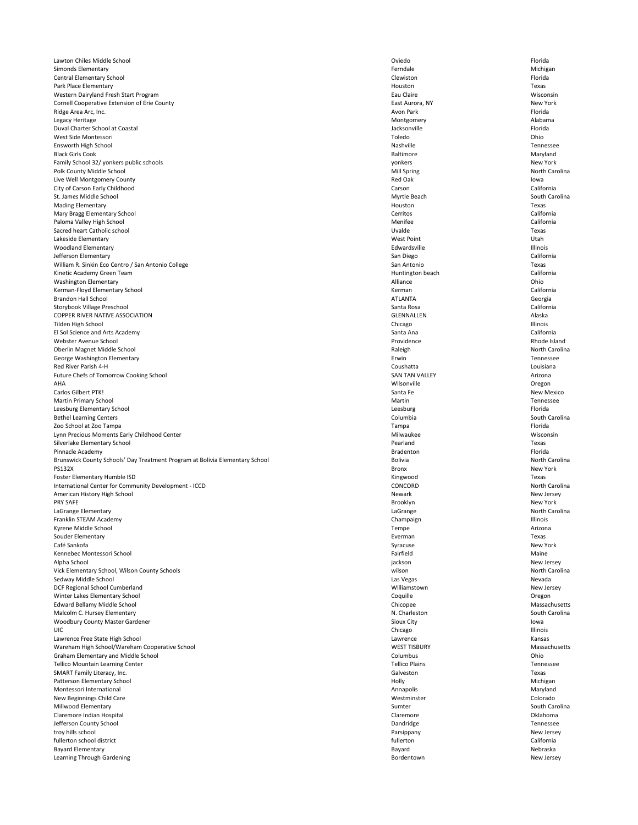Lawton Chiles Middle School Oviedo Florida Simonds Elementary **Example 20** Michigan Michigan Michigan School and Terms and Terms of Terms and Michigan Michigan Central Elementary School Clewiston Florida Park Place Elementary **Notation Texas Park Place Elementary Texas Texas** Western Dairyland Fresh Start Program Wisconsin Nisconsin Eau Claire Eau Claire Wisconsin Cornell Cooperative Extension of Erie County New York **East Aurora, NY** East Aurora, NY New York Ridge Area Arc, Inc. Avon Park Florida Legacy Heritage **Montgomery** Alabama and Montgomery and Montgomery and Alabama and Alabama Duval Charter School at Coastal Jacksonville Florida West Side Montessori Toledo Ohio Ensworth High School Nashville Tennessee Black Girls Cook Baltimore Maryland Family School 32/ yonkers public schools New York Polk County Middle School North Carolina and North Carolina North Carolina North Carolina Live Well Montgomery County **State Act and State Act and State Act and State Act and State Act and State Act and State Act and State Act and State Act and Red Oak Iowa** City of Carson Early Childhood Carson California St. James Middle School South Carolina Mading Elementary **Example 2008** Texas **Mading Elementary Houston** Texas Mary Bragg Elementary School Cerritos California Paloma Valley High School California Sacred heart Catholic school **Example 19** Texas Lakeside Elementary **West Point Account Contract Contract Contract Contract Contract Contract Contract Contract Contract Contract Contract Contract Contract Contract Contract Contract Contract Contract Contract Contract Co** Woodland Elementary **Edwardsville** Edwardsville **Edwardsville Edwardsville Illinois** Jefferson Elementary **San Diego California** California William R. Sinkin Eco Centro / San Antonio College San Antonio San Antonio San Antonio Texas Kinetic Academy Green Team California (California California California California California California California Washington Elementary **Alliance** Chio Kerman-Floyd Elementary School **Elementary School** California Brandon Hall School **ATLANTA** Georgia Storybook Village Preschool Santa Rosa California COPPER RIVER NATIVE ASSOCIATION Alaska Tilden High School Chicago Illinois El Sol Science and Arts Academy **Santa Ana** California California Webster Avenue School **Exercise Rhode Island** Providence **Providence** Rhode Island Oberlin Magnet Middle School North Carolina and School Raleigh North Carolina Raleigh North Carolina George Washington Elementary **Example 2018** Tennessee Red River Parish 4-H Louisiana Future Chefs of Tomorrow Cooking School **Exercise 2018** Arizona SAN TAN VALLEY **Arizona** AHA Wilsonville Oregon Carlos Gilbert PTK! New Mexico Martin Primary School **Martin Tennessee Martin** Martin Tennessee Leesburg Elementary School **Elementary School** Elementary School and The Thorida Bethel Learning Centers South Carolina and South Carolina Columbia South Carolina South Carolina Zoo School at Zoo Tampa Tampa Florida Lynn Precious Moments Early Childhood Center Nicolation Nicolation and Milwaukee Milwaukee Wisconsin Silverlake Elementary School Texas Pinnacle Academy **Bradenton Bradenton Bradenton Bradenton Bradenton Bradenton Bradenton Bradenton Bradenton** Brunswick County Schools' Day Treatment Program at Bolivia Elementary School **Elementary School** Bolivia North Carolina PS132X Bronx New York Foster Elementary Humble ISD Texas International Center for Community Development - ICCD and the community Development - ICCD concoRD CONCORD North Carolina American History High School New Jersey (New Jersey New Jersey New Jersey New Jersey New Jersey New Jersey New Jersey PRY SAFE Real Design of the New York of the Brooklyn Real Design of the New York Real Design of the New York Real Design of the New York Real Design of the New York Real Design of the New York Real Design of the New York R LaGrange Elementary **North Carolina** LaGrange **Carolina** LaGrange **North Carolina** LaGrange North Carolina Franklin STEAM Academy **Example 20** Illinois Champaign Champaign Kyrene Middle School Tempe Arizona Souder Elementary **Example 2008** Texas

| Café Sankofa                                   | Syracuse              | New York       |
|------------------------------------------------|-----------------------|----------------|
| Kennebec Montessori School                     | Fairfield             | Maine          |
| Alpha School                                   | jackson               | New Jersey     |
| Vick Elementary School, Wilson County Schools  | wilson                | North Carolina |
| Sedway Middle School                           | Las Vegas             | Nevada         |
| DCF Regional School Cumberland                 | Williamstown          | New Jersey     |
| Winter Lakes Elementary School                 | Coquille              | Oregon         |
| <b>Edward Bellamy Middle School</b>            | Chicopee              | Massachusetts  |
| Malcolm C. Hursey Elementary                   | N. Charleston         | South Carolina |
| <b>Woodbury County Master Gardener</b>         | <b>Sioux City</b>     | lowa           |
| UIC.                                           | Chicago               | Illinois       |
| Lawrence Free State High School                | Lawrence              | Kansas         |
| Wareham High School/Wareham Cooperative School | <b>WEST TISBURY</b>   | Massachusetts  |
| <b>Graham Elementary and Middle School</b>     | Columbus              | Ohio           |
| <b>Tellico Mountain Learning Center</b>        | <b>Tellico Plains</b> | Tennessee      |
| SMART Family Literacy, Inc.                    | Galveston             | Texas          |
| Patterson Elementary School                    | Holly                 | Michigan       |
| Montessori International                       | Annapolis             | Maryland       |
| New Beginnings Child Care                      | Westminster           | Colorado       |
| Millwood Elementary                            | Sumter                | South Carolina |
| Claremore Indian Hospital                      | Claremore             | Oklahoma       |
| Jefferson County School                        | Dandridge             | Tennessee      |
| troy hills school                              | Parsippany            | New Jersey     |
| fullerton school district                      | fullerton             | California     |
| <b>Bayard Elementary</b>                       | Bayard                | Nebraska       |
| Learning Through Gardening                     | Bordentown            | New Jersey     |
|                                                |                       |                |

| acuse             |
|-------------------|
| rfield            |
| kson              |
| son               |
| Vegas             |
| lliamstown        |
| quille            |
| copee             |
| Charleston        |
| ux City           |
| cago              |
| vrence            |
| <b>ST TISBURY</b> |
| umbus             |
| lico Plains       |
| veston            |
| lly               |
| napolis           |
| stminster         |
| nter              |
| remore            |
| ndridge           |
| sippany           |
| erton             |
| /ard              |
| rdentown          |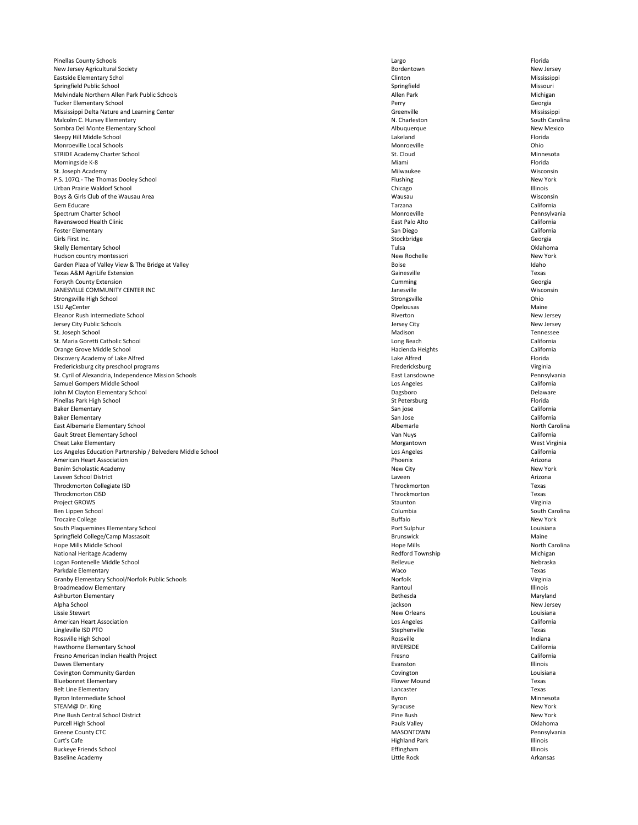Pinellas County Schools Largo Florida New Jersey Agricultural Society **New Jersey** Bordentown **Bordentown** Bordentown **New Jersey** Eastside Elementary Schol Clinton Mississippi Springfield Public School Missouri Melvindale Northern Allen Park Public Schools **Allen Park Michigan** Allen Park Allen Park Michigan Tucker Elementary School Perry Georgia Mississippi Delta Nature and Learning Center Canadian Communication of the Creenville Creenville Mississippi Malcolm C. Hursey Elementary **N. Charleston** N. Charleston South Carolina Sombra Del Monte Elementary School **New Mexico** Albuquerque Albuquerque Albuquerque New Mexico Sleepy Hill Middle School Florida Monroeville Local Schools Monroeville Ohio STRIDE Academy Charter School Ninnesota (St. Cloud St. Cloud St. Cloud Minnesota Morningside K-8 **Miami** Florida Research Channel Channel Channel Miami **Florida** Research Channel Channel Channel Channel Channel Channel Channel Channel Channel Channel Channel Channel Channel Channel Channel Channel Chan St. Joseph Academy **Milwaukee** Milwaukee Milwaukee Milwaukee Milwaukee Milwaukee Milwaukee Misconsin P.S. 107Q - The Thomas Dooley School New York **Flushing New York Contract Contract Contract Contract Contract Contract Contract Contract Contract Contract Contract Contract Contract Contract Contract Contract Contract Cont** Urban Prairie Waldorf School Chicago Illinois Boys & Girls Club of the Wausau Area Wisconsin Gem Educare Tarzana California Spectrum Charter School Monroeville Pennsylvania Ravenswood Health Clinic East Palo Alto California Foster Elementary **San Diego California** California Girls First Inc. **Stockbridge** Georgia and Stockbridge Stockbridge Stockbridge Georgia Skelly Elementary School Tulsa Oklahoma Hudson country montessori New York Garden Plaza of Valley View & The Bridge at Valley Samuel Boise and the Boise and the Boise Idaho Texas A&M AgriLife Extension Gainesville Texas Forsyth County Extension **Cumming** Georgia JANESVILLE COMMUNITY CENTER INC **Subset of the COMMUNITY CENTER INC** Wisconsin Strongsville High School Strongsville Ohio LSU AgCenter **Example 20** and the control of the control of the control of the control of the control of the control of the control of the control of the control of the control of the control of the control of the control Eleanor Rush Intermediate School New Jersey New Jersey Jersey City Public Schools Jersey City New Jersey St. Joseph School **Exercise Contract Contract Contract Contract Contract Contract Contract Contract Contract Contract Contract Contract Contract Contract Contract Contract Contract Contract Contract Contract Contract Contr** St. Maria Goretti Catholic School California Orange Grove Middle School **Exercise California** Hacienda Heights **California** Hacienda Heights California Discovery Academy of Lake Alfred Florida Fredericksburg city preschool programs Virginia Changes and Changes of the Changes of Tredericksburg Changes and Changes and Changes of Tredericksburg Changes and Changes and Changes of Tredericksburg Changes and Changes a St. Cyril of Alexandria, Independence Mission Schools **East Accepts 10** East Lansdowne Pennsylvania Samuel Gompers Middle School **California** California John M Clayton Elementary School **Delaware** Delaware **Delaware** Dagsboro **Delaware** Delaware Pinellas Park High School **Exercise Provides** Florida St Petersburg **Florida** St Petersburg Florida Baker Elementary **San jose** California Baker Elementary **San Jose** California East Albemarle Elementary School **Exercise 2008** Albemarle Albemarle Albemarle North Carolina Gault Street Elementary School Van Nuys California Cheat Lake Elementary **Morth Cheat Lake Elementary** West Virginia Los Angeles Education Partnership / Belvedere Middle School **California** Los Angeles California American Heart Association **Arizona** Arizona **Arizona** Phoenix **Arizona** Phoenix **Arizona** Arizona Benim Scholastic Academy New York New York New York New York New York New York New York New York New York New York Laveen School District Laveen Arizona Throckmorton Collegiate ISD **Throckmorton** Texas Throckmorton CISD Throckmorton Texas Project GROWS Staunton Staunton Staunton Staunton Staunton Staunton Staunton Staunton Staunton Staunton Staunton Ben Lippen School Columbia South Carolina Trocaire College **Exercise Exercise Server Access 2018** Buffalo **Buffalo** Buffalo New York South Plaquemines Elementary School Port Sulphur Louisiana Springfield College/Camp Massasoit **Exercise 2018** Maine Maine Brunswick **Brunswick** Brunswick Maine

| Hope Mills Middle School                        | <b>Hope Mills</b>    | North Carolina |
|-------------------------------------------------|----------------------|----------------|
| National Heritage Academy                       | Redford Township     | Michigan       |
| Logan Fontenelle Middle School                  | Bellevue             | Nebraska       |
| Parkdale Elementary                             | Waco                 | Texas          |
| Granby Elementary School/Norfolk Public Schools | Norfolk              | Virginia       |
| <b>Broadmeadow Elementary</b>                   | Rantoul              | Illinois       |
| Ashburton Elementary                            | Bethesda             | Maryland       |
| Alpha School                                    | jackson              | New Jersey     |
| Lissie Stewart                                  | New Orleans          | Louisiana      |
| <b>American Heart Association</b>               | Los Angeles          | California     |
| Lingleville ISD PTO                             | Stephenville         | Texas          |
| Rossville High School                           | Rossville            | Indiana        |
| Hawthorne Elementary School                     | <b>RIVERSIDE</b>     | California     |
| Fresno American Indian Health Project           | Fresno               | California     |
| Dawes Elementary                                | Evanston             | Illinois       |
| Covington Community Garden                      | Covington            | Louisiana      |
| <b>Bluebonnet Elementary</b>                    | <b>Flower Mound</b>  | Texas          |
| <b>Belt Line Elementary</b>                     | Lancaster            | Texas          |
| Byron Intermediate School                       | Byron                | Minnesota      |
| STEAM@ Dr. King                                 | Syracuse             | New York       |
| Pine Bush Central School District               | Pine Bush            | New York       |
| Purcell High School                             | Pauls Valley         | Oklahoma       |
| <b>Greene County CTC</b>                        | <b>MASONTOWN</b>     | Pennsylvania   |
| Curt's Cafe                                     | <b>Highland Park</b> | Illinois       |
| <b>Buckeye Friends School</b>                   | Effingham            | Illinois       |
| Baseline Academy                                | Little Rock          | Arkansas       |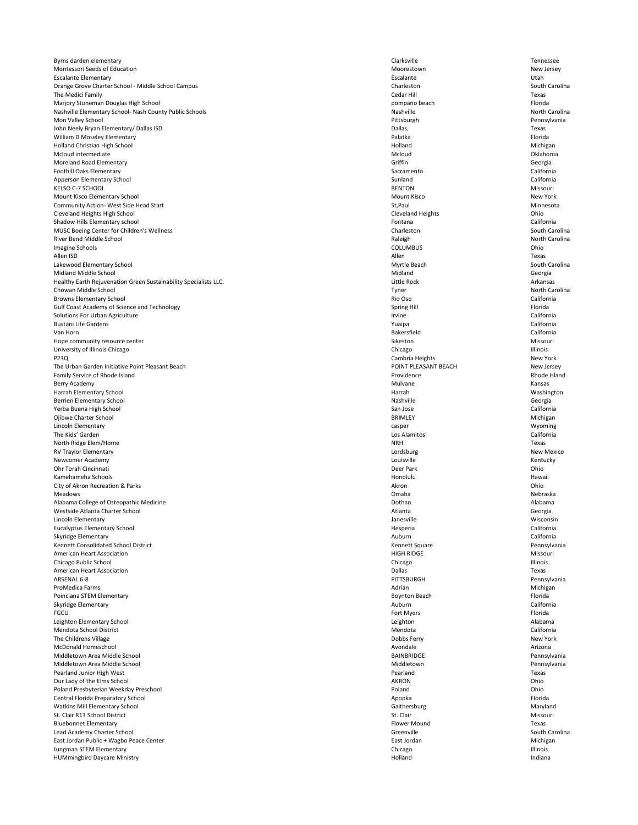Byrns darden elementary **Exercise Exercise Exercise Exercise** Clarksville Clarksville Tennessee Montessori Seeds of Education Moorestown New Jersey Escalante Elementary Escalante Utah Orange Grove Charter School - Middle School Campus Charteston Charleston Charleston South Carolina The Medici Family Cedar Hill Texas Marjory Stoneman Douglas High School pompano beach Florida Nashville Elementary School- Nash County Public Schools Nashville Nashville Nashville Nashville North Carolina Mon Valley School Pittsburgh Pennsylvania John Neely Bryan Elementary/ Dallas ISD **Texas Texas Dallas, Dallas, Dallas, Dallas, Dallas, Texas Dallas, Texas** William D Moseley Elementary **Elementary** Florida **Palatka** Palatka Palatka Palatka Palatka Palatka Palatka Palatka Palatka Palatka Palatka Palatka Palatka Palatka Palatka Palatka Palatka Palatka Palatka Palatka Palatka Pa Holland Christian High School Michigan Michigan Michigan Michigan Michigan Michigan Mcloud intermediate and the contraction of the Mcloud and Mcloud and Mcloud and Oklahoma Moreland Road Elementary **Georgia** Georgia Georgia Foothill Oaks Elementary **Sacramento** California California Apperson Elementary School **Exercise 2018** California California KELSO C-7 SCHOOL BENTON Missouri Mount Kisco Elementary School New York Community Action- West Side Head Start Ninnesota and St,Paul St,Paul St,Paul Minnesota Cleveland Heights High School Cleveland Heights Ohio Shadow Hills Elementary school **Example 2018** California **California California California** MUSC Boeing Center for Children's Wellness **Charleston** Charleston Charleston South Carolina River Bend Middle School **North Carolina** Raleigh North Carolina Raleigh North Carolina Raleigh North Carolina Imagine Schools **Exercise COLUMBUS** COLUMBUS COLUMBUS Allen ISD Allen Texas Lakewood Elementary School South Carolina and South Carolina and South Carolina and South Carolina Midland Middle School **Georgia** Georgia Healthy Earth Rejuvenation Green Sustainability Specialists LLC. **Little Rock** Little Rock **Arkansas** Arkansas Chowan Middle School Tyner North Carolina Browns Elementary School **Elementary School** and the state of the state of the state of the state of the state of the state of the state of the state of the state of the state of the state of the state of the state of the Gulf Coast Academy of Science and Technology **Spring Hill** Spring Hill Spring Hill Spring Hill Florida Solutions For Urban Agriculture California Bustani Life Gardens Yuaipa California Van Horn Bakersfield California Hope community resource center **Missouri** Missouri University of Illinois Chicago **Illinois** Chicago **Chicago** Chicago Chicago Chicago Chicago Illinois P23Q **Cambria Heights** New York The Urban Garden Initiative Point Pleasant Beach New Jersey **POINT PLEASANT BEACH** POINT PLEASANT BEACH Family Service of Rhode Island Rhode Island Rhode Island Berry Academy **Mulvane** Kansas Kansas Kansas Kansas Kansas Kansas Kansas Kansas Kansas Kansas Kansas Kansas Kansas Harrah Elementary School Washington Number of the Unit of the Harrah Number of the Washington Number of the Washington Berrien Elementary School **Georgia** Georgia **Channel Community Community Community Community Community Community Community Community Community Community Community Community Community Community Community Community Community** Yerba Buena High School San Jose California Ojibwe Charter School Michigan Michigan BRIMLEY **BRIMLEY** BRIMLEY **Example 2008** Michigan Lincoln Elementary casper Wyoming The Kids' Garden Los Alamitos California North Ridge Elem/Home Texas RV Traylor Elementary New Mexico Newcomer Academy **Reserves and Server Academy** Rentucky **Louisville** Kentucky **Louisville** Kentucky **Rentucky** Ohr Torah Cincinnati Deer Park Ohio Kamehameha Schools **Honolulu** Hawaii Hawaii Hawaii Hawaii Hawaii Hawaii Hawaii Hawaii Hawaii Hawaii Hawaii Hawaii City of Akron Recreation & Parks Akron Ohio Meadows Omaha Nebraska Alabama College of Osteopathic Medicine **National Alabama** Alabama Dothan **Dothan** Dothan Alabama Alabama Alabama Westside Atlanta Charter School **Georgia** Georgia Lincoln Elementary Janesville Wisconsin Eucalyptus Elementary School **Eucalyptus Elementary School** California Skyridge Elementary **Auburn** California **California** 

| Kennett Consolidated School District    | Kennett Square       | Pennsylvania   |
|-----------------------------------------|----------------------|----------------|
| <b>American Heart Association</b>       | <b>HIGH RIDGE</b>    | Missouri       |
| Chicago Public School                   | Chicago              | Illinois       |
| <b>American Heart Association</b>       | Dallas               | Texas          |
| ARSENAL 6-8                             | PITTSBURGH           | Pennsylvania   |
| ProMedica Farms                         | Adrian               | Michigan       |
| Poinciana STEM Elementary               | <b>Boynton Beach</b> | Florida        |
| Skyridge Elementary                     | Auburn               | California     |
| <b>FGCU</b>                             | Fort Myers           | Florida        |
| Leighton Elementary School              | Leighton             | Alabama        |
| Mendota School District                 | Mendota              | California     |
| The Childrens Village                   | Dobbs Ferry          | New York       |
| McDonald Homeschool                     | Avondale             | Arizona        |
| Middletown Area Middle School           | <b>BAINBRIDGE</b>    | Pennsylvania   |
| Middletown Area Middle School           | Middletown           | Pennsylvania   |
| Pearland Junior High West               | Pearland             | Texas          |
| Our Lady of the Elms School             | <b>AKRON</b>         | Ohio           |
| Poland Presbyterian Weekday Preschool   | Poland               | Ohio           |
| Central Florida Preparatory School      | Apopka               | Florida        |
| <b>Watkins Mill Elementary School</b>   | Gaithersburg         | Maryland       |
| St. Clair R13 School District           | St. Clair            | Missouri       |
| <b>Bluebonnet Elementary</b>            | <b>Flower Mound</b>  | Texas          |
| Lead Academy Charter School             | Greenville           | South Carolina |
| East Jordan Public + Wagbo Peace Center | East Jordan          | Michigan       |
| Jungman STEM Elementary                 | Chicago              | Illinois       |
| <b>HUMmingbird Daycare Ministry</b>     | Holland              | Indiana        |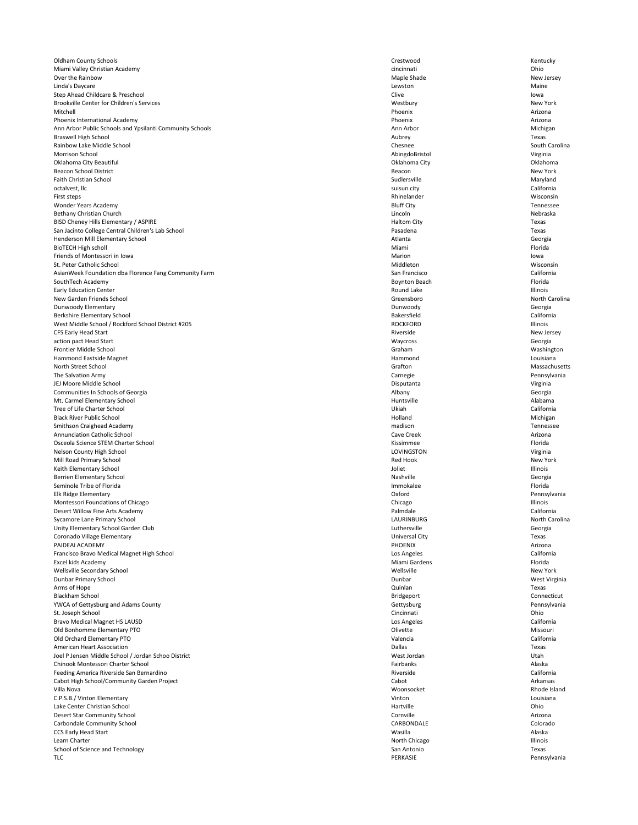Oldham County Schools **Crestwood** Crestwood **Crestwood** Crestwood **Crestwood** Kentucky Miami Valley Christian Academy **Chinami** Chinami Chinami Cincinnati Cincinnati Chinami Chinami Chinami Chinami Chinami Chinami Chinami Chinami Chinami Chinami Chinami Chinami Chinami Chinami Chinami Chinami Chinami Chinami Over the Rainbow New Jersey New Jersey New Jersey Naple Shade New Jersey Linda's Daycare **Lewston** Maine and the Maine of the Lewston and Lewston Maine and the Maine of the Maine of the Maine Step Ahead Childcare & Preschool and the step Ahead Childcare & Preschool clive Iowa Brookville Center for Children's Services New York (2008) 2009 12:30 Westbury New York (2009) 2009 12:30 Westbury New York (2009) 2009 12:30 Westbury New York (2009) 2009 12:30 Westbury New York (2009) 2009 12:30 Westbury Mitchell Phoenix Arizona Phoenix International Academy **Arizona** Arizona **Phoenix Phoenix Phoenix Arizona** Ann Arbor Public Schools and Ypsilanti Community Schools **Ann Arbor Michigan** Ann Arbor Michigan Michigan Braswell High School Aubrey Texas Rainbow Lake Middle School Chesnee South Carolina Morrison School AbingdoBristol Virginia Oklahoma City Beautiful Oklahoma City Oklahoma Beacon School District New York Faith Christian School Sudlersville Maryland octalvest, llc suisun city California First steps **Example 20** Section 2013 11 and 20 Section 2014 12:30 Rhinelander **Rhinelander** Misconsin Wonder Years Academy Bluff City Tennessee Bethany Christian Church Nebraska (Nebraska Debraska Lincoln Nebraska Lincoln Nebraska Lincoln Nebraska Lincoln BISD Cheney Hills Elementary / ASPIRE Texas San Jacinto College Central Children's Lab School **National College Central Children's Lab School** Pasadena Texas Henderson Mill Elementary School **Atlanta** Georgia **Georgia** Atlanta Georgia BioTECH High scholl **Example 20** Florida **Miami Miami Miami Alta Contract Contract Contract Contract Contract Contract Contract Contract Contract Contract Contract Contract Contract Contract Contract Contract Contrac** Friends of Montessori in Iowa November 2012 10:00 and the Marion Marion Iowa Marion Iowa Marion Iowa Iowa St. Peter Catholic School Misconsin Number of the Middleton Middleton Middleton Middleton Misconsin AsianWeek Foundation dba Florence Fang Community Farm San Francisco San Francisco California SouthTech Academy **Boynton Beach** Florida Boynton Beach **Boynton Beach** Florida Boynton Beach Florida Early Education Center **Example 20** and Lake **Round Lake Round Lake Round Lake Illinois** New Garden Friends School North Carolina and School Carolina Creensboro Creensboro North Carolina Dunwoody Elementary Dunwoody Georgia Berkshire Elementary School **Exercise Elementary School** California West Middle School / Rockford School District #205 **ROCKFORD** ROCKFORD ROCKFORD ROCKFORD Illinois CFS Early Head Start New Jersey New Jersey action pact Head Start **Georgia** Georgia Frontier Middle School Nashington Nashington School School School School School School School School School School School School School School School School School School School School School School School School School Sc Hammond Eastside Magnet **Hammond** Eastside Magnet Louisiana North Street School **Grafton** Massachusetts The Salvation Army Carnegie Pennsylvania JEJ Moore Middle School Disputanta Virginia Communities In Schools of Georgia **Georgia** Georgia **Communities In Schools of Georgia** Mt. Carmel Elementary School and Alabama and Alabama and Alabama and Alabama and Alabama and Alabama and Alabama and Alabama and Alabama and Alabama and Alabama and Alabama and Alabama and Alabama and Alabama and Alabama a Tree of Life Charter School California Black River Public School Michigan Michigan Michigan Holland Holland Michigan Michigan Smithson Craighead Academy **Mathematics** Tennessee **mathematics** and the mathematic mathematic mathematic mathematic mathematic mathematic mathematic mathematic mathematic mathematic mathematic mathematic mathematic mathem Annunciation Catholic School Cave Creek Arizona Osceola Science STEM Charter School **Exercise STEM Charter School** Kissimmee **Kissimmee** Florida Nelson County High School Virginia Virginia Mill Road Primary School New York New York New York New York New York New York New York Keith Elementary School and a state of the state of the state of the state of the state of the state of the state of the state of the state of the state of the state of the state of the state of the state of the state of t Berrien Elementary School **Georgia** Georgia Seminole Tribe of Florida **Immokalee** Florida Immokalee Florida Immokalee Florida Immokalee Florida Immokalee Florida Elk Ridge Elementary Oxford Pennsylvania Montessori Foundations of Chicago **Illinois** Chicago Chicago Chicago Chicago Chicago Illinois Desert Willow Fine Arts Academy **California** California Sycamore Lane Primary School **Exercise 2008** North Carolina and Sycamore Laurence and Sycamore Lane Primary School Unity Elementary School Garden Club Georgia Computer Computer Computer Computer Computer Computer Computer Computer Computer Computer Computer Computer Computer Computer Computer Computer Computer Computer Computer Compute Coronado Village Elementary Universal City Texas

| PAIDEAI ACADEMY                                     | <b>PHOENIX</b>    | Arizona       |
|-----------------------------------------------------|-------------------|---------------|
| Francisco Bravo Medical Magnet High School          | Los Angeles       | California    |
| Excel kids Academy                                  | Miami Gardens     | Florida       |
| Wellsville Secondary School                         | Wellsville        | New York      |
| <b>Dunbar Primary School</b>                        | Dunbar            | West Virginia |
| Arms of Hope                                        | Quinlan           | Texas         |
| <b>Blackham School</b>                              | <b>Bridgeport</b> | Connecticut   |
| YWCA of Gettysburg and Adams County                 | Gettysburg        | Pennsylvania  |
| St. Joseph School                                   | Cincinnati        | Ohio          |
| <b>Bravo Medical Magnet HS LAUSD</b>                | Los Angeles       | California    |
| Old Bonhomme Elementary PTO                         | Olivette          | Missouri      |
| Old Orchard Elementary PTO                          | Valencia          | California    |
| <b>American Heart Association</b>                   | Dallas            | Texas         |
| Joel P Jensen Middle School / Jordan Schoo District | West Jordan       | Utah          |
| Chinook Montessori Charter School                   | Fairbanks         | Alaska        |
| Feeding America Riverside San Bernardino            | Riverside         | California    |
| Cabot High School/Community Garden Project          | Cabot             | Arkansas      |
| Villa Nova                                          | Woonsocket        | Rhode Island  |
| C.P.S.B./ Vinton Elementary                         | Vinton            | Louisiana     |
| Lake Center Christian School                        | Hartville         | Ohio          |
| <b>Desert Star Community School</b>                 | Cornville         | Arizona       |
| <b>Carbondale Community School</b>                  | CARBONDALE        | Colorado      |
| <b>CCS Early Head Start</b>                         | Wasilla           | Alaska        |
| Learn Charter                                       | North Chicago     | Illinois      |
| School of Science and Technology                    | San Antonio       | Texas         |
| <b>TLC</b>                                          | <b>PERKASIE</b>   | Pennsylvania  |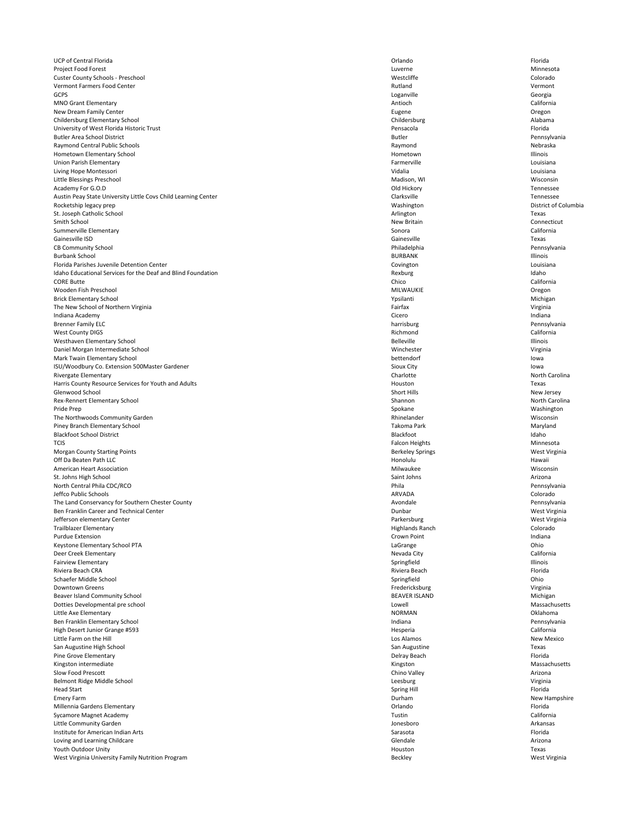UCP of Central Florida **Exercise Contral Florida Contral Florida Contral Contral Contral Florida Contral Contral Contral Contral Contral Contral Contral Contral Contral Contral Contral Contral Contral Contral Contral** Project Food Forest Ninnesota Ninnesota (1999) and the University of the University of the Minnesota America A Custer County Schools - Preschool Custer Colorado New York Colorado New York Colorado New York Colorado New York Colorado Vermont Farmers Food Center **Number of Center Accord Center Accord Center** Rutland Vermont GCPS Loganville Georgia MNO Grant Elementary **Antioch** California and The California and The California and The California and The California New Dream Family Center **Contract Contract Contract Contract Contract Contract Contract Contract Contract Contract Contract Contract Contract Contract Contract Contract Contract Contract Contract Contract Contract Contract** Childersburg Elementary School Childersburg Alabama University of West Florida Historic Trust **Pensacola** Pensacola **Pensacola** Pensacola **Pensacola** Pensacola Florida Butler Area School District Butler Pennsylvania Raymond Central Public Schools **Nebraska** Raymond **Raymond** Raymond Raymond Nebraska Hometown Elementary School Hometown Illinois Union Parish Elementary **Elementary** Louisiana Living Hope Montessori **Example 2018** Louisiana Louisiana Louisiana Little Blessings Preschool Wisconsin Academy For G.O.D Contract the contract of the contract of the Contract of Contract of the Contract of the Contract of the Contract of the Contract of the Contract of the Contract of the Contract of the Contract of the Con Austin Peay State University Little Covs Child Learning Center Coversion Content Clarksville Clarksville Tennessee Rocketship legacy prep **Exercise 2018** District of Columbia St. Joseph Catholic School **Example 20** Texas and the state of the state of the state of the state of the state of the state of the state of the state of the state of the state of the state of the state of the state of the Smith School **New Britain** Connecticut Summerville Elementary **Summerville Elementary** California Gainesville ISD Gainesville Texas CB Community School Philadelphia Pennsylvania Burbank School BURBANK Illinois Florida Parishes Juvenile Detention Center **Covington** Louisiana Louisiana Covington Covington Louisiana Idaho Educational Services for the Deaf and Blind Foundation **Rexponsily and Account Account Account Account Account Control in Control Control in Rexburg Idaho** CORE Butte Contract Contract Contract Contract Contract Chico California Wooden Fish Preschool MILWAUKIE Oregon Brick Elementary School Nichigan Nichigan Nichigan Nichigan Nichigan Nichigan Nichigan Nichigan Nichigan Nichigan The New School of Northern Virginia **Virginia** Virginia and the New School of Northern Virginia Indiana Academy **Indiana** Cicero **Cicero Cicero Cicero Cicero de Cicero de Cicero de Cicero de Cicero de Cicero de Cicero de Cicero de Cicero de Cicero de Cicero de Cicero de Cicero de Cicero de Cicero de Cicero de Cicero** Brenner Family ELC **harrisburg Pennsylvania** Pennsylvania West County DIGS **Richmond** California Westhaven Elementary School and a state of the state of the Belleville and Belleville and Belleville and Belleville Daniel Morgan Intermediate School Virginia and School Channels and School Winchester Ninchester Ninginia and Ninginia Mark Twain Elementary School and the state of the state of the bettendorf bettendorf bettendorf bettendorf bettendorf bettendorf bettendorf bettendorf bettendorf bettendorf between  $\sim$  10000 and the state of the state of ISU/Woodbury Co. Extension 500Master Gardener Superior Sioux City Sioux City Sioux City Sioux City Iowa Rivergate Elementary **North Carolina** Charlotte **Charlotte** Charlotte **North Carolina** Harris County Resource Services for Youth and Adults Texas Glenwood School Short Hills New Jersey Rex-Rennert Elementary School **Exercise Shannon** Shannon Shannon North Carolina Pride Prep Nashington Washington Nashington Spokane Spokane Spokane Washington The Northwoods Community Garden Wisconsin Piney Branch Elementary School Naryland Naryland Takoma Park Takoma Park Maryland Naryland Takoma Park Maryland Blackfoot School District and a structure of the state of the Blackfoot Blackfoot and Blackfoot Idaho TCIS Falcon Heights **Minnesota** Morgan County Starting Points **Exercise Springs** Berkeley Springs Berkeley Springs West Virginia Off Da Beaten Path LLC Honolulu Hawaii American Heart Association Wisconsin St. Johns High School **Saint Johns Arizona** Arizona North Central Phila Pennsylvania Pennsylvania Pennsylvania Pennsylvania Pennsylvania Pennsylvania Jeffco Public Schools ARVADA Colorado The Land Conservancy for Southern Chester County and the Material States are a set of Avondale Pennsylvania Ben Franklin Career and Technical Center **Dunbar** West Virginia **Dunbar** Dunbar Dunbar West Virginia Jefferson elementary Center **New Accounts and Serverse Center Accounts** Parkersburg Parkersburg West Virginia Trailblazer Elementary **Elementary Colorado** Colorado entre a material of the Highlands Ranch Colorado Colorado Purdue Extension **Extension** Crown Point **Crown Point** Crown Point **Crown Point** Purdue Extension and Indiana

| Keystone Elementary School PTA                    | LaGrange             | Ohio              |
|---------------------------------------------------|----------------------|-------------------|
| Deer Creek Elementary                             | Nevada City          | California        |
| <b>Fairview Elementary</b>                        | Springfield          | Illinois          |
| Riviera Beach CRA                                 | Riviera Beach        | Florida           |
| Schaefer Middle School                            | Springfield          | Ohio              |
| <b>Downtown Greens</b>                            | Fredericksburg       | Virginia          |
| Beaver Island Community School                    | <b>BEAVER ISLAND</b> | Michigan          |
| Dotties Developmental pre school                  | Lowell               | Massachusetts     |
| Little Axe Elementary                             | <b>NORMAN</b>        | Oklahoma          |
| Ben Franklin Elementary School                    | Indiana              | Pennsylvania      |
| High Desert Junior Grange #593                    | Hesperia             | California        |
| Little Farm on the Hill                           | Los Alamos           | <b>New Mexico</b> |
| San Augustine High School                         | San Augustine        | Texas             |
| Pine Grove Elementary                             | Delray Beach         | Florida           |
| Kingston intermediate                             | Kingston             | Massachusetts     |
| <b>Slow Food Prescott</b>                         | Chino Valley         | Arizona           |
| Belmont Ridge Middle School                       | Leesburg             | Virginia          |
| <b>Head Start</b>                                 | Spring Hill          | Florida           |
| <b>Emery Farm</b>                                 | Durham               | New Hampshire     |
| Millennia Gardens Elementary                      | Orlando              | Florida           |
| Sycamore Magnet Academy                           | Tustin               | California        |
| Little Community Garden                           | Jonesboro            | Arkansas          |
| Institute for American Indian Arts                | Sarasota             | Florida           |
| Loving and Learning Childcare                     | Glendale             | Arizona           |
| Youth Outdoor Unity                               | Houston              | Texas             |
| West Virginia University Family Nutrition Program | <b>Beckley</b>       | West Virginia     |
|                                                   |                      |                   |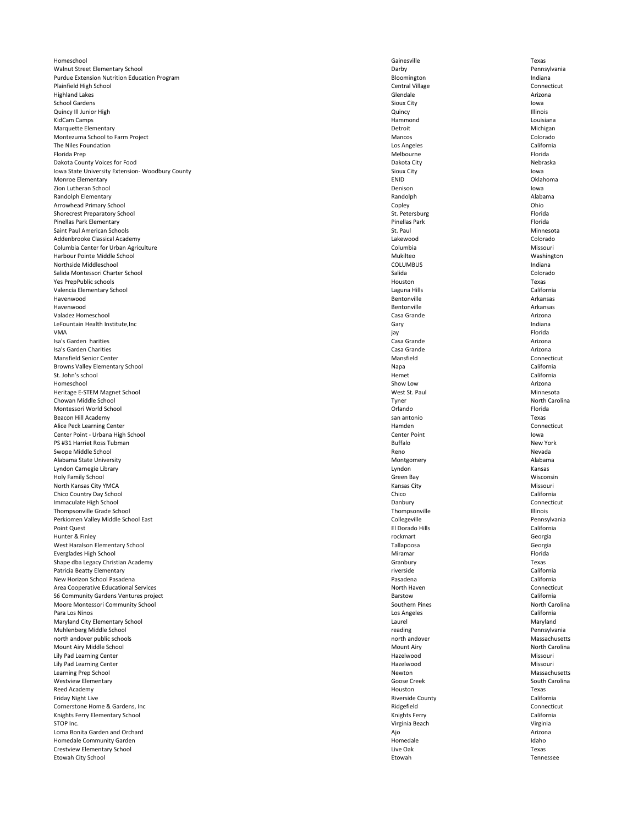Homeschool Gainesville Texas Walnut Street Elementary School **Exercise 2018** Pennsylvania Purdue Extension Nutrition Education Program **Bloomington** Bloomington **Indiana** Indiana Plainfield High School Central Village Connecticut Highland Lakes **Glendale** Arizona and Arizona and Arizona and Arizona and Arizona and Arizona and Arizona and Arizona School Gardens **Subset of the Sioux City** Sioux City Sioux City Sioux City Sioux City Sioux City Sioux City structures are seen to wa **Cuincy III Junior High Case of the Community Council Council Council Council Council Council Council Council Council Council Council Council Council Council Council Council Council Council Council Council Council Council** KidCam Camps **Hammond** Louisiana Research Community Community Community Community Community Community Community Community Community Community Community Community Community Community Community Community Community Community Marquette Elementary **Elementary** Michigan Montezuma School to Farm Project **Mancos** Colorado Colorado Colorado Colorado Colorado Colorado Colorado Colorado The Niles Foundation **Los Angeles** California Florida Prep Melbourne Florida Dakota County Voices for Food Nebraska Nebraska Nebraska Nebraska Nebraska Nebraska Nebraska Nebraska Nebraska Iowa State University Extension- Woodbury County Sioux City Sioux City Sioux City Sioux City Sioux City Iowa Monroe Elementary **ENID** Change Entertainment of the United States of the United States of the United States of the Oklahoma Zion Lutheran School Denison Iowa Randolph Elementary **Randolph Alabama** Randolph **Randolph** Alabama Alabama Randolph Alabama Alabama Alabama Alabama Arrowhead Primary School **Copley** Copley **Copley** Copley Copley Coplex Coplex Coplex Coplex Coplex Coplex Coplex Coplex Coplex Coplex Coplex Coplex Coplex Coplex Coplex Coplex Coplex Coplex Coplex Coplex Coplex Coplex Copl Shorecrest Preparatory School **Exercise Preparatory School** St. Petersburg Florida Pinellas Park Elementary Pinellas Park Florida Saint Paul American Schools **St. Paul American Schools** St. Paul St. Paul Minnesota Addenbrooke Classical Academy Lakewood Colorado Columbia Center for Urban Agriculture Columbia Missouri Harbour Pointe Middle School Washington Nukilteo Nukilteo Washington Nukilteo Washington Northside Middleschool COLUMBUS Indiana Salida Montessori Charter School Salida Colorado Yes PrepPublic schools Houston Texas Valencia Elementary School Laguna Hills California Havenwood Bentonville Arkansas Havenwood Bentonville Arkansas Valadez Homeschool Casa Grande Arizona LeFountain Health Institute,Inc **Gary** Indiana VMA jay Florida Isa's Garden harities **Exercice Casa Grande** Arizona Arizona Casa Grande Arizona Arizona Isa's Garden Charities **Exercices** Casa Grande Arizona Casa Grande Arizona Mansfield Senior Center **Connecticut** Connecticut Browns Valley Elementary School **Exercise 2018** California St. John's school California Homeschool Show Low Arizona Heritage E-STEM Magnet School Ninnesota and Minnesota and Minnesota and Minnesota and Minnesota Chowan Middle School Tyner North Carolina Montessori World School Orlando Florida Beacon Hill Academy san antonio Texas Alice Peck Learning Center **Hammadeu** Connecticut **Hammadeur Connecticut Hammadeur Connecticut Hammadeur Connecticut** Center Point - Urbana High School Center Point Iowa PS #31 Harriet Ross Tubman New York Swope Middle School Reno Nevada Alabama State University **Montgomery Alabama** Alabama Alabama Alabama Alabama Alabama Alabama Alabama Alabama Alabama Lyndon Carnegie Library Lyndon Kansas Holy Family School Green Bay Wisconsin North Kansas City YMCA Missouri Chico Country Day School Chico California Immaculate High School Connecticut Thompsonville Grade School Thompsonville Illinois Perkiomen Valley Middle School East Collegeville Pennsylvania Point Quest El Dorado Hills California Hunter & Finley rockmart Georgia West Haralson Elementary School Tallapoosa Georgia Everglades High School Florida and The True Control of the Miramar Miramar Florida and The True Control of True Control of True Control of True Control of True Control of True Control of True Control of True Control of Tru Shape dba Legacy Christian Academy Texas Patricia Beatty Elementary **Elementary** California New Horizon School Pasadena California Area Cooperative Educational Services **Note and Services** North Haven North Haven Connecticut S6 Community Gardens Ventures project and the state of the state and the state Barstow California California Moore Montessori Community School North Carolina and Southern Pines North Carolina North Carolina North Carolina Para Los Ninos Los Angeles California Maryland City Elementary School and Maryland City Elementary School and Maryland Muhlenberg Middle School **Pennsylvania** reading reading reading Pennsylvania north andover public schools Massachusetts north andover and a massachusetts north andover Mount Airy Middle School North Carolina and School Mount Airy North Carolina and Mount Airy North Carolina and Mount Airy North Carolina Lily Pad Learning Center **Missouri** Missouri Lily Pad Learning Center **Missouri** Missouri Learning Prep School Newton Massachusetts Westview Elementary **South Carolina** South Carolina South Carolina South Carolina Reed Academy **Example 2008** Texas Friday Night Live **Example 2018** California Riverside County **California** Cornerstone Home & Gardens, Inc **Connecticut** Connecticut Connecticut Connecticut Knights Ferry Elementary School California STOP Inc. **STOP Inc. Example 20** STOP Inc. **STOP Inc. Virginia Beach** Virginia Beach Virginia Beach Virginia Beach Virginia Beach Virginia Beach Virginia Beach Virginia Beach Virginia Beach Virginia Beach Virginia Beac Loma Bonita Garden and Orchard **Africa And Africa And Africa And Africa And Africa And Africa And Africa Arizona** Homedale Community Garden National Community Garden National Community Garden Homedale and Community Garden Homedale and Idaho Crestview Elementary School Texas Etowah City School Etowah Tennessee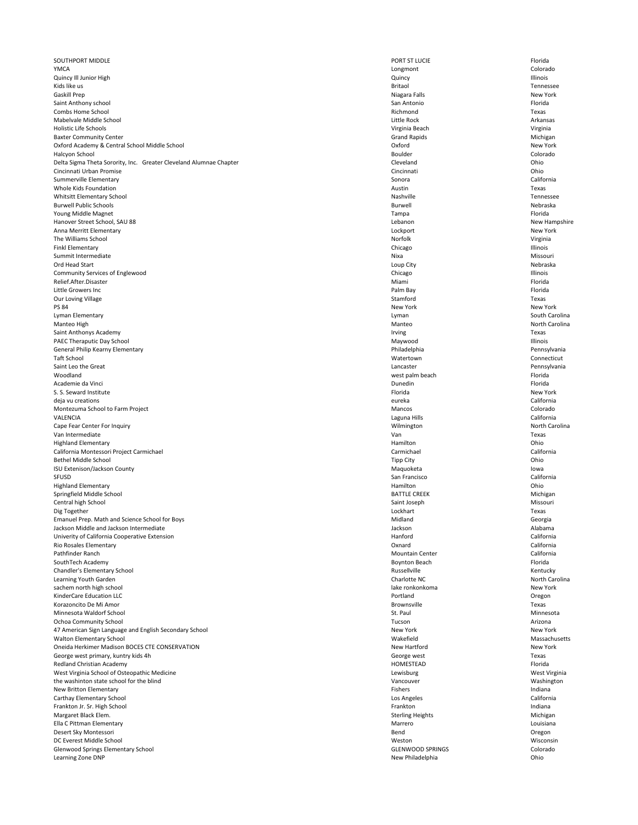| Rio Rosales Elementary                                 | Oxnard                  | California |
|--------------------------------------------------------|-------------------------|------------|
| Pathfinder Ranch                                       | <b>Mountain Center</b>  | California |
| SouthTech Academy                                      | <b>Boynton Beach</b>    | Florida    |
| Chandler's Elementary School                           | Russellville            | Kentucky   |
| Learning Youth Garden                                  | Charlotte NC            | North Car  |
| sachem north high school                               | lake ronkonkoma         | New York   |
| <b>KinderCare Education LLC</b>                        | Portland                | Oregon     |
| Korazoncito De Mi Amor                                 | <b>Brownsville</b>      | Texas      |
| Minnesota Waldorf School                               | St. Paul                | Minnesot   |
| <b>Ochoa Community School</b>                          | Tucson                  | Arizona    |
| 47 American Sign Language and English Secondary School | New York                | New York   |
| <b>Walton Elementary School</b>                        | Wakefield               | Massachu   |
| Oneida Herkimer Madison BOCES CTE CONSERVATION         | New Hartford            | New York   |
| George west primary, kuntry kids 4h                    | George west             | Texas      |
| <b>Redland Christian Academy</b>                       | HOMESTEAD               | Florida    |
| West Virginia School of Osteopathic Medicine           | Lewisburg               | West Virg  |
| the washinton state school for the blind               | Vancouver               | Washingt   |
| <b>New Britton Elementary</b>                          | <b>Fishers</b>          | Indiana    |
| Carthay Elementary School                              | Los Angeles             | California |
| Frankton Jr. Sr. High School                           | Frankton                | Indiana    |
| Margaret Black Elem.                                   | <b>Sterling Heights</b> | Michigan   |
| Ella C Pittman Elementary                              | Marrero                 | Louisiana  |
| Desert Sky Montessori                                  | Bend                    | Oregon     |
| DC Everest Middle School                               | Weston                  | Wisconsi   |
| <b>Glenwood Springs Elementary School</b>              | <b>GLENWOOD SPRINGS</b> | Colorado   |
| Learning Zone DNP                                      | New Philadelphia        | Ohio       |

SOUTHPORT MIDDLE Florida YMCA Longmont Colorado Quincy Ill Junior High Quincy Illinois Kids like us which is a set of the set of the set of the set of the set of the set of the set of the Set of Tennessee Gaskill Prep New York New York New York Niagara Falls New York Saint Anthony school San Antonio Florida Combs Home School Richmond Texas Mabelvale Middle School **Arkansas** Arkansas Arkansas Arkansas Arkansas Arkansas Arkansas Arkansas Arkansas Arkansas Holistic Life Schools Virginia Beach Virginia Baxter Community Center **Grand Rapids** Grand Rapids Grand Rapids Grand Rapids Grand Rapids Michigan Oxford Academy & Central School Middle School **New York** New York **COXford** Oxford **New York** New York Halcyon School Boulder Colorado Delta Sigma Theta Sorority, Inc. Greater Cleveland Alumnae Chapter **Community** Cleveland Cleveland Cleveland Ohio Cincinnati Urban Promise Cincinnati Ohio Summerville Elementary **Summerville Elementary** California whole Kids Foundation **Austin Texas Austin** Texas **Austin Austin Austin Austin** Texas Whitsitt Elementary School Tennessee Burwell Public Schools Burwell Nebraska Young Middle Magnet **Tampa Florida** Florida **Florida** Tampa **Florida** Florida Provincial Research Communication of the Second Provincial Research Provincial Research Provincial Research Provincial Research Provincial Resea Hanover Street School, SAU 88 **New Hampshire** New Hampshire New Hampshire Anna Merritt Elementary **New York New York Lockport Lockport Lockport New York** The Williams School Norfolk Norfolk Norfolk Norfolk Norfolk Norfolk Norfolk Norfolk Norfolk Nirginia Finkl Elementary **Example 20** Security 20 and 20 and 20 and 20 and 20 and 20 and 20 and 20 and 20 and 20 and 20 and 20 and 20 and 20 and 20 and 20 and 20 and 20 and 20 and 20 and 20 and 20 and 20 and 20 and 20 and 20 and 2 Summit Intermediate **Missouri** Missouri and the Missouri of the Missouri and the Missouri of the Missouri and Missouri Ord Head Start Nebraska Nebraska Nebraska Nebraska Nebraska Nebraska Nebraska Nebraska Nebraska Nebraska Nebraska Community Services of Englewood and a structure of Chicago Chicago Chicago Chicago Chicago Chicago Chicago Illinois Relief.After.Disaster Miami Florida Little Growers Inc Palm Bay Florida Our Loving Village **Stamford** Texas PS 84 New York New York New York New York New York New York New York New York New York Lyman Elementary Lyman South Carolina Manteo High North Carolina and North Carolina Saint Anthonys Academy Texas PAEC Theraputic Day School and the state of the state of the Maywood Maywood Maywood Maywood and the state of the Maywood Illinois General Philip Kearny Elementary **Pennsylvania** Philadelphia Philadelphia Philadelphia Pennsylvania Taft School Watertown Connecticut Saint Leo the Great **Lancaster** Pennsylvania Woodland west palm beach Florida Academie da Vinci **Electrónia e a contra electrónico e a contra electrónico e de Dunedin** Punedin Florida el prov S. S. Seward Institute New York and Society and Society and Society and Society and Society and Society and Society and Society and Society and Society and Society and Society and Society and Society and Society and Societ deja vu creations eureka California Montezuma School to Farm Project Colorado Colorado Colorado Nancos Colorado Colorado VALENCIA Laguna Hills California Cape Fear Center For Inquiry **North Carolina** Cape Fear Center For Inquiry North Carolina Van Intermediate Van Texas Highland Elementary Hamilton Ohio California Montessori Project Carmichael California California Carmichael Carmichael California Bethel Middle School **Example 20** Ohio **Children City** Tipp City **Children City** Ohio ISU Extenison/Jackson County **Iowa** Iowa SFUSD San Francisco California Highland Elementary **Example 2018** Chio Chio **Hamilton** Chio **Hamilton** Chio **Chio Chio Chio** Springfield Middle School Nichigan Nichigan BATTLE CREEK Nichigan BATTLE CREEK Michigan Central high School Saint Joseph Missouri Dig Together Lockhart Texas Emanuel Prep. Math and Science School for Boys **Midland** Georgia Georgia and Science School for Boys Midland Georgia Jackson Middle and Jackson Intermediate Alabama and Jackson Alabama and Jackson Alabama and Jackson Alabama and Jackson Alabama and Jackson Alabama and Jackson Alabama and Jackson Alabama and Jackson Alabama and Jackson Al Univerity of California Cooperative Extension National Accord California National Accord California California

| RIO ROSAIES EIEMENTARY                                 | Oxnard                  | California     |
|--------------------------------------------------------|-------------------------|----------------|
| Pathfinder Ranch                                       | <b>Mountain Center</b>  | California     |
| SouthTech Academy                                      | <b>Boynton Beach</b>    | Florida        |
| Chandler's Elementary School                           | Russellville            | Kentucky       |
| Learning Youth Garden                                  | Charlotte NC            | North Carolina |
| sachem north high school                               | lake ronkonkoma         | New York       |
| KinderCare Education LLC                               | Portland                | Oregon         |
| Korazoncito De Mi Amor                                 | <b>Brownsville</b>      | Texas          |
| Minnesota Waldorf School                               | St. Paul                | Minnesota      |
| <b>Ochoa Community School</b>                          | Tucson                  | Arizona        |
| 47 American Sign Language and English Secondary School | New York                | New York       |
| <b>Walton Elementary School</b>                        | Wakefield               | Massachusetts  |
| Oneida Herkimer Madison BOCES CTE CONSERVATION         | <b>New Hartford</b>     | New York       |
| George west primary, kuntry kids 4h                    | George west             | Texas          |
| <b>Redland Christian Academy</b>                       | HOMESTEAD               | Florida        |
| West Virginia School of Osteopathic Medicine           | Lewisburg               | West Virginia  |
| the washinton state school for the blind               | Vancouver               | Washington     |
| New Britton Elementary                                 | <b>Fishers</b>          | Indiana        |
| Carthay Elementary School                              | Los Angeles             | California     |
| Frankton Jr. Sr. High School                           | Frankton                | Indiana        |
| Margaret Black Elem.                                   | <b>Sterling Heights</b> | Michigan       |
| Ella C Pittman Elementary                              | Marrero                 | Louisiana      |
| Desert Sky Montessori                                  | Bend                    | Oregon         |
| DC Everest Middle School                               | Weston                  | Wisconsin      |
| <b>Glenwood Springs Elementary School</b>              | <b>GLENWOOD SPRINGS</b> | Colorado       |
| Learning Zone DNP                                      | New Philadelphia        | Ohio           |
|                                                        |                         |                |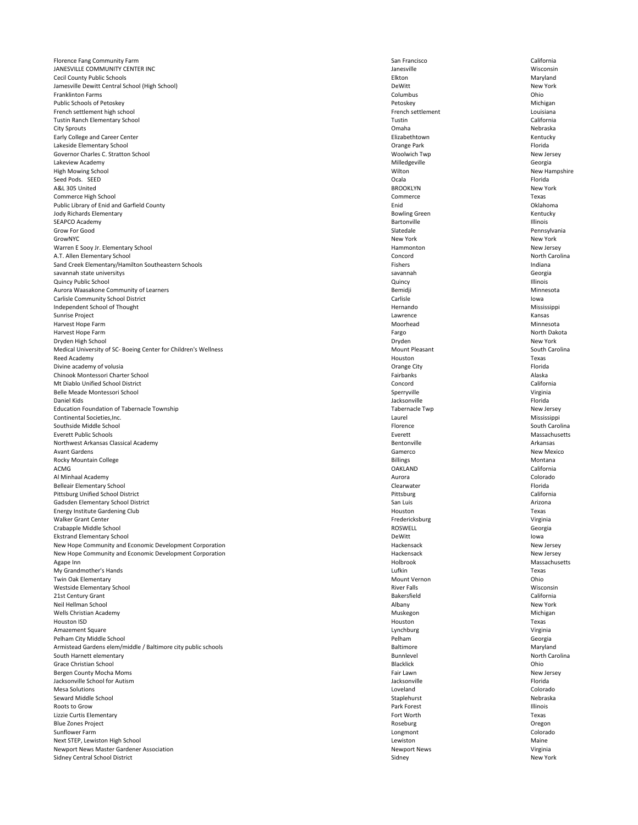Florence Fang Community Farm **San Francisco** California California JANESVILLE COMMUNITY CENTER INC **Wisconsin** University of the University of the University of the University of the University of the University of the University of the University of the University of the University of th Cecil County Public Schools Maryland Jamesville Dewitt Central School (High School) and School (High School) and School and School (High School) and School and School (High School) and School and School and School (High School) and School and School and Schoo Franklinton Farms Columbus Ohio Public Schools of Petoskey Petoskey Michigan French settlement high school Louisiana Louisiana Tustin Ranch Elementary School Tustin California City Sprouts Omaha Nebraska Early College and Career Center **Elizabethtown** Elizabethtown Elizabethtown **Elizabethtown** Kentucky Lakeside Elementary School Orange Park Florida Governor Charles C. Stratton School New Jersey New Jersey New Jersey New Jersey New Jersey New Jersey New Jersey Lakeview Academy **Milledgeville** Georgia High Mowing School New Hampshire New Hampshire New Hampshire New Hampshire New Hampshire Seed Pods. SEED **Seed Pods. SEED Florida** A&L 305 United New York New York New York New York New York New York New York New York **Commerce High School Commerce Commerce Commerce Commerce Commerce Commerce Commerce Commerce Commerce Commerce Commerce Commerce Commerce Commerce Commerce Commerce Commerce Commerce Commerce Commerce Commerce Commerce Co** Public Library of Enid and Garfield County **Enid** County Changes are a set of the Changes of Enid Changes of Enid Jody Richards Elementary **Bowling Green** Kentucky **Bowling Green** Kentucky **Bowling Green** Kentucky SEAPCO Academy which is a strong of the set of the set of the Bartonville in the Bartonville in the set of the Illinois Grow For Good **Slatedale** Pennsylvania GrowNYC New York New York Warren E Sooy Jr. Elementary School New Jersey New Jersey New Jersey New Jersey New Jersey New Jersey A.T. Allen Elementary School North Carolina and School Concord Concord Concord North Carolina Sand Creek Elementary/Hamilton Southeastern Schools **Fishers** Fishers Fishers Fishers **Fishers** Indiana savannah state universitys **Savannah** Georgia **Cuincy Public School Community Contract Community Community Community Community Community Community Community Community Community Community Community Community Community Community Community Community Community Community C** Aurora Waasakone Community of Learners **Bemidix** Aurora Bemidji **Bemidix** Bemidji Minnesota Carlisle Community School District **Carlisle Community School District** Lowa Independent School of Thought Mississippi Sunrise Project Lawrence Kansas Harvest Hope Farm **Munition Community Community** Moorhead Moorhead Moorhead Minnesota Harvest Hope Farm **Fargo** North Dakota Dryden High School Dryden New York Medical University of SC- Boeing Center for Children's Wellness and South Carolina Mount Pleasant South Carolina Reed Academy **Example 2008** Texas Divine academy of volusia **Example 20** Security Change City **Change City** Change City **Change City** Florida Chinook Montessori Charter School Fairbanks Alaska Mt Diablo Unified School District California Belle Meade Montessori School Virginia Niginia and Sperryville Sperryville Sperryville Virginia Daniel Kids Jacksonville Florida Education Foundation of Tabernacle Township New Jersey New Jersey New Jersey Continental Societies,Inc. Mississippi Southside Middle School South Carolina and South Carolina South Carolina South Carolina Everett Public Schools Massachusetts Massachusetts Everett National Massachusetts Massachusetts Massachusetts Northwest Arkansas Classical Academy **Bentonville** Arkansas **Bentonville** Arkansas **Bentonville** Arkansas Avant Gardens **Gamerco Camerco Camerco Camerco Camerco Camerco Camerco Camerco Camerco New Mexico** Rocky Mountain College **Billings** Montana and Montana and Science and Science and Science and Science and Science and Science and Science and Science and Science and Science and Science and Science and Science and Science ACMG OAKLAND California Al Minhaal Academy **Aurora** Colorado **Colorado Aurora** Aurora **Colorado Aurora** Colorado **Colorado Colorado** Belleair Elementary School **Election** Elementary School **Clearwater** Florida Pittsburg Unified School District Pittsburg California Gadsden Elementary School District **San Luis** Arizona and San Luis San Luis Arizona Arizona Energy Institute Gardening Club Texas Walker Grant Center **Fredericksburg Contract Center Contract Contract Center Center Center Center Center Center Center Center Center Center Center Center Center Center Center Center Center Center Center Center Center Cente** Crabapple Middle School Georgia Ekstrand Elementary School DeWitt Iowa

| New Hope Community and Economic Development Corporation       | Hackensack          | New Jersey     |
|---------------------------------------------------------------|---------------------|----------------|
| New Hope Community and Economic Development Corporation       | Hackensack          | New Jersey     |
| Agape Inn                                                     | Holbrook            | Massachusetts  |
| My Grandmother's Hands                                        | Lufkin              | Texas          |
| Twin Oak Elementary                                           | Mount Vernon        | Ohio           |
| Westside Elementary School                                    | <b>River Falls</b>  | Wisconsin      |
| 21st Century Grant                                            | <b>Bakersfield</b>  | California     |
| Neil Hellman School                                           | Albany              | New York       |
| Wells Christian Academy                                       | Muskegon            | Michigan       |
| Houston ISD                                                   | Houston             | Texas          |
| <b>Amazement Square</b>                                       | Lynchburg           | Virginia       |
| Pelham City Middle School                                     | Pelham              | Georgia        |
| Armistead Gardens elem/middle / Baltimore city public schools | <b>Baltimore</b>    | Maryland       |
| South Harnett elementary                                      | <b>Bunnlevel</b>    | North Carolina |
| <b>Grace Christian School</b>                                 | <b>Blacklick</b>    | Ohio           |
| Bergen County Mocha Moms                                      | Fair Lawn           | New Jersey     |
| Jacksonville School for Autism                                | Jacksonville        | Florida        |
| <b>Mesa Solutions</b>                                         | Loveland            | Colorado       |
| Seward Middle School                                          | Staplehurst         | Nebraska       |
| Roots to Grow                                                 | Park Forest         | Illinois       |
| Lizzie Curtis Elementary                                      | Fort Worth          | Texas          |
| <b>Blue Zones Project</b>                                     | Roseburg            | Oregon         |
| Sunflower Farm                                                | Longmont            | Colorado       |
| Next STEP, Lewiston High School                               | Lewiston            | Maine          |
| Newport News Master Gardener Association                      | <b>Newport News</b> | Virginia       |
| Sidney Central School District                                | Sidney              | New York       |
|                                                               |                     |                |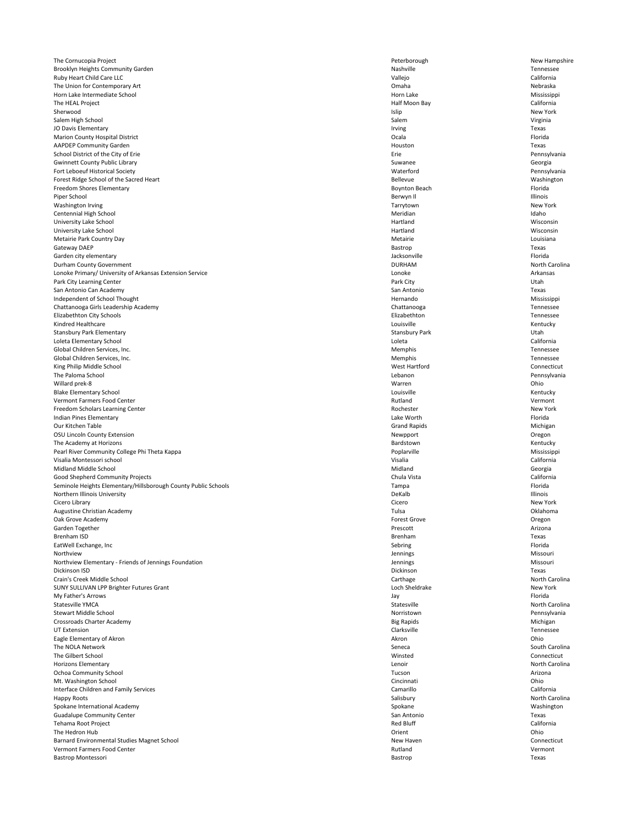The Cornucopia Project New Hampshire **Peterborough** New Hampshire Peterborough New Hampshire Brooklyn Heights Community Garden Tennessee and Tennessee and Tennessee and Tennessee and Tennessee Ruby Heart Child Care LLC **California** California California California California California California California The Union for Contemporary Art Nebraska **Nebraska** Nebraska **Nebraska Nebraska Nebraska** Horn Lake Intermediate School Mississippi The HEAL Project California California Sherwood Islip New York Salem High School Nirginia and Salem Nirginia and Salem Nirginia and Salem Nirginia and Salem Nirginia and Salem Nirginia JO Davis Elementary **Internal and Security Texas** Irving Texas Marion County Hospital District **National Properties and American County Accepts** Florida **Florida** Florida **Florida** AAPDEP Community Garden Texas School District of the City of Erie Pennsylvania Gwinnett County Public Library Suwanee Georgia Suwanee Georgia Suwanee Georgia Suwanee Georgia Fort Leboeuf Historical Society Waterford Pennsylvania Forest Ridge School of the Sacred Heart **Bellevue** Washington Bellevue Bellevue Washington Freedom Shores Elementary **Elementary** Florida and the structure of the Boynton Beach Florida Boynton Beach Florida Piper School Berwyn Il Illinois Washington Irving New York New York New York New York New York New York New York Centennial High School and The Centennial High School and The Idaho Meridian Idaho Meridian Idaho Idaho Idaho University Lake School Wisconsin Number of the University Lake School Wisconsin University Lake School Wisconsin Number of the University Lake School Wisconsin Metairie Park Country Day Metairie Louisiana Gateway DAEP Bastrop Texas Garden city elementary **Samuella Elementary** Florida **Garden City elementary** Florida Durham County Government North Carolina and the UNRHAM North Carolina and DURHAM North Carolina and DURHAM North Carolina Lonoke Primary/ University of Arkansas Extension Service **Lonoke** Lonoke Lonoke Lonoke Arkansas Arkansas Arkansas Park City Learning Center **Park City Learning Center Park City** Park City Park City Park City Utah San Antonio Can Academy **San Antonio Can Academy** Texas Independent of School Thought Mississippi Chattanooga Girls Leadership Academy Chattanooga Tennessee Elizabethton City Schools Elizabethton Tennessee Kindred Healthcare **Example 2018** Kentucky **Constanting Constanting Constanting Constanting Constanting Constanting Constanting Constanting Constanting Constanting Constanting Constanting Constanting Constanting Constantin** Stansbury Park Elementary **Stansbury Park** Stansbury Park Stansbury Park Stansbury Park Utah Loleta Elementary School Loleta California Global Children Services, Inc. **Memphis** Tennessee and Tennessee and Tennessee and Tennessee and Tennessee and Tennessee Global Children Services, Inc. Tennessee King Philip Middle School **Connecticut** Connecticut The Paloma School Lebanon Pennsylvania Willard prek-8 Warren Ohio Blake Elementary School **Exercise Contract Contract Contract Contract Contract Contract Contract Contract Contract Contract Contract Contract Contract Contract Contract Contract Contract Contract Contract Contract Contract** vermont Farmers Food Center Number of Center Rutland Vermont Number of Texas and Vermont Services of Australian Vermont Number of Rutland Vermont Number of Rutland Vermont Number of Rutland Vermont Number of Rutland Vermon Freedom Scholars Learning Center New York Indian Pines Elementary Lake Worth Florida Our Kitchen Table Grand Rapids Michigan OSU Lincoln County Extension **New Proport** Oregon New Proport New Proport Oregon New Proport Oregon The Academy at Horizons **Example 2018** Sentucky **Bardstown** Bardstown **Bardstown Kentucky** Pearl River Community College Phi Theta Kappa **Poplary Poplary Poplary Poplary Poplary Poplary Poplary Poplary Poplary Poplary Poplary Poplary Poplary Poplary Poplary Poplary Poplary Poplary Poplary Poplary Poplary Poplary** Visalia Montessori school Visalia California Midland Middle School **Georgia** Georgia Good Shepherd Community Projects **California** California Seminole Heights Elementary/Hillsborough County Public Schools **Tampa** Florida Florida Florida Florida Florida Florida Northern Illinois University **Example 2018** 11 Illinois DeKalb DeKalb **Illinois** Cicero Library Cicero New York Augustine Christian Academy Tulsa Oklahoma Oak Grove Academy Forest Grove Oregon Garden Together **Example 2018** Arizona and the Second Prescott **Prescott** and the **Prescott** Arizona Brenham ISD **Brenham Constant Constant Constant Constant Constant Constant Constant Constant Constant Constant Constant Constant Constant Constant Constant Constant Constant Constant Constant Constant Constant Constant C** 

| EatWell Exchange, Inc                                 | Sebring           | Florida        |
|-------------------------------------------------------|-------------------|----------------|
| Northview                                             | Jennings          | Missouri       |
| Northview Elementary - Friends of Jennings Foundation | Jennings          | Missouri       |
| Dickinson ISD                                         | Dickinson         | Texas          |
| Crain's Creek Middle School                           | Carthage          | North Carolina |
| SUNY SULLIVAN LPP Brighter Futures Grant              | Loch Sheldrake    | New York       |
| My Father's Arrows                                    | Jay               | Florida        |
| <b>Statesville YMCA</b>                               | Statesville       | North Carolina |
| <b>Stewart Middle School</b>                          | Norristown        | Pennsylvania   |
| <b>Crossroads Charter Academy</b>                     | <b>Big Rapids</b> | Michigan       |
| <b>UT Extension</b>                                   | Clarksville       | Tennessee      |
| Eagle Elementary of Akron                             | Akron             | Ohio           |
| The NOLA Network                                      | Seneca            | South Carolina |
| The Gilbert School                                    | Winsted           | Connecticut    |
| <b>Horizons Elementary</b>                            | Lenoir            | North Carolina |
| <b>Ochoa Community School</b>                         | Tucson            | Arizona        |
| Mt. Washington School                                 | Cincinnati        | Ohio           |
| Interface Children and Family Services                | Camarillo         | California     |
| Happy Roots                                           | Salisbury         | North Carolina |
| Spokane International Academy                         | Spokane           | Washington     |
| <b>Guadalupe Community Center</b>                     | San Antonio       | Texas          |
| Tehama Root Project                                   | <b>Red Bluff</b>  | California     |
| The Hedron Hub                                        | Orient            | Ohio           |
| Barnard Environmental Studies Magnet School           | New Haven         | Connecticut    |
| <b>Vermont Farmers Food Center</b>                    | Rutland           | Vermont        |
| Bastrop Montessori                                    | <b>Bastrop</b>    | Texas          |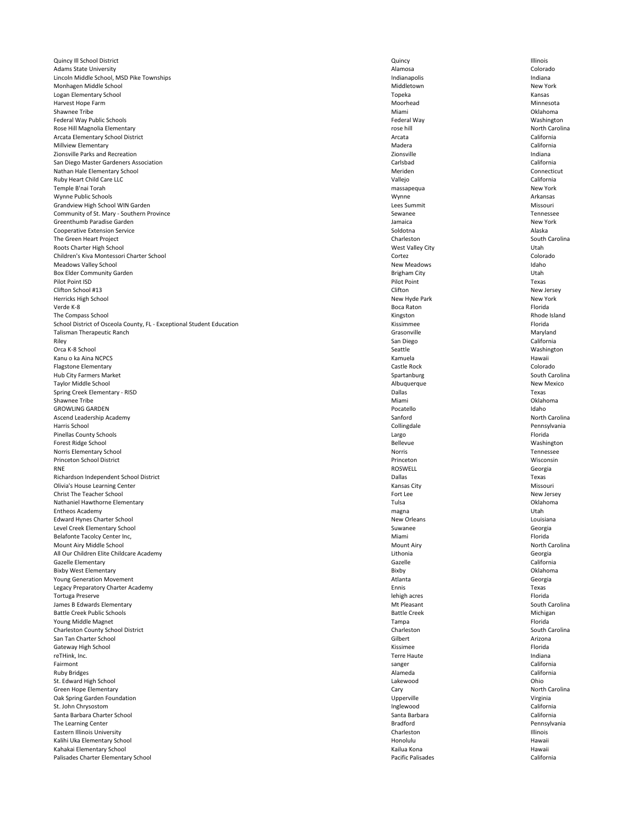Quincy Ill School District **Exercise 2018** Cluincis **Cluincis** Cluincy **Cluincis Cluincis Cluincis Cluincis** Adams State University **Account Colorado** Colorado **Alamosa** Colorado **Alamosa** Colorado Lincoln Middle School, MSD Pike Townships **Indianapolis** Indianapolis **Indianapolis** Indiana Monhagen Middle School New York Logan Elementary School **Exercise Contract Contract Contract Contract Contract Contract Contract Contract Contract Contract Contract Contract Contract Contract Contract Contract Contract Contract Contract Contract Contract** Harvest Hope Farm **Minnesota** Minnesota Shawnee Tribe **Example 2018** Oklahoma **Oklahoma** Miami Miami and Distribution of the Oklahoma Oklahoma of the Oklahoma of the Oklahoma of the Oklahoma of the Oklahoma of the Oklahoma of the Oklahoma of the Oklahoma of the Federal Way Public Schools Federal Way Washington Rose Hill Magnolia Elementary **Rose hill North Carolina** Rose hill North Carolina Rose hill North Carolina Arcata Elementary School District **Arcata** California California California California California California California Millview Elementary **Elementary** California Zionsville Parks and Recreation and and the creation of the creative of the Indiana Zionsville and Zionsville San Diego Master Gardeners Association Carlsbad California Nathan Hale Elementary School **Exercice Connecticut** Connecticut Ruby Heart Child Care LLC California Temple B'nai Torah massapequa New York Wynne Public Schools Wynne Arkansas Grandview High School WIN Garden Missouri and Missouri Lees Summit Nissouri Lees Summit Missouri Community of St. Mary - Southern Province Tennessee Sewanee Sewanee Tennessee Greenthumb Paradise Garden New York **Channel According the Channel According Control** Jamaica New York Jamaica Cooperative Extension Service **Soldotna** Alaska Alaska Soldotna Soldotna Soldotna Alaska Alaska Alaska Soldotna Alaska Alaska Alaska Alaska Alaska Alaska Alaska Alaska Alaska Alaska Alaska Alaska Alaska Alaska Alaska Alask The Green Heart Project South Carolina Roots Charter High School Utah Children's Kiva Montessori Charter School Colorado Cortez Colorado Cortez Colorado Meadows Valley School and the state of the Meadows New Meadows New Meadows Idaho Box Elder Community Garden **Brigham City** Utah Pilot Point ISD **Provides a contract of the Contract of Texas** Pilot Point **Pilot Point** Texas Clifton School #13 Clifton New Jersey Herricks High School New Hyde Park New York Verde K-8 Boca Raton Florida The Compass School **Rhode Island** Rhode Island School District of Osceola County, FL - Exceptional Student Education **Kissimmee** Florida Kissimmee Florida Florida Talisman Therapeutic Ranch Maryland Riley San Diego California Orca K-8 School Nashington Nashington Seattle Seattle Seattle Seattle Seattle Nashington Kanu o ka Aina NCPCS **Kamuela** Hawaii Kamuela Kamuela Kamuela Kamuela Kamuela Hawaii Kamuela Hawaii Flagstone Elementary **Castle Rock** Colorado Castle Rock Colorado Hub City Farmers Market South Carolina Spartanburg Spartanburg Spartanburg Spartanburg South Carolina Taylor Middle School New Mexico Spring Creek Elementary - RISD Texas Shawnee Tribe **Example 2018** Oklahoma **Oklahoma** Miami Miami and Distribution of the Oklahoma Oklahoma of the Oklahoma of the Oklahoma of the Oklahoma of the Oklahoma of the Oklahoma of the Oklahoma of the Oklahoma of the GROWLING GARDEN **Idaho** Idaho Ascend Leadership Academy **Sanford** Sanford Sanford North Carolina Harris School Collingdale Pennsylvania Pinellas County Schools Largo Florida Forest Ridge School Nashington Nashington Bellevue Rellevue Bellevue Rellevue Rellevue Rellevue Rellevue Nashington Norris Elementary School Tennessee Princeton School District Princeton Wisconsin RNE ROSWELL Georgia Richardson Independent School District Texas Olivia's House Learning Center **Missouri** Missouri Christ The Teacher School New Jersey New Jersey (1999) and the School Fort Lee New Jersey New Jersey New Jersey Nathaniel Hawthorne Elementary **Nathaniel Hawthorne Elementary Nathaniel Hawthorne Elementary Oklahoma** Entheos Academy magna Utah Edward Hynes Charter School **Edward Hynes Charter School** Louisiana Louisiana Louisiana Level Creek Elementary School Georgia Belafonte Tacolcy Center Inc, **Miami** Florida and The United States of the United States of the Miami Florida and The States of the States of the States of the Miami Florida and The States of the States of the States of th

| Mount Airy Middle School                 | <b>Mount Airy</b>        | North Carolina |
|------------------------------------------|--------------------------|----------------|
| All Our Children Elite Childcare Academy | Lithonia                 | Georgia        |
| <b>Gazelle Elementary</b>                | Gazelle                  | California     |
| <b>Bixby West Elementary</b>             | Bixby                    | Oklahoma       |
| <b>Young Generation Movement</b>         | Atlanta                  | Georgia        |
| Legacy Preparatory Charter Academy       | Ennis                    | Texas          |
| Tortuga Preserve                         | lehigh acres             | Florida        |
| James B Edwards Elementary               | Mt Pleasant              | South Carolina |
| <b>Battle Creek Public Schools</b>       | <b>Battle Creek</b>      | Michigan       |
| Young Middle Magnet                      | Tampa                    | Florida        |
| Charleston County School District        | Charleston               | South Carolina |
| San Tan Charter School                   | Gilbert                  | Arizona        |
| Gateway High School                      | Kissimee                 | Florida        |
| reTHink, Inc.                            | <b>Terre Haute</b>       | Indiana        |
| Fairmont                                 | sanger                   | California     |
| <b>Ruby Bridges</b>                      | Alameda                  | California     |
| St. Edward High School                   | Lakewood                 | Ohio           |
| Green Hope Elementary                    | Cary                     | North Carolina |
| Oak Spring Garden Foundation             | Upperville               | Virginia       |
| St. John Chrysostom                      | Inglewood                | California     |
| Santa Barbara Charter School             | Santa Barbara            | California     |
| The Learning Center                      | <b>Bradford</b>          | Pennsylvania   |
| <b>Eastern Illinois University</b>       | Charleston               | Illinois       |
| Kalihi Uka Elementary School             | Honolulu                 | Hawaii         |
| Kahakai Elementary School                | Kailua Kona              | Hawaii         |
| Palisades Charter Elementary School      | <b>Pacific Palisades</b> | California     |
|                                          |                          |                |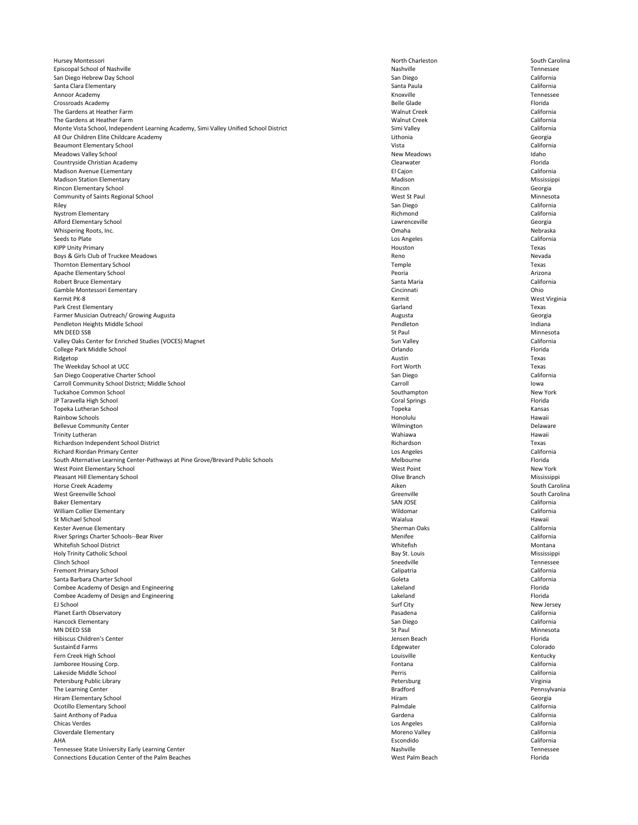Hursey Montessori South Carolina and South Charleston North Charleston South Carolina Episcopal School of Nashville Tennessee San Diego Hebrew Day School San Diego California Santa Clara Elementary **Santa Paula** California California Annoor Academy **Kanadia Accessive Control** Control Control Control Control Control Control Control Control Control Control Control Control Control Control Control Control Control Control Control Control Control Control Con Crossroads Academy Belle Glade Florida The Gardens at Heather Farm Walnut Creek California The Gardens at Heather Farm Walnut Creek California Monte Vista School, Independent Learning Academy, Simi Valley Unified School District Simi Valley Simi Valley California All Our Children Elite Childcare Academy **Contract Contract Contract Contract Contract Contract Contract Contract Contract Contract Contract Contract Contract Contract Contract Contract Contract Contract Contract Contract** Beaumont Elementary School Vista California Meadows Valley School New Meadows Idaho Countryside Christian Academy Clearwater Florida Madison Avenue ELementary **Elementary** California Madison Station Elementary Madison Mississippi Rincon Elementary School **Elementary School** Georgia Community of Saints Regional School Ninnesota and Ninnesota and Ninnesota and Ninnesota and Ninnesota Riley San Diego California Nystrom Elementary **Richmond** California **California** California Alford Elementary School Georgia Whispering Roots, Inc. Nebraska Seeds to Plate **Los Angeles** California KIPP Unity Primary **Example 2008** Texas Boys & Girls Club of Truckee Meadows Nevada Thornton Elementary School Temple Texas Apache Elementary School Peoria Arizona Robert Bruce Elementary **Santa Maria** California California Gamble Montessori Eementary Cincinnati Ohio Kermit PK-8 Kermit West Virginia Park Crest Elementary **Example 2008** Texas Farmer Musician Outreach/ Growing Augusta Georgia Channel Communications and Augusta Channel Communications of the Georgia Pendleton Heights Middle School Pendleton Indiana MN DEED SSB Ninnesota Valley Oaks Center for Enriched Studies (VOCES) Magnet California California California College Park Middle School Orlando Florida Ridgetop and the settlement of the settlement of the settlement of the settlement of the settlement of the set The Weekday School at UCC The Worth Texas San Diego Cooperative Charter School **San Diego** California California Carroll Community School District; Middle School Carroll Carroll Carroll Carroll Carroll Community School District; Middle School Carroll Carroll Carroll Carroll Carroll Carroll Carroll Carroll Carroll Carroll Carroll Carr Tuckahoe Common School New York JP Taravella High School Coral Springs Florida Topeka Lutheran School Topeka Kansas Rainbow Schools **Example 19** Honolulu Hawaii Honolulu Honolulu Honolulu Hawaii Hawaii Bellevue Community Center **Network Community Center** Wilmington Delaware Trinity Lutheran Wahiawa Hawaii Richardson Independent School District Texas Richard Riordan Primary Center **Los Angeles** California South Alternative Learning Center-Pathways at Pine Grove/Brevard Public Schools Melbourne Melbourne Melbourne Florida West Point Elementary School New York Pleasant Hill Elementary School Mississippi Horse Creek Academy **Aiken** South Carolina and South Carolina and South Carolina and South Carolina and South Carolina west Greenville School South Carolina (Separation of Greenville School South Carolina ) and South Carolina (Separation of Greenville South Carolina ) and South Carolina (Separation of Greenville School South Carolina ) and Baker Elementary **SAN JOSE** California William Collier Elementary **California** California St Michael School Waialua Hawaii Kester Avenue Elementary Sherman Oaks California River Springs Charter Schools--Bear River Menitee California and Schools and California and California and Menifee California

| Whitefish School District                               | Whitefish       | Montana      |
|---------------------------------------------------------|-----------------|--------------|
| Holy Trinity Catholic School                            | Bay St. Louis   | Mississippi  |
| Clinch School                                           | Sneedville      | Tennessee    |
| <b>Fremont Primary School</b>                           | Calipatria      | California   |
| Santa Barbara Charter School                            | Goleta          | California   |
| Combee Academy of Design and Engineering                | Lakeland        | Florida      |
| Combee Academy of Design and Engineering                | Lakeland        | Florida      |
| EJ School                                               | Surf City       | New Jersey   |
| <b>Planet Earth Observatory</b>                         | Pasadena        | California   |
| <b>Hancock Elementary</b>                               | San Diego       | California   |
| MN DEED SSB                                             | St Paul         | Minnesota    |
| Hibiscus Children's Center                              | Jensen Beach    | Florida      |
| <b>SustainEd Farms</b>                                  | Edgewater       | Colorado     |
| Fern Creek High School                                  | Louisville      | Kentucky     |
| Jamboree Housing Corp.                                  | Fontana         | California   |
| Lakeside Middle School                                  | Perris          | California   |
| Petersburg Public Library                               | Petersburg      | Virginia     |
| The Learning Center                                     | <b>Bradford</b> | Pennsylvania |
| Hiram Elementary School                                 | Hiram           | Georgia      |
| Ocotillo Elementary School                              | Palmdale        | California   |
| Saint Anthony of Padua                                  | Gardena         | California   |
| <b>Chicas Verdes</b>                                    | Los Angeles     | California   |
| Cloverdale Elementary                                   | Moreno Valley   | California   |
| AHA                                                     | Escondido       | California   |
| Tennessee State University Early Learning Center        | Nashville       | Tennessee    |
| <b>Connections Education Center of the Palm Beaches</b> | West Palm Beach | Florida      |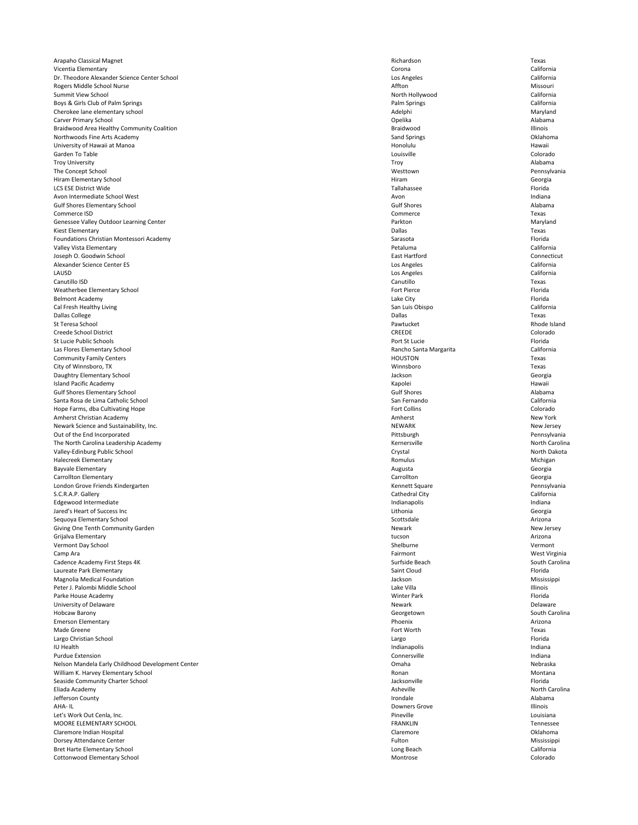Arapaho Classical Magnet **Arizon Classical Magnet** Texas Vicentia Elementary Corona California Dr. Theodore Alexander Science Center School Los Angeles California Rogers Middle School Nurse Missouri and School Nurse Missouri and Missouri and Affton Missouri and Missouri and Missouri Summit View School North Hollywood California Boys & Girls Club of Palm Springs California and School and School and Springs Palm Springs California California Cherokee lane elementary school and a state of the cherokee lane elementary school and Maryland Carver Primary School **Carver Primary School** and the Alabama Carver Primary School and Alabama Alabama Carver Primary School and Alabama Alabama Carver Primary School and Alabama Carver Carver Carver Carver Carver Carver Braidwood Area Healthy Community Coalition **Example 2018** 2019 11: A state of the Braidwood Braidwood Braidwood Illinois Northwoods Fine Arts Academy **Sand Springs** Collahoma Collahoma Sand Springs Sand Springs Collahoma Collahoma University of Hawaii at Manoa **Honora Hawaii** Hawaii Hawaii Honolulu Hawaii Honolulu Hawaii Hawaii Garden To Table Louisville Colorado Troy University Troy Alabama The Concept School Westtown Pennsylvania Hiram Elementary School Georgia LCS ESE District Wide Tallahassee Florida Avon Intermediate School West and the Material School West and a structure and the Material School West and Indiana Gulf Shores Elementary School and the Control of the Control of Gulf Shores Alabama Alabama Control of the Control of the Control of the Control of the Control of the Control of the Control of the Control of the Control of Commerce ISD Commerce Commerce Commerce Commerce Commerce Commerce Commerce Commerce Commerce Commerce Commerce Genessee Valley Outdoor Learning Center **National Center According to the Center According Center According Center** Maryland Kiest Elementary **Example 2008** Texas Foundations Christian Montessori Academy **Sarasota** Florida Christian Sarasota **Florida** Sarasota Florida Sarasota Florida Valley Vista Elementary **California** California Joseph O. Goodwin School East Hartford Connecticut Alexander Science Center ES Los Angeles California LAUSD Los Angeles California Canutillo ISD Canutillo Texas Weatherbee Elementary School Fort Pierce Florida and The Florida Control of Pierce Florida and The Florida Control of Pierce Florida and The Florida and The Florida and The Florida and The Florida and The Florida and The F Belmont Academy Lake City Florida Cal Fresh Healthy Living California California California California Dallas College **Dallas** College **Dallas** Texas St Teresa School Pawtucket Rhode Island Creede School District Colorado Colorado CREEDE Colorado St Lucie Public Schools **Exercice Florida** Port St Lucie **Public Schools** Florida Las Flores Elementary School **Exercices** California California Community Family Centers **Example 20** Texas **HOUSTON** Texas City of Winnsboro, TX Texas Daughtry Elementary School Georgia Island Pacific Academy **Kapolei** Hawaii Hawaii **Kapolei** Kapolei **Kapolei** Hawaii Assembly Rawaii Hawaii **Hawaii** Gulf Shores Elementary School Gulf Shores Alabama Santa Rosa de Lima Catholic School San Fernando California Hope Farms, dba Cultivating Hope Colorado Colorado Colorado Fort Collins Fort Collins Colorado Amherst Christian Academy New York (New York New York New York New York New York New York New York New York New York Newark Science and Sustainability, Inc. New Jersey New Jersey New Jersey New Jersey Out of the End Incorporated **Pittsburgh Pennsylvania** Pennsylvania The North Carolina Leadership Academy **North Carolina** Kernersville **North Carolina** North Carolina Valley-Edinburg Public School Crystal North Dakota Halecreek Elementary **Romulus Michigan** Michigan Romulus Romulus Romulus Romulus Romulus Michigan Bayvale Elementary **Augusta** Georgia Carrollton Elementary **Carrollton** Georgia Carrollton Carrollton Carrollton Carrollton Carrollton Carrollton Carrollton Carrollton Carrollton Carrollton Carrollton Carrollton Carrollton Carrollton Carrollton Carrollton Car London Grove Friends Kindergarten Kennett Square Rennett Square Rennett Square Pennsylvania S.C.R.A.P. Gallery California Edgewood Intermediate **Indiana** Indiana Indiana Indianapolis and Indianapolis and Indianapolis and Indiana Jared's Heart of Success Inc Lithonia Georgia Sequoya Elementary School Arizona (Sequoya Elementary School Arizona Arizona Arizona Arizona Arizona Arizona A Giving One Tenth Community Garden New Jersey and the University of New Jersey New Jersey New Jersey Grijalva Elementary tucson Arizona

| Vermont Day School                                | Shelburne            | Vermont        |
|---------------------------------------------------|----------------------|----------------|
| Camp Ara                                          | Fairmont             | West Virginia  |
| Cadence Academy First Steps 4K                    | Surfside Beach       | South Carolina |
| Laureate Park Elementary                          | Saint Cloud          | Florida        |
| <b>Magnolia Medical Foundation</b>                | Jackson              | Mississippi    |
| Peter J. Palombi Middle School                    | Lake Villa           | Illinois       |
| Parke House Academy                               | <b>Winter Park</b>   | Florida        |
| University of Delaware                            | Newark               | Delaware       |
| Hobcaw Barony                                     | Georgetown           | South Carolina |
| <b>Emerson Elementary</b>                         | Phoenix              | Arizona        |
| Made Greene                                       | Fort Worth           | Texas          |
| Largo Christian School                            | Largo                | Florida        |
| <b>IU Health</b>                                  | Indianapolis         | Indiana        |
| <b>Purdue Extension</b>                           | Connersville         | Indiana        |
| Nelson Mandela Early Childhood Development Center | Omaha                | Nebraska       |
| William K. Harvey Elementary School               | Ronan                | Montana        |
| Seaside Community Charter School                  | Jacksonville         | Florida        |
| Eliada Academy                                    | Asheville            | North Carolina |
| Jefferson County                                  | Irondale             | Alabama        |
| AHA-IL                                            | <b>Downers Grove</b> | Illinois       |
| Let's Work Out Cenla, Inc.                        | Pineville            | Louisiana      |
| <b>MOORE ELEMENTARY SCHOOL</b>                    | <b>FRANKLIN</b>      | Tennessee      |
| Claremore Indian Hospital                         | Claremore            | Oklahoma       |
| Dorsey Attendance Center                          | Fulton               | Mississippi    |
| Bret Harte Elementary School                      | Long Beach           | California     |
| <b>Cottonwood Elementary School</b>               | Montrose             | Colorado       |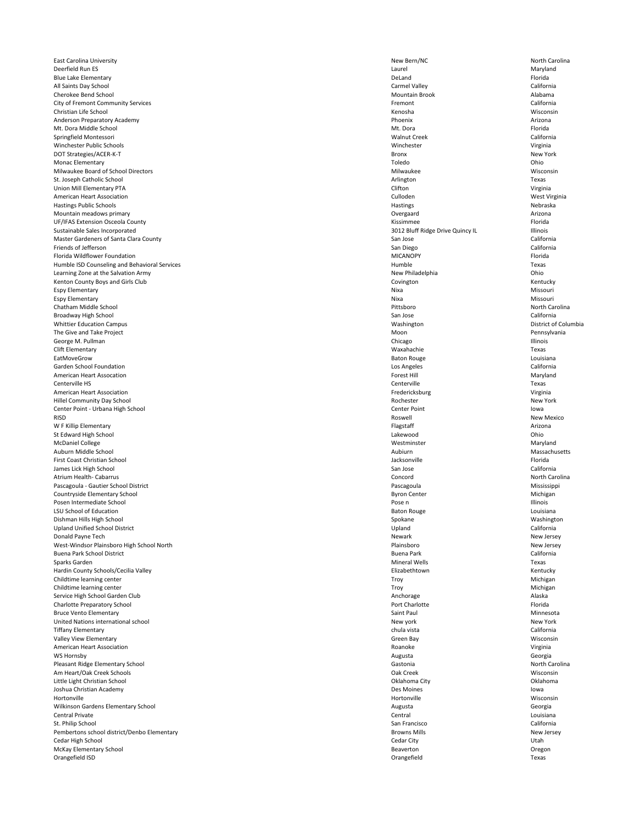East Carolina University **New Bern/NC** New Bern/NC North Carolina

Deerfield Run ES Laurel Maryland Blue Lake Elementary **Example 20** Security Provides and Security Provides and Security Provides and Security Provides and Security Provides and Security Provides and Security Provides and Security Provides and Security Pro All Saints Day School **California** California Carmel Valley **Carmel Valley** Carmel Valley **California** Cherokee Bend School **Alabama** Alabama Alabama Alabama Alabama Alabama Alabama Alabama Alabama Alabama Alabama Alabama Alabama Alabama Alabama Alabama Alabama Alabama Alabama Alabama Alabama Alabama Alabama Alabama Alabama City of Fremont Community Services **Example 2018** California **California California** Christian Life School Kenosha Wisconsin Anderson Preparatory Academy **Arizona** Arizona **Phoenix** Phoenix **Arizona** Phoenix **Arizona** Mt. Dora Middle School Florida Springfield Montessori **Exercice California** California Winchester Public Schools **Winchester** Virginia DOT Strategies/ACER-K-T Bronx New York Monac Elementary Toledo Ohio Milwaukee Board of School Directors **Milwaukee** Milwaukee Milwaukee Milwaukee Wisconsin St. Joseph Catholic School **Texas** Union Mill Elementary PTA Clifton Virginia American Heart Association Culloden West Virginia Hastings Public Schools Nebraska Mountain meadows primary **Arizona** Arizona and Arizona and Arizona and Arizona and Arizona and Arizona and Arizona UF/IFAS Extension Osceola County **Extension Osceola County Kissimmee** Florida Sustainable Sales Incorporated and the Ullinois Sustainable Sales Incorporated and Illinois Master Gardeners of Santa Clara County **Santa Clara County** San Jose San Jose California Friends of Jefferson San Diego California Florida Wildflower Foundation **Fixable 10** Florida MICANOPY **Florida** Humble ISD Counseling and Behavioral Services **Example 2018** Texas All and the Mumble Texas All and the Texas Texas Learning Zone at the Salvation Army **New Philadelphia** New Philadelphia New Philadelphia Chio Kenton County Boys and Girls Club **Covington** Kentucky Covington Covington Covington Kentucky Espy Elementary Nixa Missouri Espy Elementary Nixa Missouri Chatham Middle School Pittsboro North Carolina Broadway High School California Whittier Education Campus Washington District of Columbia The Give and Take Project **Exercise 2020** Pennsylvania George M. Pullman **Chicago** Chicago Chicago Chicago Chicago Chicago Chicago Chicago Chicago Chicago Chicago Chicago Chicago Chicago Chicago Chicago Chicago Chicago Chicago Chicago Chicago Chicago Chicago Chicago Chicago Ch Clift Elementary Waxahachie Texas EatMoveGrow Baton Rouge Louisiana Garden School Foundation Los Angeles California American Heart Assocation **Forest Hill** Forest Hill Forest Hill Forest Hill Raryland Centerville HS Centerville Texas American Heart Association **Virginia** Virginia Hillel Community Day School New York (New York New York New York New York New York New York New York New York Center Point - Urbana High School Center Point Iowa RISD Roswell Roswell Roswell Roswell Roswell Roswell Roswell Roswell Review Mexico W F Killip Elementary **Elementary** Arizona St Edward High School **Children** Child Children Children Children Children Children Children Children Children Children Children Children Children Children Children Children Children Children Children Children Children Chi McDaniel College **Maryland** Maryland Maryland Maryland Mestminster **Maryland** Maryland Auburn Middle School Aubiurn Massachusetts First Coast Christian School Jacksonville Florida James Lick High School San Jose California Atrium Health- Cabarrus North Carolina Pascagoula - Gautier School District **Nississippi** Pascagoula Pascagoula Pascagoula Countryside Elementary School Nichigan National Byron Center Nichigan Byron Center Nichigan Nichigan Byron Center Nichigan Posen Intermediate School and a View of the Contract of Pose n and Pose n and Pose n Illinois LSU School of Education **Baton Rouge Louisiana** Louisiana Dishman Hills High School Spokane Washington Upland Unified School District California Donald Payne Tech New Jersey

| West-Windsor Plainsboro High School North   | Plainsboro           | New Jersey     |
|---------------------------------------------|----------------------|----------------|
| <b>Buena Park School District</b>           | <b>Buena Park</b>    | California     |
| Sparks Garden                               | <b>Mineral Wells</b> | Texas          |
| Hardin County Schools/Cecilia Valley        | Elizabethtown        | Kentucky       |
| Childtime learning center                   | Troy                 | Michigan       |
| Childtime learning center                   | Troy                 | Michigan       |
| Service High School Garden Club             | Anchorage            | Alaska         |
| <b>Charlotte Preparatory School</b>         | Port Charlotte       | Florida        |
| <b>Bruce Vento Elementary</b>               | Saint Paul           | Minnesota      |
| United Nations international school         | New york             | New York       |
| <b>Tiffany Elementary</b>                   | chula vista          | California     |
| Valley View Elementary                      | Green Bay            | Wisconsin      |
| <b>American Heart Association</b>           | Roanoke              | Virginia       |
| WS Hornsby                                  | Augusta              | Georgia        |
| Pleasant Ridge Elementary School            | Gastonia             | North Carolina |
| Am Heart/Oak Creek Schools                  | Oak Creek            | Wisconsin      |
| Little Light Christian School               | Oklahoma City        | Oklahoma       |
| Joshua Christian Academy                    | Des Moines           | lowa           |
| Hortonville                                 | Hortonville          | Wisconsin      |
| <b>Wilkinson Gardens Elementary School</b>  | Augusta              | Georgia        |
| <b>Central Private</b>                      | Central              | Louisiana      |
| St. Philip School                           | San Francisco        | California     |
| Pembertons school district/Denbo Elementary | <b>Browns Mills</b>  | New Jersey     |
| Cedar High School                           | Cedar City           | Utah           |
| <b>McKay Elementary School</b>              | <b>Beaverton</b>     | Oregon         |
| Orangefield ISD                             | Orangefield          | Texas          |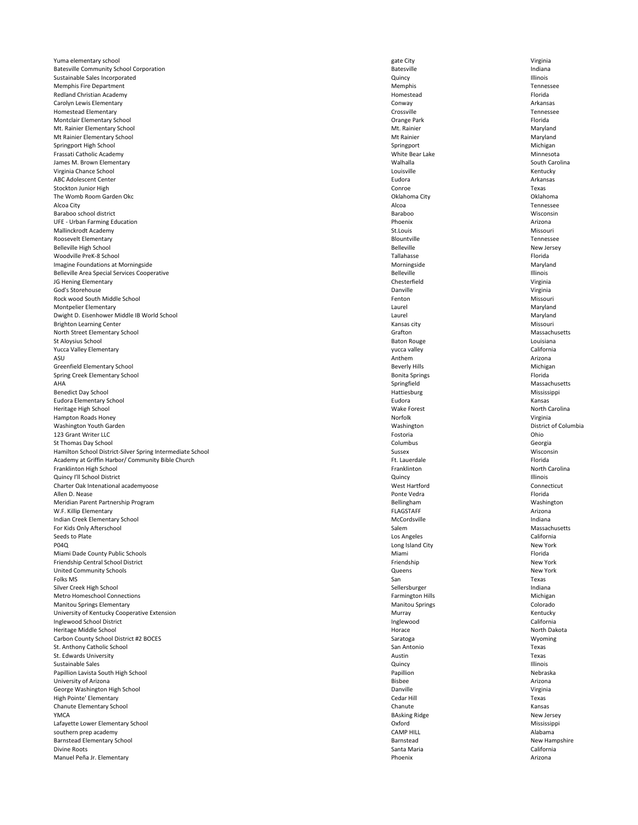Yuma elementary school virginia virginia virginia virginia virginia virginia virginia virginia virginia virginia Batesville Community School Corporation and a structure of the Community School Corporation and a structure indiana Sustainable Sales Incorporated Quincy Illinois Memphis Fire Department Tennessee Redland Christian Academy **Homestead** Florida Carolyn Lewis Elementary Conway Arkansas Homestead Elementary Crossville Tennessee Montclair Elementary School Orange Park Florida Mt. Rainier Elementary School Maryland Maryland Museum and Museum Museum Museum Museum Maryland Mt Rainier Elementary School Maryland Springport High School Michigan Nichigan Springport Springport Springport Michigan Frassati Catholic Academy **Minnesota** Minnesota South Carolina James M. Brown Elementary South Carolina Virginia Chance School **Exercise Contract Contract Contract Contract Contract Contract Contract Contract Contract Contract Contract Contract Contract Contract Contract Contract Contract Contract Contract Contract Contract** ABC Adolescent Center **Arkansas** Arkansas and Arkansas and Arkansas and Arkansas and Arkansas and Arkansas and Arkansas and Arkansas and Arkansas and Arkansas and Arkansas and Arkansas and Arkansas and Arkansas and Arkansa Stockton Junior High **Conroe Contract Contract Conroe** Conroe **Conroe** Conroe Texas The Womb Room Garden Okc **Oklahoma** City **Channel City** Oklahoma City **Oklahoma City** Oklahoma City **Oklahoma** Alcoa City Alcoa Tennessee Baraboo school district Baraboo Wisconsin UFE - Urban Farming Education **Arizona** Arizona Mallinckrodt Academy **St.Louis** Missouri Roosevelt Elementary **Roosevelt Elementary** Tennessee Belleville High School New Jersey New Jersey New Jersey Belleville New Jersey New Jersey Woodville PreK-8 School Tallahasse Florida Imagine Foundations at Morningside Maryland Belleville Area Special Services Cooperative **Belleville** Belleville **Belleville Belleville Belleville Belleville Belleville Belleville Belleville Belleville Belleville Belleville Belleville Bellevill** JG Hening Elementary **Chesterfield** Chesterfield Chesterfield Chesterfield Virginia God's Storehouse and the Community of Contractor Contractor Contractor Contractor Contractor Contractor Contractor Contractor Contractor Contractor Contractor Contractor Contractor Contractor Contractor Contractor Contract Rock wood South Middle School Fenton Missouri Montpelier Elementary **Maryland** Maryland Dwight D. Eisenhower Middle IB World School **Eisenhower Middle IB World School** Laurel Maryland Brighton Learning Center **Missouri** Missouri and the Missouri Center Associate Research Missouri Associate Missouri North Street Elementary School **Exercise 2008** Crafton Grafton Grafton Massachusetts St Aloysius School Baton Rouge Louisiana Yucca Valley Elementary **Sauce 2018** California **California** and Victor 2018 Victor 2018 Victor 2018 Victor 2018 Victor 2018 2018 2018 2019 California ASU Anthem Arizona and Arizona and Arizona and Arizona and Arizona and Arizona and Arizona and Arizona and Arizona Greenfield Elementary School Michigan Number of the Severly Hills Beverly Hills Number of Michigan Spring Creek Elementary School **Election Creek Elementary School** Bonita Springs Florida AHA Springfield Massachusetts Benedict Day School Mississippi Eudora Elementary School Eudora Kansas Heritage High School Wake Forest North Carolina Hampton Roads Honey Norfolk Norfolk Norfolk Norfolk Norfolk Norfolk Norfolk Norfolk Norfolk New Yirginia Washington Youth Garden Washington District of Columbia 123 Grant Writer LLC **Chinese Contract Contract Contract Contract Contract Contract Contract Contract Contract Contract Chinese Chinese Chinese Chinese Chinese Chinese Chinese Chinese Chinese Chinese Chinese Chinese Chines** St Thomas Day School **Columbus** Georgia Columbus Columbus Columbus Columbus Columbus Columbus Columbus Columbus Columbus Columbus Columbus Columbus Columbus Columbus Columbus Columbus Columbus Columbus Columbus Columbus Co Hamilton School District-Silver Spring Intermediate School **Sussex** Sussex Sussex Wisconsin Academy at Griffin Harbor/ Community Bible Church Ft. Lauerdale Ft. Lauerdale Ft. Lauerdale Florida Franklinton High School North Carolina Quincy I'll School District and the control of the control of the control of the control of the control of the control of the control of the control of the control of the control of the control of the control of the contro Charter Oak Intenational academyoose Charter Oak Intenational academyoose Connecticut Allen D. Nease Ponte Vedra Florida Meridian Parent Partnership Program Bellingham Washington W.F. Killip Elementary **FLAGSTAFF** Arizona Indian Creek Elementary School and a state of the Cordsville Creek Elementary School and indiana For Kids Only Afterschool Massachusetts **Salem** Salem Salem Massachusetts **Massachusetts** Seeds to Plate **Los Angeles** California

| <b>P04Q</b>                                  | Long Island City        | New York      |
|----------------------------------------------|-------------------------|---------------|
| Miami Dade County Public Schools             | Miami                   | Florida       |
| Friendship Central School District           | Friendship              | New York      |
| <b>United Community Schools</b>              | Queens                  | New York      |
| Folks MS                                     | San                     | Texas         |
| Silver Creek High School                     | Sellersburger           | Indiana       |
| <b>Metro Homeschool Connections</b>          | <b>Farmington Hills</b> | Michigan      |
| <b>Manitou Springs Elementary</b>            | <b>Manitou Springs</b>  | Colorado      |
| University of Kentucky Cooperative Extension | Murray                  | Kentucky      |
| Inglewood School District                    | Inglewood               | California    |
| Heritage Middle School                       | Horace                  | North Dakota  |
| Carbon County School District #2 BOCES       | Saratoga                | Wyoming       |
| St. Anthony Catholic School                  | San Antonio             | Texas         |
| St. Edwards University                       | Austin                  | Texas         |
| Sustainable Sales                            | Quincy                  | Illinois      |
| Papillion Lavista South High School          | Papillion               | Nebraska      |
| University of Arizona                        | <b>Bisbee</b>           | Arizona       |
| George Washington High School                | Danville                | Virginia      |
| High Pointe' Elementary                      | Cedar Hill              | Texas         |
| Chanute Elementary School                    | Chanute                 | Kansas        |
| <b>YMCA</b>                                  | <b>BAsking Ridge</b>    | New Jersey    |
| Lafayette Lower Elementary School            | Oxford                  | Mississippi   |
| southern prep academy                        | <b>CAMP HILL</b>        | Alabama       |
| <b>Barnstead Elementary School</b>           | Barnstead               | New Hampshire |
| Divine Roots                                 | Santa Maria             | California    |
| Manuel Peña Jr. Elementary                   | Phoenix                 | Arizona       |
|                                              |                         |               |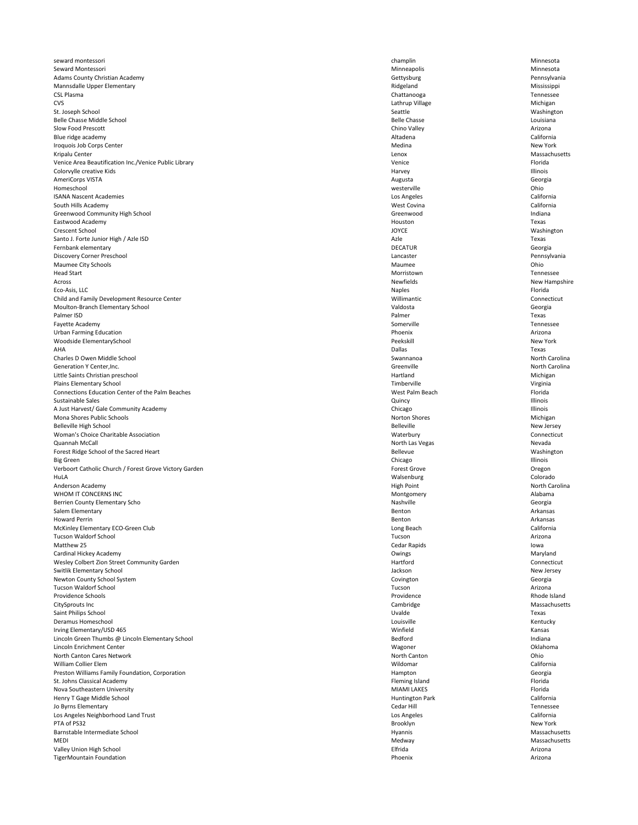seward montessori which champlin a champlin champlin champlin a champlin Minnesota Seward Montessori Minneapolis Minnesota Adams County Christian Academy **Christian Academy** Christian Academy **Christian Academy** Christian Academy **Pennsylvania** Mannsdalle Upper Elementary **Elementary** and the extent of the Mississippi Ridgeland Ridgeland Mississippi CSL Plasma Chattanooga Tennessee CVS Lathrup Village Michigan St. Joseph School Nashington Nashington Seattle Seattle Seattle Seattle Seattle Seattle Seattle Seattle Nashington Belle Chasse Middle School **Exercise School** Louisiana Slow Food Prescott **Exercities and South Arizona** Chino Valley **Chino Valley** Arizona Blue ridge academy and the california california california california california Iroquois Job Corps Center New York Kripalu Center **Massachusetts** Massachusetts Venice Area Beautification Inc./Venice Public Library **National Contract Contract Contract Contract Contract Contract Contract Contract Contract Contract Contract Contract Contract Contract Contract Contract Contract Contr** Colorvylle creative Kids **Exercise Colorville Colorville Colorville** Colorvylle creative Kids **Illinois** AmeriCorps VISTA **Augusta** Georgia Georgia Homeschool westerville Ohio ISANA Nascent Academies Los Angeles California South Hills Academy **South Hills Academy** California Greenwood Community High School and The Community High School and The Community High School and Indiana Eastwood Academy Houston Texas Crescent School JOYCE Washington Santo J. Forte Junior High / Azle ISD Texas Fernbank elementary DECATUR Georgia Discovery Corner Preschool **Exercise 2018** Cancaster **Consumers 2018** Cancaster **Pennsylvania** Maumee City Schools **Exercise Children** Children Children Children Children Children Children Children Children Children Children Children Children Children Children Children Children Children Children Children Children Ch Head Start **Morristown** Tennessee Across Newfields New Hampshire Eco-Asis, LLC Naples Florida Child and Family Development Resource Center **National Accord Persons** Willimantic Connecticut Moulton-Branch Elementary School Valdosta Georgia Palmer ISD **Palmer CONSERVING THE CONSERVANT CONSERVANT CONSERVANT CONSERVANT CONSERVANT CONSERVANT CONSERVANT CONSERVANT CONSERVANT CONSERVANT CONSERVANT CONSERVANT CONSERVANT CONSERVANT CONSERVANT CONSERVANT CONSERVANT** Fayette Academy **Somerville** Somerville Somerville Somerville Somerville Somerville Somerville Somerville Somerville Urban Farming Education **Arizona** Arizona **Phoenix Phoenix Arizona Arizona Arizona** Woodside ElementarySchool New York AHA Dallas Texas Charles D Owen Middle School Swannanoa North Carolina Generation Y Center, Inc. North Carolina and Server Carolina Creenville Creenville North Carolina Little Saints Christian preschool Michigan Michigan Michigan Hartland Michigan Michigan Michigan Plains Elementary School Virginia Channel Virginia Channel Virginia Channel Virginia Connections Education Center of the Palm Beaches **Notifiant Connections Connections Education Center of the Palm Beach** Florida Sustainable Sales **Sustainable Sales Account to the Contract of Contract Contract Contract Contract Contract Contract Contract Contract Contract Contract Contract Contract Contract Contract Contract Contract Contract Con** A Just Harvest/ Gale Community Academy and the community Academy Chicago Chicago Chicago Chicago Chicago Illinois Mona Shores Public Schools Michigan Norton Shores Norton Shores Norton Shores Norton Shores Nichigan Belleville High School New Jersey Woman's Choice Charitable Association Connecticut Quannah McCall North Las Vegas Nevada Forest Ridge School of the Sacred Heart **Bellevue** Washington Bellevue Bellevue Washington Big Green **Chicago Chicago Illinois** Chicago Chicago Chicago Illinois Chicago Illinois Verboort Catholic Church / Forest Grove Victory Garden Forest Grove Forest Grove Cregon Cregon HuLA Walsenburg Colorado Anderson Academy **North Carolina** Anderson Academy **North Carolina** WHOM IT CONCERNS INC Alabama and the CONCERNS INC Berrien County Elementary Scho 
Georgia Salem Elementary **Benton** Arkansas Howard Perrin **Example 2018** Arkansas Arkansas **Benton** Benton **Benton** Benton Arkansas McKinley Elementary ECO-Green Club **California** California Tucson Waldorf School Tucson Arizona

| Matthew 25                                       | Cedar Rapids       | lowa          |
|--------------------------------------------------|--------------------|---------------|
| Cardinal Hickey Academy                          | Owings             | Maryland      |
| Wesley Colbert Zion Street Community Garden      | Hartford           | Connecticut   |
| <b>Switlik Elementary School</b>                 | Jackson            | New Jersey    |
| Newton County School System                      | Covington          | Georgia       |
| <b>Tucson Waldorf School</b>                     | Tucson             | Arizona       |
| Providence Schools                               | Providence         | Rhode Island  |
| CitySprouts Inc                                  | Cambridge          | Massachusetts |
| Saint Philips School                             | Uvalde             | Texas         |
| Deramus Homeschool                               | Louisville         | Kentucky      |
| Irving Elementary/USD 465                        | Winfield           | Kansas        |
| Lincoln Green Thumbs @ Lincoln Elementary School | Bedford            | Indiana       |
| Lincoln Enrichment Center                        | Wagoner            | Oklahoma      |
| North Canton Cares Network                       | North Canton       | Ohio          |
| <b>William Collier Elem</b>                      | Wildomar           | California    |
| Preston Williams Family Foundation, Corporation  | Hampton            | Georgia       |
| St. Johns Classical Academy                      | Fleming Island     | Florida       |
| Nova Southeastern University                     | <b>MIAMI LAKES</b> | Florida       |
| Henry T Gage Middle School                       | Huntington Park    | California    |
| Jo Byrns Elementary                              | Cedar Hill         | Tennessee     |
| Los Angeles Neighborhood Land Trust              | Los Angeles        | California    |
| PTA of PS32                                      | <b>Brooklyn</b>    | New York      |
| Barnstable Intermediate School                   | Hyannis            | Massachusetts |
| <b>MEDI</b>                                      | Medway             | Massachusetts |
| Valley Union High School                         | Elfrida            | Arizona       |
| TigerMountain Foundation                         | Phoenix            | Arizona       |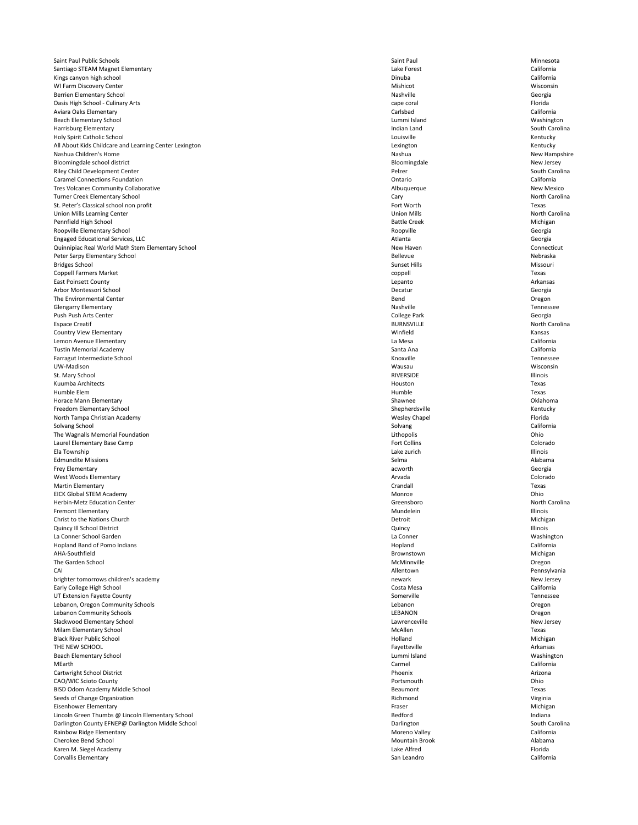Saint Paul Public Schools **Saint Paul Access Contracts** Saint Paul Saint Paul Saint Paul Minnesota Santiago STEAM Magnet Elementary **California** California Kings canyon high school and the california california california california california california california WI Farm Discovery Center **Miskipular Controller** Mishicot Mishicot Mishicot Mishicot Wisconsin Berrien Elementary School Georgia Oasis High School - Culinary Arts cape coral Florida Aviara Oaks Elementary Carlsbad California Beach Elementary School Washington Nummi Island Lummi Island Washington Harrisburg Elementary **Indian Land** South Carolina Holy Spirit Catholic School Louisville Kentucky All About Kids Childcare and Learning Center Lexington **Learning Centucky Centucky** Lexington Lexington **Lexington** Nashua Children's Home New Hampshire Nashua New Hampshire Nashua New Hampshire Nashua New Hampshire Bloomingdale school district New Jersey New Jersey and the Bloomingdale New Jersey New Jersey Riley Child Development Center **South Carolina Pelzer** Pelzer **Pelzer** South Carolina Caramel Connections Foundation Ontario California Tres Volcanes Community Collaborative New Mexico **Albuquerque** Albuquerque Albuquerque New Mexico Turner Creek Elementary School North Carolina and School Cary Cary Cary Cary North Carolina St. Peter's Classical school non profit Texas Union Mills Learning Center Union Mills North Carolina Pennfield High School Michigan Nichigan Battle Creek Battle Creek Battle Creek Michigan Roopville Elementary School **Elementary School** Georgia Engaged Educational Services, LLC Atlanta Georgia Quinnipiac Real World Math Stem Elementary School New Haven Connecticut Peter Sarpy Elementary School Nebraska Bridges School Sunset Hills Missouri Coppell Farmers Market coppell Texas East Poinsett County **Example 20** Arkansas Arkansas **Lepanto Lepanto Lepanto Arkansas** Arbor Montessori School Decatur Georgia The Environmental Center **Secure Accounts 2006** The Environmental Center **Bend** Oregon Glengarry Elementary **Nashville** Tennessee Push Push Arts Center **College Park** Georgia expace Creatif and the controller the set of the BURNSVILLE BURNSVILLE and the set of the carolina Country View Elementary **Elementary** Kansas Lemon Avenue Elementary La Mesa California Tustin Memorial Academy Santa Ana California Farragut Intermediate School Tennessee UW-Madison Wausau Wisconsin St. Mary School RIVERSIDE Illinois Kuumba Architects Houston Texas Humble Elem **Elem** Texas Horace Mann Elementary Shawnee Oklahoma Freedom Elementary School **Exercise Shepherdsville** Shepherdsville Shepherdsville Kentucky North Tampa Christian Academy **North Tampa Christian Academy Messachused Chapel** Wesley Chapel **Messachused Chapel** Florida Solvang School **Solvang California** California The Wagnalls Memorial Foundation **Contract Contract Contract Contract Contract Contract Contract Contract Contract Contract Contract Contract Contract Contract Contract Contract Contract Contract Contract Contract Contract** Laurel Elementary Base Camp **Fort Collins** Colorado **Fort Collins** Fort Collins **Colorado** Ela Township Lake zurich Illinois Edmundite Missions and Alabama Alabama Alabama Selma Selma Selma Selma Alabama Alabama Alabama Selma Selma Alabama Alabama Alabama Alabama Alabama Alabama Alabama Alabama Alabama Alabama Alabama Alabama Alabama Alabama Ala Frey Elementary **Exercise Security** Georgia West Woods Elementary **Arvada** Colorado Colorado Colorado Martin Elementary **Example 2008** Texas EICK Global STEM Academy **Monroe** and Monroe and Monroe and Monroe and Monroe and Monroe and Monroe and Monroe of the Chio Herbin-Metz Education Center **Greensboro Greensboro Greensboro North Carolina** Fremont Elementary **Exercise Service Construction Construction** Mundelein Mundelein Mundelein Illinois Christ to the Nations Church Michigan Number of the Nations Church Africa Africa Africa Africa Africa Africa Africa Africa Africa Africa Africa Africa Africa Africa Africa Africa Africa Africa Africa Africa Africa Africa A Quincy Ill School District Quincy Illinois La Conner School Garden La Conner Washington

| Hopland Band of Pomo Indians                      | Hopland               | California     |
|---------------------------------------------------|-----------------------|----------------|
| AHA-Southfield                                    | Brownstown            | Michigan       |
| The Garden School                                 | McMinnville           | Oregon         |
| CAI                                               | Allentown             | Pennsylvania   |
| brighter tomorrows children's academy             | newark                | New Jersey     |
| Early College High School                         | Costa Mesa            | California     |
| UT Extension Fayette County                       | Somerville            | Tennessee      |
| Lebanon, Oregon Community Schools                 | Lebanon               | Oregon         |
| Lebanon Community Schools                         | <b>LEBANON</b>        | Oregon         |
| Slackwood Elementary School                       | Lawrenceville         | New Jersey     |
| Milam Elementary School                           | McAllen               | Texas          |
| <b>Black River Public School</b>                  | Holland               | Michigan       |
| THE NEW SCHOOL                                    | Fayetteville          | Arkansas       |
| <b>Beach Elementary School</b>                    | Lummi Island          | Washington     |
| MEarth                                            | Carmel                | California     |
| Cartwright School District                        | Phoenix               | Arizona        |
| CAO/WIC Scioto County                             | Portsmouth            | Ohio           |
| BISD Odom Academy Middle School                   | <b>Beaumont</b>       | Texas          |
| Seeds of Change Organization                      | Richmond              | Virginia       |
| <b>Eisenhower Elementary</b>                      | Fraser                | Michigan       |
| Lincoln Green Thumbs @ Lincoln Elementary School  | <b>Bedford</b>        | Indiana        |
| Darlington County EFNEP@ Darlington Middle School | Darlington            | South Carolina |
| Rainbow Ridge Elementary                          | Moreno Valley         | California     |
| Cherokee Bend School                              | <b>Mountain Brook</b> | Alabama        |
| Karen M. Siegel Academy                           | Lake Alfred           | Florida        |
| <b>Corvallis Elementary</b>                       | San Leandro           | California     |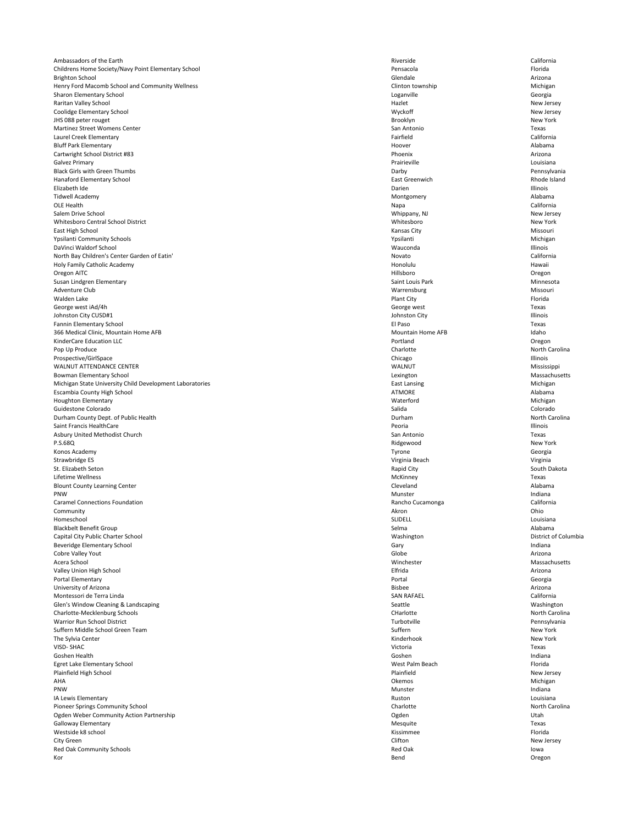Ambassadors of the Earth California Childrens Home Society/Navy Point Elementary School **Exercise 2018** Pensacola **Pensacola** Pensacola **Pensacola** Florida Brighton School Glendale Arizona Henry Ford Macomb School and Community Wellness **Clinton Community Wellness** Clinton township Clinton township Michigan Sharon Elementary School **Contract Contract Contract Contract Contract Contract Contract Contract Contract Contract Contract Contract Contract Contract Contract Contract Contract Contract Contract Contract Contract Contrac** Raritan Valley School Hazlet New Jersey Coolidge Elementary School New Jersey **JHS 088 peter rouget** New York Martinez Street Womens Center **San Antonio Texas** San Antonio San Antonio Texas San Antonio Texas Laurel Creek Elementary California Bluff Park Elementary **Alabama** Alabama Alabama Alabama Alabama Alabama Alabama Alabama Alabama Alabama Alabama Cartwright School District #83 Phoenix Arizona Galvez Primary **Example 2021** Constants and the constants of the constants of the constants of the constants of the constants of the constants of the constants of the constants of the constants of the constants of the cons Black Girls with Green Thumbs **Example 20** Pennsylvania **Darby** Darby **Darby** Pennsylvania Hanaford Elementary School East Greenwich Rhode Island Elizabeth Ide Darien Illinois Tidwell Academy Montgomery Alabama OLE Health **Napa California** Salem Drive School New Jersey New Jersey New Jersey New Jersey New Jersey New Jersey New Jersey New Jersey New Jersey Whitesboro Central School District New York East High School Kansas City Missouri Ypsilanti Community Schools Michigan Nichigan Nichigan Nichigan Nichigan Nichigan DaVinci Waldorf School Wauconda Illinois North Bay Children's Center Garden of Eatin' and the California california Novato California Holy Family Catholic Academy **Holy Family Catholic Academy** Hawaii Oregon AITC Hillsboro Oregon Susan Lindgren Elementary **Saint Louis Park Minnesota** Saint Louis Park Saint Louis Park Minnesota Adventure Club and Missouring Missouring Missouring and Missouring and Missouring Missouring Missouring Missouri Walden Lake **Example 20** Florida Plant City **Plant City** Plant City **Plant City Plant City** George west iAd/4h Texas Johnston City CUSD#1 Illinois Fannin Elementary School El Paso Texas 366 Medical Clinic, Mountain Home AFB Idaho KinderCare Education LLC **Community Contains a Community Contains a Community Contains a Community Contains a Community Contains a Community Contains a Community Contains a Community Contains a Community Contains a Communi** Pop Up Produce North Carolina (North Carolina Charlotte North Carolina Charlotte North Carolina Prospective/GirlSpace and a chief control of the chicago chicago chicago chicago chicago lllinois WALNUT ATTENDANCE CENTER Mississippi Bowman Elementary School Massachusetts **Elementary School** Lexington Massachusetts **Lexington** Massachusetts Michigan State University Child Development Laboratories **East Lansing East Lansing** East Lansing Michigan Escambia County High School Alabama and ATMORE Alabama and ATMORE Alabama and ATMORE Alabama and ATMORE Alabama Houghton Elementary Waterford Michigan Guidestone Colorado Salida Colorado Durham County Dept. of Public Health North Carolina and Durham Durham Durham North Carolina Saint Francis HealthCare **Illinois** Illinois Asbury United Methodist Church Texas P.S.68Q Ridgewood New York Konos Academy **Georgia** Strawbridge ES **Strawbridge ES Strawbridge ES** Virginia Beach Virginia Beach Virginia Beach Virginia Beach Virginia St. Elizabeth Seton National South Dakota Rapid City Napid City South Dakota South Dakota Lifetime Wellness McKinney Texas Blount County Learning Center **County Learning Center** Cleveland Cleveland Cleveland Alabama PNW Munster and the Indiana Caramel Connections Foundation **California** California Rancho Cucamonga **California** California  $\blacksquare$ Community  $\blacksquare$ Homeschool SLIDELL Louisiana Blackbelt Benefit Group **Selma** Alabama Alabama Selma Selma Selma Selma Alabama Alabama Alabama Alabama Alabama Alabama Alabama Alabama Alabama Alabama Alabama Alabama Alabama Alabama Alabama Alabama Alabama Alabama Alabam Capital City Public Charter School **Exercise 2018** Nashington Mashington District of Columbia

| <b>Beveridge Elementary School</b>       | Gary              | Indiana        |
|------------------------------------------|-------------------|----------------|
| Cobre Valley Yout                        | Globe             | Arizona        |
| Acera School                             | Winchester        | Massachusetts  |
| Valley Union High School                 | Elfrida           | Arizona        |
| Portal Elementary                        | Portal            | Georgia        |
| University of Arizona                    | <b>Bisbee</b>     | Arizona        |
| Montessori de Terra Linda                | <b>SAN RAFAEL</b> | California     |
| Glen's Window Cleaning & Landscaping     | Seattle           | Washington     |
| Charlotte-Mecklenburg Schools            | CHarlotte         | North Carolina |
| <b>Warrior Run School District</b>       | Turbotville       | Pennsylvania   |
| Suffern Middle School Green Team         | Suffern           | New York       |
| The Sylvia Center                        | Kinderhook        | New York       |
| VISD-SHAC                                | Victoria          | Texas          |
| Goshen Health                            | Goshen            | Indiana        |
| Egret Lake Elementary School             | West Palm Beach   | Florida        |
| Plainfield High School                   | Plainfield        | New Jersey     |
| AHA                                      | <b>Okemos</b>     | Michigan       |
| <b>PNW</b>                               | Munster           | Indiana        |
| IA Lewis Elementary                      | Ruston            | Louisiana      |
| Pioneer Springs Community School         | Charlotte         | North Carolina |
| Ogden Weber Community Action Partnership | Ogden             | Utah           |
| <b>Galloway Elementary</b>               | Mesquite          | Texas          |
| Westside k8 school                       | Kissimmee         | Florida        |
| City Green                               | Clifton           | New Jersey     |
| Red Oak Community Schools                | <b>Red Oak</b>    | lowa           |
| Kor                                      | Bend              | Oregon         |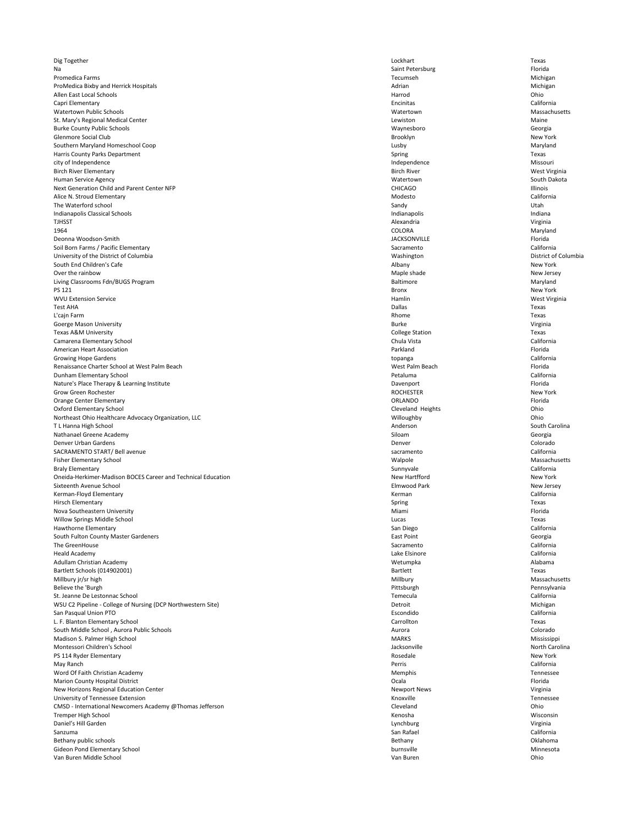Dig Together Lockhart Texas Na Saint Petersburg Florida Research of the Saint Petersburg Florida Research Saint Petersburg Florida Promedica Farms **Michigan** Michigan Michigan Michigan Michigan Michigan Michigan Michigan ProMedica Bixby and Herrick Hospitals **Michigan** Michigan Michigan Michigan Michigan Allen East Local Schools **East Local Schools** Chio Capri Elementary Encinitas California Watertown Public Schools Watertown Massachusetts St. Mary's Regional Medical Center **Maine** Maine Burke County Public Schools Waynesboro Georgia Glenmore Social Club Brooklyn New York Southern Maryland Homeschool Coop **Example 2018** 2019 10:30 Australian Maryland Lusby Lusby Maryland Harris County Parks Department Texas city of Independence Missouri Birch River Elementary West Virginia Human Service Agency Watertown South Dakota Next Generation Child and Parent Center NFP **CHICAGO** CHICAGO **CHICAGO** CHICAGO **Illinois** Alice N. Stroud Elementary California The Waterford school Utah Indianapolis Classical Schools Indianapolis Indiana TJHSST Alexandria Virginia 1964 COLORA Maryland Deonna Woodson-Smith JACKSONVILLE Florida Soil Born Farms / Pacific Elementary California University of the District of Columbia **Exercice 2018** Columbia Washington District of Columbia South End Children's Cafe **New York** New York Albany Albany Albany New York Over the rainbow New Jersey New Jersey Living Classrooms Fdn/BUGS Program **Baltimore** and Maryland Baltimore **Constanting Classrooms Fdn/BUGS Program** Maryland PS 121 Bronx New York WVU Extension Service **Material Controllers and Service** Hamlin Mest Virginia and Mest Virginia Test AHA Dallas Texas L'cajn Farm Rhome Texas Goerge Mason University **Subset Contact Contact Contact Contact Contact Contact Contact Contact Contact Contact Contact Contact Contact Contact Contact Contact Contact Contact Contact Contact Contact Contact Contact Contac** Texas A&M University **Texas** College Station **Texas** College Station **Texas** Camarena Elementary School Chula Vista California American Heart Association **Parkland** Florida **Parkland** Parkland Parkland Parkland Florida Growing Hope Gardens **California** California Renaissance Charter School at West Palm Beach Florida Charter School at West Palm Beach Florida Dunham Elementary School Petaluma California Nature's Place Therapy & Learning Institute Florida and the Control of the Davenport Florida and Davenport Florida Grow Green Rochester **New York** ROCHESTER **ROCHESTER** ROCHESTER Orange Center Elementary **Canadia Elementary** Florida **Canadia Elementary CRLANDO CRLANDO CRLANDO Florida** Oxford Elementary School **Cleveland Heights** Cleveland Heights Cleveland Heights Cleveland Cleveland Heights Cleveland Heights Cleveland Heights Chio Northeast Ohio Healthcare Advocacy Organization, LLC **Northeast Ohio** Willoughby Willoughby Ohio T L Hanna High School South Carolina and South Carolina Anderson South Carolina Anderson South Carolina Nathanael Greene Academy Georgia Channel Channel Channel Channel Channel Channel Channel Channel Channel Channel Channel Channel Channel Channel Channel Channel Channel Channel Channel Channel Channel Channel Channel Chann Denver Urban Gardens Colorado Colorado Colorado Colorado Denver Colorado Colorado Colorado Colorado Colorado Colorado SACRAMENTO START/ Bell avenue and the california Fisher Elementary School Walpole Massachusetts Braly Elementary **Sunnyvale** California Oneida-Herkimer-Madison BOCES Career and Technical Education New Hartfford New Hartfford New York Sixteenth Avenue School Elmwood Park New Jersey Kerman-Floyd Elementary **Kerman California** California Hirsch Elementary **Spring Texas** Spring Spring Spring Spring Spring Spring Spring Spring Spring Spring Spring Spring Spring Spring Spring Spring Spring Spring Spring Spring Spring Spring Spring Spring Spring Spring Spring Nova Southeastern University **Miami** Florida Channel Channel Channel Channel Channel Channel Channel Channel Channel Channel Channel Channel Channel Channel Channel Channel Channel Channel Channel Channel Channel Channel C Willow Springs Middle School Lucas Texas Hawthorne Elementary San Diego California South Fulton County Master Gardeners **East Point** East Point **East Point** Georgia

| The GreenHouse                                               | Sacramento          | California     |
|--------------------------------------------------------------|---------------------|----------------|
| <b>Heald Academy</b>                                         | Lake Elsinore       | California     |
| Adullam Christian Academy                                    | Wetumpka            | Alabama        |
| Bartlett Schools (014902001)                                 | <b>Bartlett</b>     | Texas          |
| Millbury jr/sr high                                          | Millbury            | Massachusetts  |
| Believe the 'Burgh                                           | Pittsburgh          | Pennsylvania   |
| St. Jeanne De Lestonnac School                               | Temecula            | California     |
| WSU C2 Pipeline - College of Nursing (DCP Northwestern Site) | Detroit             | Michigan       |
| San Pasqual Union PTO                                        | Escondido           | California     |
| L. F. Blanton Elementary School                              | Carrollton          | Texas          |
| South Middle School, Aurora Public Schools                   | Aurora              | Colorado       |
| Madison S. Palmer High School                                | <b>MARKS</b>        | Mississippi    |
| Montessori Children's School                                 | Jacksonville        | North Carolina |
| PS 114 Ryder Elementary                                      | Rosedale            | New York       |
| May Ranch                                                    | Perris              | California     |
| Word Of Faith Christian Academy                              | <b>Memphis</b>      | Tennessee      |
| <b>Marion County Hospital District</b>                       | Ocala               | Florida        |
| New Horizons Regional Education Center                       | <b>Newport News</b> | Virginia       |
| University of Tennessee Extension                            | Knoxville           | Tennessee      |
| CMSD - International Newcomers Academy @Thomas Jefferson     | Cleveland           | Ohio           |
| Tremper High School                                          | Kenosha             | Wisconsin      |
| Daniel's Hill Garden                                         | Lynchburg           | Virginia       |
| Sanzuma                                                      | San Rafael          | California     |
| Bethany public schools                                       | Bethany             | Oklahoma       |
| Gideon Pond Elementary School                                | burnsville          | Minnesota      |
| Van Buren Middle School                                      | Van Buren           | Ohio           |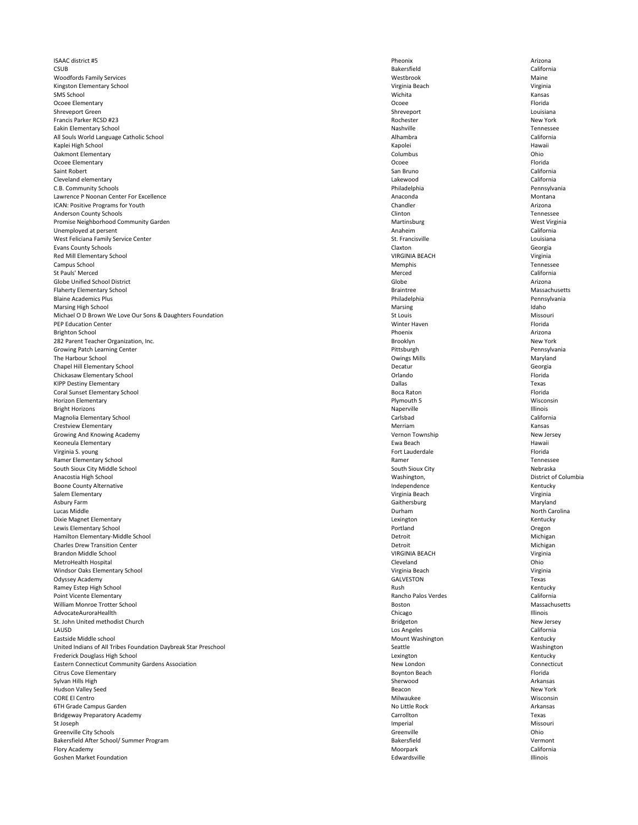ISAAC district #5 Pheonix Arizona CSUB Bakersfield California Woodfords Family Services Westbrook Maine Kingston Elementary School Virginia Beach Virginia Beach Virginia Beach Virginia Beach Virginia Beach Virginia SMS School Wichita Kansas Ocoee Elementary **Elementary Elementary Elementary Provide** Elementary Provide Elementary Provide Shreveport Green Shreveport Channels and the state of the state of the share of the share of the share of the share  $\sim$  shreveport Louisiana Francis Parker RCSD #23 New York Eakin Elementary School Tennessee All Souls World Language Catholic School **All Souls Alhambra** California California Kaplei High School Kapolei Hawaii Oakmont Elementary **Columbus** Columbus Columbus Columbus Columbus Columbus Columbus Columbus Columbus Columbus Columbus Columbus Columbus Columbus Columbus Columbus Columbus Columbus Columbus Columbus Columbus Columbus Col Ocoee Elementary Ocoee Florida Saint Robert **San Bruno California** California Cleveland elementary Lakewood California C.B. Community Schools Philadelphia Pennsylvania Lawrence P Noonan Center For Excellence Montana Montana Anaconda Anaconda Montana ICAN: Positive Programs for Youth Arizona Anderson County Schools **Clinton Tennessee Clinton** Clinton **Clinton Clinton Clinton Clinton Clinton Clinton Clinton Clinton Clinton Clinton Clinton Clinton Clinton Clinton Clinton Clinton** Promise Neighborhood Community Garden Martinsburg Martinsburg Martinsburg Martinsburg West Virginia Unemployed at persent California West Feliciana Family Service Center Louisiana Counter St. Francisville St. Francisville Evans County Schools Claxton Georgia Red Mill Elementary School Virginia Communication of the VIRGINIA BEACH VIRGINIA BEACH Virginia Campus School **Example School** Tennessee St Pauls' Merced California Globe Unified School District Arizona Flaherty Elementary School Massachusetts **Elementary School** Massachusetts Blaine Academics Plus **Pennsylvania** Philadelphia Philadelphia Philadelphia Pennsylvania Marsing High School and a state of the Marsing Marsing Marsing and Marsing and Marsing and Marsing development of the Marsing development of the Marsing development of the Marsing development of the Marsing development of Michael O D Brown We Love Our Sons & Daughters Foundation Nation St Louis St Louis St Louis Missouri PEP Education Center **Example 2018** The Second Second Winter Haven **Winter Haven** Second Second Second Second Second Second Second Second Second Second Second Second Second Second Second Second Second Second Second Second Brighton School Phoenix Arizona 282 Parent Teacher Organization, Inc. **Brooklyn** New York Growing Patch Learning Center **Pennsylvania Pittsburgh** Pittsburgh Pittsburgh Pennsylvania The Harbour School Owings Mills Maryland Chapel Hill Elementary School Georgia Chickasaw Elementary School Orlando Florida KIPP Destiny Elementary **Texas** Texas Coral Sunset Elementary School **Exercise Superior Coral Sunset Elementary School** Florida Horizon Elementary **Example 20** Wisconsin Plymouth 5 Plymouth 5 Bright Horizons **Example 2020** Maperville Maperville Naperville Naperville Naperville Naperville Naperville Naperville Magnolia Elementary School Carlsbad California Crestview Elementary **Merriam Crestview Elementary** Kansas Growing And Knowing Academy New Jersey New Jersey New Jersey New Jersey New Jersey New Jersey New Jersey New Jersey Keoneula Elementary **Ewa Beach** Hawaii Virginia S. young Fort Lauderdale Florida Ramer Elementary School Ramer Tennessee South Sioux City Middle School Nebraska Anacostia High School **Exercice School** District of Columbia Boone County Alternative **Independence** Kentucky **Independence** Independence **Independence** Kentucky Salem Elementary **Salem Elementary and Salem Elementary** Virginia Beach Virginia Beach Virginia Beach Virginia Beach Asbury Farm **Example 2018** Maryland Maryland School and School Gaithersburg **Maryland** Gaithersburg Maryland Maryland Lucas Middle Durham North Carolina Dixie Magnet Elementary **Lexington** Kentucky **Controllering Controllering Controllering Controllering Controllering Controllering Controllering Controllering Controllering Controllering Controllering Controllering Controll** Lewis Elementary School Portland Oregon Hamilton Elementary-Middle School and Michigan and Michigan Detroit by Detroit and Detroit Michigan

| <b>Charles Drew Transition Center</b>                           | Detroit                 | Michigan        |
|-----------------------------------------------------------------|-------------------------|-----------------|
| Brandon Middle School                                           | <b>VIRGINIA BEACH</b>   | Virginia        |
| MetroHealth Hospital                                            | Cleveland               | Ohio            |
| Windsor Oaks Elementary School                                  | Virginia Beach          | Virginia        |
| Odyssey Academy                                                 | <b>GALVESTON</b>        | Texas           |
| Ramey Estep High School                                         | Rush                    | Kentucky        |
| Point Vicente Elementary                                        | Rancho Palos Verdes     | California      |
| William Monroe Trotter School                                   | <b>Boston</b>           | Massachusetts   |
| AdvocateAuroraHeallth                                           | Chicago                 | <b>Illinois</b> |
| St. John United methodist Church                                | Bridgeton               | New Jersey      |
| LAUSD                                                           | Los Angeles             | California      |
| Eastside Middle school                                          | <b>Mount Washington</b> | Kentucky        |
| United Indians of All Tribes Foundation Daybreak Star Preschool | Seattle                 | Washington      |
| Frederick Douglass High School                                  | Lexington               | Kentucky        |
| <b>Eastern Connecticut Community Gardens Association</b>        | New London              | Connecticut     |
| <b>Citrus Cove Elementary</b>                                   | <b>Boynton Beach</b>    | Florida         |
| Sylvan Hills High                                               | Sherwood                | Arkansas        |
| <b>Hudson Valley Seed</b>                                       | Beacon                  | New York        |
| <b>CORE El Centro</b>                                           | Milwaukee               | Wisconsin       |
| 6TH Grade Campus Garden                                         | No Little Rock          | Arkansas        |
| <b>Bridgeway Preparatory Academy</b>                            | Carrollton              | Texas           |
| St Joseph                                                       | Imperial                | Missouri        |
| Greenville City Schools                                         | Greenville              | Ohio            |
| Bakersfield After School/ Summer Program                        | Bakersfield             | Vermont         |
| Flory Academy                                                   | Moorpark                | California      |
| <b>Goshen Market Foundation</b>                                 | Edwardsville            | Illinois        |

| זוכ               | <b>Michiga</b> |
|-------------------|----------------|
| <b>INIA BEACH</b> | Virginia       |
| eland             | Ohio           |
| nia Beach         | Virginia       |
| <b>ESTON</b>      | <b>Texas</b>   |
|                   | Kentuck        |
| ho Palos Verdes   | Californi      |
| วท                | Massach        |
| igo               | Illinois       |
| eton;             | New Jer        |
| ngeles            | Californi      |
| nt Washington     | Kentuck        |
| :le               | Washing        |
| gton              | Kentuck        |
| London            | Connect        |
| ton Beach         | Florida        |
| wood              | Arkansa        |
| on                | New Yor        |
| aukee             | Wiscons        |
| ttle Rock         | Arkansa        |
| ollton            | Texas          |
| rial              | Missour        |
| nville            | Ohio           |
| rsfield           | Vermon         |
| rpark             | Californi      |
| ardsville         | Illinois       |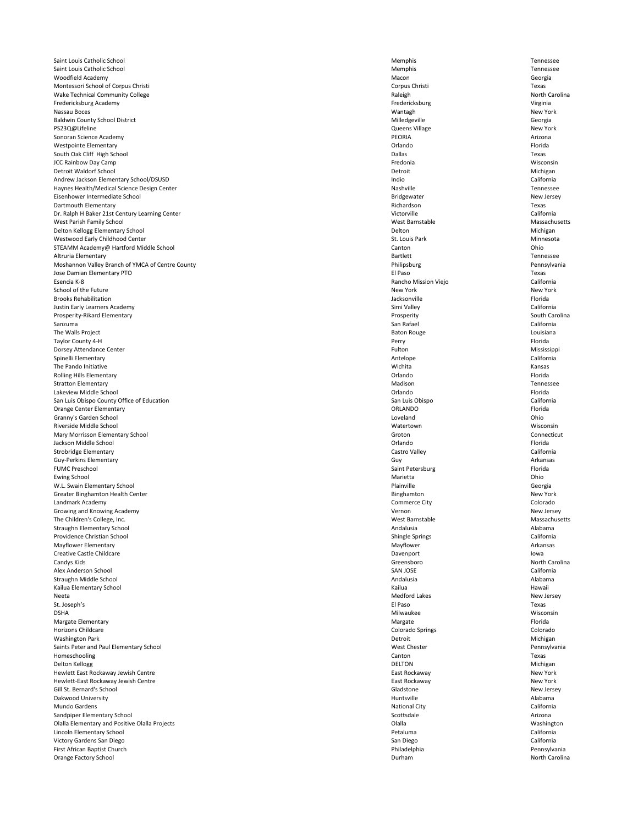Saint Louis Catholic School **Exercise Contract Contract Contract Contract Contract Contract Contract Contract Contract Contract Contract Contract Contract Contract Contract Contract Contract Contract Contract Contract Cont** Saint Louis Catholic School **Exercise Contract Contract Contract Contract Contract Contract Contract Contract Contract Contract Contract Contract Contract Contract Contract Contract Contract Contract Contract Contract Cont** Woodfield Academy **Macon** Georgia Montessori School of Corpus Christi Texas Wake Technical Community College **North Carolina** Raleigh Raleigh Raleigh North Carolina Fredericksburg Academy Fredericksburg Virginia Nassau Boces **Natural Contract Contract Contract Contract Contract Contract Contract Contract Contract Contract New York** Baldwin County School District Georgia PS23Q@Lifeline New York New York and the Contract of the Cueens Village New York Sonoran Science Academy PEORIA Arizona Westpointe Elementary **Elementary** and the control of the control of the Control of the Control of the Control of the Control of the Control of the Control of the Control of the Control of the Control of the Control of the South Oak Cliff High School Dallas Texas JCC Rainbow Day Camp Fredonia Wisconsin Detroit Waldorf School Michigan Number of the United States of Detroit Detroit Number of Michigan Andrew Jackson Elementary School/DSUSD **individually a service in the contract of the California** California Haynes Health/Medical Science Design Center Nashville Nashville Nashville Nashville Tennessee Eisenhower Intermediate School New Jersey New Jersey Dartmouth Elementary **Richardson** Texas Dr. Ralph H Baker 21st Century Learning Center Victory and The California California West Parish Family School Massachusetts **Massachusetts** Mest Barnstable Mest Barnstable Massachusetts Delton Kellogg Elementary School and the Control of the Control of the Delton Delton Delton Delton Michigan Westwood Early Childhood Center Ninnesota and St. Louis Park St. Louis Park St. Louis Park Minnesota STEAMM Academy@ Hartford Middle School **Canton Canton Canton Canton Canton** Canton Canton Chio Altruria Elementary **Elementary Elementary and the set of the set of the set of the set of the set of the set of the set of the set of the See of the See of the See of the See of the See of the See of the See of the See of** Moshannon Valley Branch of YMCA of Centre County **Philipsburg Philipsburg Philipsburg** Pennsylvania Jose Damian Elementary PTO El Paso Texas Esencia K-8 Rancho Mission Viejo California School of the Future New York New York New York New York New York New York New York New York New York New York Brooks Rehabilitation **Florida** Florida **Jacksonville** Jacksonville Jacksonville Florida Justin Early Learners Academy **Simi Valley** California California Prosperity-Rikard Elementary **Elementary Elementary** South Carolina Sanzuma and San Rafael California and San Rafael San Rafael California and San Rafael California The Walls Project **Example 2020** Louisiana **Contract Contract Contract Contract Contract Contract Contract Contract Contract Contract Contract Contract Contract Contract Contract Contract Contract Contract Contract Contrac** Taylor County 4-H Perry Florida Dorsey Attendance Center **Mississippi Contract Center Mississippi Contract Center Mississippi Contract Center** Mississippi Spinelli Elementary **Antelope California** The Pando Initiative **Example 20** Kansas Kansas Nuclear Annual Mechanical Michita Ransas Nuclear Annual Mechanica Rolling Hills Elementary **Elementary Elementary Elementary Elementary Plorida** Stratton Elementary **Mathematic Stratton Elementary** Tennessee Lakeview Middle School Orlando Florida San Luis Obispo County Office of Education California California San Luis Obispo California Orange Center Elementary **Elementary Elementary CRLANDO CRLANDO CRLANDO CRLANDO CRLANDO Elementary Florida** Granny's Garden School Loveland Ohio Riverside Middle School Wisconsin Mary Morrisson Elementary School **Exercise Connecticut** Connecticut Groton Connecticut Jackson Middle School Orlando Florida Strobridge Elementary **Castro Valley** Castro Valley **Castro Valley** Castro Valley Castro Valley California Guy-Perkins Elementary Guy Arkansas FUMC Preschool **Example 20** Saint Petersburg **Florida** Saint Petersburg **Florida** Ewing School **Example 2018** Chion Chion Chion Chion Chion Chion Chion Chion Chion Chion Chion Chion Chion Chion Chio W.L. Swain Elementary School Georgia Greater Binghamton Health Center New York Landmark Academy Commerce City Colorado Growing and Knowing Academy New Jersey New Jersey New Jersey New Jersey New Jersey The Children's College, Inc. Massachusetts Straughn Elementary School and alabama and alabama and alabama and alabama and alabama and alabama and alabama Providence Christian School **Exercise 2018** California California

| Mayflower Elementary                           | Mayflower               | Arkansas       |
|------------------------------------------------|-------------------------|----------------|
| <b>Creative Castle Childcare</b>               | Davenport               | lowa           |
| Candys Kids                                    | Greensboro              | North Carolina |
| Alex Anderson School                           | <b>SAN JOSE</b>         | California     |
| Straughn Middle School                         | Andalusia               | Alabama        |
| Kailua Elementary School                       | Kailua                  | Hawaii         |
| Neeta                                          | <b>Medford Lakes</b>    | New Jersey     |
| St. Joseph's                                   | El Paso                 | Texas          |
| <b>DSHA</b>                                    | Milwaukee               | Wisconsin      |
| Margate Elementary                             | Margate                 | Florida        |
| <b>Horizons Childcare</b>                      | <b>Colorado Springs</b> | Colorado       |
| <b>Washington Park</b>                         | Detroit                 | Michigan       |
| Saints Peter and Paul Elementary School        | <b>West Chester</b>     | Pennsylvania   |
| Homeschooling                                  | Canton                  | Texas          |
| Delton Kellogg                                 | <b>DELTON</b>           | Michigan       |
| Hewlett East Rockaway Jewish Centre            | East Rockaway           | New York       |
| Hewlett-East Rockaway Jewish Centre            | East Rockaway           | New York       |
| Gill St. Bernard's School                      | Gladstone               | New Jersey     |
| Oakwood University                             | Huntsville              | Alabama        |
| Mundo Gardens                                  | <b>National City</b>    | California     |
| Sandpiper Elementary School                    | Scottsdale              | Arizona        |
| Olalla Elementary and Positive Olalla Projects | Olalla                  | Washington     |
| Lincoln Elementary School                      | Petaluma                | California     |
| Victory Gardens San Diego                      | San Diego               | California     |
| First African Baptist Church                   | Philadelphia            | Pennsylvania   |
| Orange Factory School                          | Durham                  | North Carolina |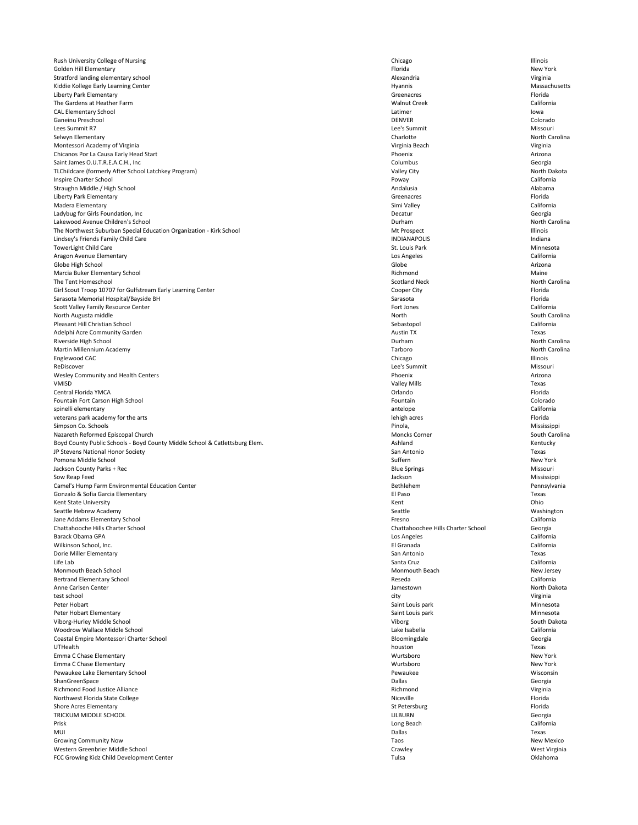Rush University College of Nursing **Nursing Chicago** Chicago Chicago Chicago Chicago Chicago Chicago Chicago Chicago Chicago Chicago Chicago Chicago Chicago Chicago Chicago Chicago Chicago Chicago Chicago Chicago Chicago C Golden Hill Elementary New York **Florida Florida** Florida **Reserves** Florida New York Stratford landing elementary school and the strategies of the strategies of the strategies of the strategies of the strategies of the strategies of the strategies of the strategies of the strategies of the strategies of th Kiddie Kollege Early Learning Center **Massachusetts Hyannis** Hyannis **Massachusetts Massachusetts** Liberty Park Elementary Greenacres Florida The Gardens at Heather Farm Walnut Creek California CAL Elementary School and a low a low a low buying the contract of the low buying the low buying the low buying the low a low a low buying the low a low a low a low a low a low a low a low a low a low a low a low a low a l Ganeinu Preschool DENVER Colorado Lees Summit R7 Lee's Summit Missouri Selwyn Elementary **North Carolina** Charlotte **Charlotte** Charlotte **Charlotte** North Carolina Montessori Academy of Virginia **Virginia Contract and Accept and Accept** Virginia Beach Virginia Beach Virginia Beach Chicanos Por La Causa Early Head Start **Arizona** Arizona **Chicanos Phoenix** Arizona **Arizona** Phoenix Arizona Saint James O.U.T.R.E.A.C.H., Inc **Georgia** Georgia Columbus Georgia Columbus Georgia Columbus Georgia Columbus Georgia TLChildcare (formerly After School Latchkey Program) and More of the School Latchkey Program) valley City North Dakota Inspire Charter School Poway California Straughn Middle./ High School **Andalusia** Alabama Alabama Alabama Alabama Alabama Alabama Alabama Alabama Alabama Liberty Park Elementary **Elementary** Florida Madera Elementary **Simi Valley** Simi Valley **Simi Valley** California Ladybug for Girls Foundation, Inc Decatur Georgia Lakewood Avenue Children's School **Exercise 2008** Controller and Durham Durham North Carolina The Northwest Suburban Special Education Organization - Kirk School Number 2012 11:30 and Mt Prospect Multimois Lindsey's Friends Family Child Care **Indiana** Indiana and the Unit of the INDIANAPOLIS **Indiana** INDIANAPOLIS Indiana TowerLight Child Care **St. Louis Park Minnesota** St. Louis Park St. Louis Park Minnesota Aragon Avenue Elementary Los Angeles California Globe High School Globe Arizona Marcia Buker Elementary School Maine National Material Control of the Maine Richmond Maine Richmond Maine National Maine The Tent Homeschool North Carolina and Scotland Neck Scotland Neck North Carolina Girl Scout Troop 10707 for Gulfstream Early Learning Center Cooper City Cooper City Cooper City Florida Sarasota Memorial Hospital/Bayside BH Sarasota Florida Sarasota Sarasota Sarasota Sarasota Sarasota Sarasota Florida Scott Valley Family Resource Center Content California California North Augusta middle South Carolina Pleasant Hill Christian School Sebastopol California Adelphi Acre Community Garden Texas Riverside High School North Carolina **North Carolina Durham** Durham Durham North Carolina Martin Millennium Academy Tarboro North Carolina Englewood CAC Chicago Illinois ReDiscover and the summit that the summit that the summit that the summit that the summit that  $\sim$  Missouri Wesley Community and Health Centers **Arizona** Arizona **Phoenix** Phoenix **Arizona** Arizona VMISD Valley Mills Texas Central Florida YMCA Orlando Florida Fountain Fort Carson High School **Fountain** Colorado **Fountain** Colorado **Fountain** Colorado spinelli elementary antelope California veterans park academy for the arts **Election Controlleries** Florida and the lehigh acres and the lehigh acres Florida Simpson Co. Schools Pinola, Mississippi Nazareth Reformed Episcopal Church South Carolina Noncks Corner South Carolina Boyd County Public Schools - Boyd County Middle School & Catlettsburg Elem. Ashland Kentucky Ashland Kentucky JP Stevens National Honor Society **San Antonio** Texas and the set of the set of the same of the same of the same of the same of the same of the same of the same of the same of the same of the same of the same of the same o Pomona Middle School Suffern New York Jackson County Parks + Rec Missouri and Missouri and Missouri Blue Springs Missouri Blue Springs Missouri and Missouri Sow Reap Feed Mississippi Camel's Hump Farm Environmental Education Center **Exercise According to the Camelian Center** Bethlehem Pennsylvania Gonzalo & Sofia Garcia Elementary **Election Contracts and Sofia Conzalo & Sofia Garcia Elementary** Texas Kent State University **State University** Chio Seattle Hebrew Academy **Seattle Accord Contract Contract Contract Contract Contract Contract Contract Contract Contract Contract Contract Contract Contract Contract Contract Contract Contract Contract Contract Contract Con** Jane Addams Elementary School Fresno California Chattahooche Hills Charter School Chattahoochee Hills Charter School Georgia Barack Obama GPA Los Angeles California

| Wilkinson School, Inc.                    | El Granada            | California |
|-------------------------------------------|-----------------------|------------|
| Dorie Miller Elementary                   | San Antonio           | Texas      |
| Life Lab                                  | Santa Cruz            | California |
| Monmouth Beach School                     | <b>Monmouth Beach</b> | New Jers   |
| <b>Bertrand Elementary School</b>         | Reseda                | California |
| Anne Carlsen Center                       | Jamestown             | North Da   |
| test school                               | city                  | Virginia   |
| Peter Hobart                              | Saint Louis park      | Minnesot   |
| Peter Hobart Elementary                   | Saint Louis park      | Minnesot   |
| Viborg-Hurley Middle School               | Viborg                | South Da   |
| <b>Woodrow Wallace Middle School</b>      | Lake Isabella         | California |
| Coastal Empire Montessori Charter School  | Bloomingdale          | Georgia    |
| UTHealth                                  | houston               | Texas      |
| Emma C Chase Elementary                   | Wurtsboro             | New York   |
| Emma C Chase Elementary                   | Wurtsboro             | New York   |
| Pewaukee Lake Elementary School           | Pewaukee              | Wisconsi   |
| ShanGreenSpace                            | <b>Dallas</b>         | Georgia    |
| Richmond Food Justice Alliance            | Richmond              | Virginia   |
| Northwest Florida State College           | Niceville             | Florida    |
| <b>Shore Acres Elementary</b>             | St Petersburg         | Florida    |
| TRICKUM MIDDLE SCHOOL                     | <b>LILBURN</b>        | Georgia    |
| Prisk                                     | Long Beach            | California |
| MUI                                       | <b>Dallas</b>         | Texas      |
| <b>Growing Community Now</b>              | Taos                  | New Mex    |
| Western Greenbrier Middle School          | Crawley               | West Virg  |
| FCC Growing Kidz Child Development Center | Tulsa                 | Oklahom    |

|                  | California        |
|------------------|-------------------|
| San Antonio      | Texas             |
| Santa Cruz       | California        |
| Monmouth Beach   | New Jersey        |
| Reseda           | California        |
| Jamestown        | North Dakota      |
| city             | Virginia          |
| Saint Louis park | Minnesota         |
| Saint Louis park | Minnesota         |
| Viborg           | South Dakota      |
| Lake Isabella    | California        |
| Bloomingdale     | Georgia           |
| houston          | Texas             |
| Wurtsboro        | New York          |
| Wurtsboro        | New York          |
| Pewaukee         | Wisconsin         |
| <b>Dallas</b>    | Georgia           |
| Richmond         | Virginia          |
| Niceville        | Florida           |
| St Petersburg    | Florida           |
| <b>LILBURN</b>   | Georgia           |
| Long Beach       | California        |
| <b>Dallas</b>    | Texas             |
| Taos             | <b>New Mexico</b> |
| Crawley          | West Virginia     |
| Tulsa            | Oklahoma          |
|                  | El Granada        |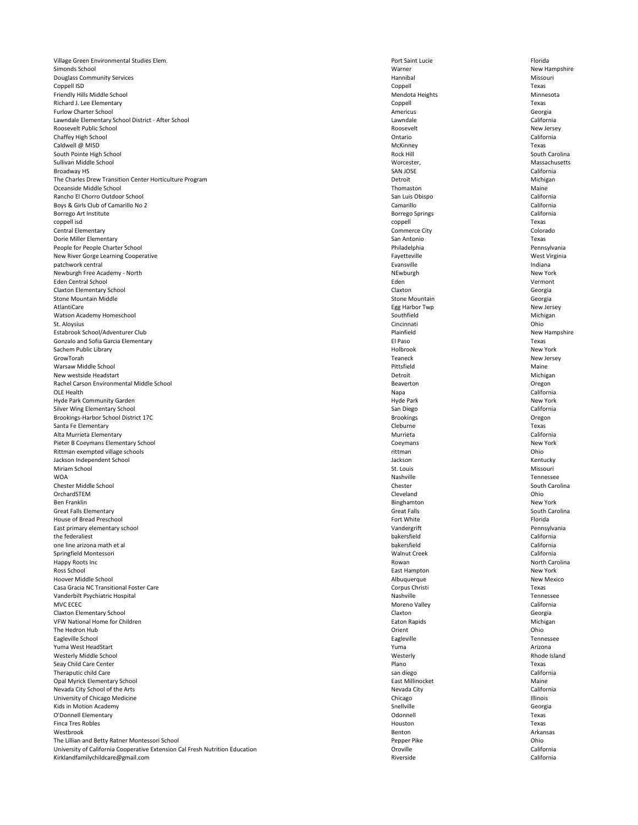Village Green Environmental Studies Elem. **Port Saint Lucie** Port Saint Lucie **Port Saint Lucie** Florida Simonds School New Hampshire New Hampshire New Hampshire New Hampshire New Hampshire Douglass Community Services **Exercise Exercise Exercise Contract Contract Contract Contract Contract Contract Contract Contract Contract Contract Contract Contract Contract Contract Contract Contract Contract Contract Cont** Coppell ISD Coppell Texas Friendly Hills Middle School Minnesota and Mendota Heights Mendota Heights Mendota Heights Minnesota Richard J. Lee Elementary Coppell Texas Furlow Charter School **Georgia** Georgia **Charter School** Georgia Lawndale Elementary School District - After School Lawndale California California Roosevelt Public School Roosevelt New Jersey Chaffey High School Ontario California Caldwell @ MISD Notes are a controlled to the controller of the McKinney McKinney McKinney Texas South Pointe High School South Carolina and South Carolina and South Carolina and South Carolina and South Carolina Sullivan Middle School Worcester, Massachusetts Broadway HS SAN JOSE California The Charles Drew Transition Center Horticulture Program **Detroit** Detroit Detroit Michigan Oceanside Middle School Thomaston Maine Rancho El Chorro Outdoor School **San Luis Obispo** California Boys & Girls Club of Camarillo No 2 California Borrego Art Institute **Exercise 2018** California coppell isd coppell Texas Central Elementary Commerce City Colorado Dorie Miller Elementary San Antonio Texas People for People Charter School Philadelphia Pennsylvania New River Gorge Learning Cooperative **Fayetteville** Fayetteville Fayetteville West Virginia patchwork central **Evansville** Indiana and the Indiana example of the Indiana example indiana example indiana example the Indiana Newburgh Free Academy - North New York **New York** New York New York New York Eden Central School Eden Vermont Claxton Elementary School Claxton Georgia Stone Mountain Middle **Stone Mountain** Georgia AtlantiCare **Egg Harbor Twp** Rew Jersey New Jersey Watson Academy Homeschool Michigan Michigan Southfield Southfield Southfield Michigan St. Aloysius Cincinnati Ohio Estabrook School/Adventurer Club **New Hampshire** New Hampshire Plainfield New Hampshire Gonzalo and Sofia Garcia Elementary **Election and Sofia Garcia Elementary Election and Sofia Garcia Elementary** Texas Sachem Public Library New York New York GrowTorah Teaneck New Jersey Warsaw Middle School Pittsfield Maine New westside Headstart **Michigan** Michigan Nichigan New Westside Headstart Michigan Rachel Carson Environmental Middle School **Environmental Middle School** Beaverton **Beaverton Beaverton** Oregon OLE Health **Napa California** Hyde Park Community Garden New York **New York** Hyde Park **Hyde Park** Hyde Park New York Silver Wing Elementary School **San Diego** San Diego San Diego California Brookings-Harbor School District 17C **Brookings** Oregon Brookings **Brookings Oregon** Santa Fe Elementary **Santa Fe Elementary** Texas Alta Murrieta Elementary **Murrieta** California Pieter B Coeymans Elementary School New York Rittman exempted village schools and the control of the control of the control of the control of the control of the control of the control of the control of the control of the control of the control of the control of the c Jackson Independent School Jackson Kentucky Miriam School St. Louis Missouri WOA Nashville Tennessee Chester Middle School Chester South Carolina OrchardSTEM Cleveland Ohio **Ben Franklin** New York New York New York New York New York New York New York Great Falls Elementary Great Falls South Carolina House of Bread Preschool Florida East primary elementary school and the state of the Case of Case of Case of Case of Case of Case of Case of Case of Case of Case of Case of Case of Case of Case of Case of Case of Case of Case of Case of Case of Case of Ca the federaliest bakersfield California

| one line arizona math et al                                                  | bakersfield         | California      |
|------------------------------------------------------------------------------|---------------------|-----------------|
| Springfield Montessori                                                       | <b>Walnut Creek</b> | California      |
| Happy Roots Inc                                                              | Rowan               | North Carolina  |
| Ross School                                                                  | East Hampton        | New York        |
| Hoover Middle School                                                         | Albuquerque         | New Mexico      |
| Casa Gracia NC Transitional Foster Care                                      | Corpus Christi      | Texas           |
| Vanderbilt Psychiatric Hospital                                              | Nashville           | Tennessee       |
| MVC ECEC                                                                     | Moreno Valley       | California      |
| <b>Claxton Elementary School</b>                                             | Claxton             | Georgia         |
| <b>VFW National Home for Children</b>                                        | Eaton Rapids        | Michigan        |
| The Hedron Hub                                                               | Orient              | Ohio            |
| Eagleville School                                                            | Eagleville          | Tennessee       |
| Yuma West HeadStart                                                          | Yuma                | Arizona         |
| Westerly Middle School                                                       | Westerly            | Rhode Island    |
| Seay Child Care Center                                                       | Plano               | Texas           |
| Theraputic child Care                                                        | san diego           | California      |
| Opal Myrick Elementary School                                                | East Millinocket    | Maine           |
| Nevada City School of the Arts                                               | Nevada City         | California      |
| University of Chicago Medicine                                               | Chicago             | <b>Illinois</b> |
| Kids in Motion Academy                                                       | Snellville          | Georgia         |
| O'Donnell Elementary                                                         | Odonnell            | Texas           |
| <b>Finca Tres Robles</b>                                                     | Houston             | Texas           |
| Westbrook                                                                    | Benton              | Arkansas        |
| The Lillian and Betty Ratner Montessori School                               | Pepper Pike         | Ohio            |
| University of California Cooperative Extension Cal Fresh Nutrition Education | Oroville            | California      |
| Kirklandfamilychildcare@gmail.com                                            | Riverside           | California      |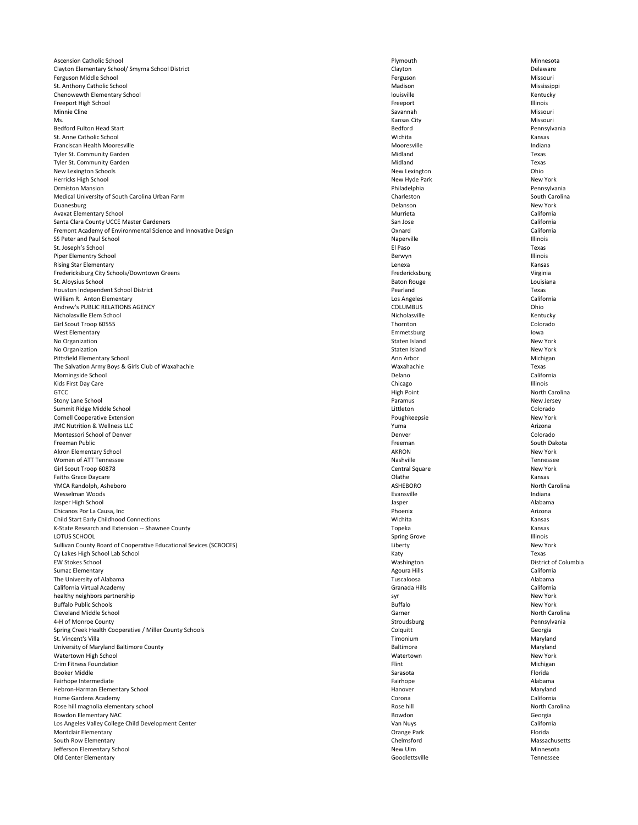Ascension Catholic School Minnesota Clayton Elementary School/ Smyrna School District **Clayton** Delaware Clayton Clayton Delaware Ferguson Middle School Missouri and School Alexander Missouri Ferguson Ferguson Missouri Alexander Missouri and Missouri St. Anthony Catholic School Mississippi Chenowewth Elementary School **Elementary School** and the Chenowewth Elementary School Kentucky Freeport High School Freeport Illinois Minnie Cline Nissouri and Savannah Missouri and Savannah Savannah Missouri Missouri and Savannah Missouri and S Ms. Kansas City Missouri Bedford Fulton Head Start **Pennsylvania** St. Anne Catholic School Wichita Kansas Franciscan Health Mooresville **Mooresville** and a local development of the Mooresville Mooresville and a local development of the Indiana Tyler St. Community Garden Midland Texas and Texas and Texas and Texas and Texas and Texas and Texas and Texas Tyler St. Community Garden Midland Texas and Texas and Texas and Texas and Texas and Texas and Texas and Texas New Lexington Schools **New Lexington** Ohio Herricks High School New Hyde Park New York Ormiston Mansion Philadelphia Pennsylvania Medical University of South Carolina Urban Farm **Charleston** Charleston Charleston South Carolina Duanesburg **New York** New York Avaxat Elementary School Murrieta California Santa Clara County UCCE Master Gardeners **San Jose** California California Fremont Academy of Environmental Science and Innovative Design **California** California California SS Peter and Paul School Illinois St. Joseph's School El Paso Texas Piper Elementry School **Elementry School** and the setter and the setter and the setter and the setter and the setter and the setter and the setter and the setter and the setter and the setter and the setter and the setter Rising Star Elementary **Rising Star Elementary Rising Star Elementary Rising Star Elementary Rising Star Elementary** Fredericksburg City Schools/Downtown Greens **Fredericksburg City Schools**/Downtown Greens **Fredericksburg Virginia** St. Aloysius School **Exercicial Exercise School** Baton Rouge **Louisiana** Baton Rouge Louisiana Houston Independent School District Texas William R. Anton Elementary Los Angeles California Andrew's PUBLIC RELATIONS AGENCY **COLUMBUS** COLUMBUS **COLUMBUS** Nicholasville Elem School Kentucky Girl Scout Troop 60555 Thornton Colorado Colorado National Colorado National Colorado Thornton Colorado Colorado West Elementary Emmetsburg Iowa No Organization New York New York New York No Organization New York New York New York Pittsfield Elementary School Michigan Nichigan Ann Arbor Ann Arbor Michigan The Salvation Army Boys & Girls Club of Waxahachie Texas Morningside School **Exercice School** California Kids First Day Care **Chicago Illinois** Chicago Chicago Chicago Chicago Illinois GTCC High Point North Carolina Stony Lane School New Jersey New Jersey Summit Ridge Middle School Colorado Colorado Colorado Littleton Colorado Colorado Colorado Cornell Cooperative Extension New York JMC Nutrition & Wellness LLC Yuma Arizona Montessori School of Denver Colorado Colorado and the U.S. Colorado Colorado Colorado Colorado Colorado Colorado Freeman Public Freeman South Dakota Akron Elementary School New York Women of ATT Tennessee Nashville Nashville Nashville Nashville Nashville Tennessee Nashville Tennessee Girl Scout Troop 60878 New York Faiths Grace Daycare **Example 20** Kansas Claude Control of the Claude Claude Claude Control of the Kansas Claude C yMCA Randolph, Asheboro North Carolina and Samuel Carolina and Samuel Carolina and ASHEBORO North Carolina and Samuel Carolina and Samuel Carolina and ASHEBORO North Carolina and Samuel Carolina and Samuel Carolina and Sam wesselman Woods **Evansville** Evansville **Evansville** Evansville and the Indiana Jasper High School Jasper Alabama Chicanos Por La Causa, Inc **Arizona** Arizona Child Start Early Childhood Connections Wichita Kansas K-State Research and Extension -- Shawnee County **The County County County County** Topeka Topeka Kansas Kansas LOTUS SCHOOL Spring Grove Illinois

| Sullivan County Board of Cooperative Educational Sevices (SCBOCES) | Liberty          | New York             |
|--------------------------------------------------------------------|------------------|----------------------|
| Cy Lakes High School Lab School                                    | Katy             | Texas                |
| <b>EW Stokes School</b>                                            | Washington       | District of Columbia |
| <b>Sumac Elementary</b>                                            | Agoura Hills     | California           |
| The University of Alabama                                          | Tuscaloosa       | Alabama              |
| California Virtual Academy                                         | Granada Hills    | California           |
| healthy neighbors partnership                                      | syr              | New York             |
| <b>Buffalo Public Schools</b>                                      | <b>Buffalo</b>   | New York             |
| <b>Cleveland Middle School</b>                                     | Garner           | North Carolina       |
| 4-H of Monroe County                                               | Stroudsburg      | Pennsylvania         |
| Spring Creek Health Cooperative / Miller County Schools            | Colquitt         | Georgia              |
| St. Vincent's Villa                                                | Timonium         | Maryland             |
| University of Maryland Baltimore County                            | <b>Baltimore</b> | Maryland             |
| Watertown High School                                              | Watertown        | New York             |
| <b>Crim Fitness Foundation</b>                                     | Flint            | Michigan             |
| <b>Booker Middle</b>                                               | Sarasota         | Florida              |
| Fairhope Intermediate                                              | Fairhope         | Alabama              |
| Hebron-Harman Elementary School                                    | Hanover          | Maryland             |
| Home Gardens Academy                                               | Corona           | California           |
| Rose hill magnolia elementary school                               | Rose hill        | North Carolina       |
| Bowdon Elementary NAC                                              | Bowdon           | Georgia              |
| Los Angeles Valley College Child Development Center                | Van Nuys         | California           |
| <b>Montclair Elementary</b>                                        | Orange Park      | Florida              |
| South Row Elementary                                               | Chelmsford       | Massachusetts        |
| Jefferson Elementary School                                        | New Ulm          | Minnesota            |
| Old Center Elementary                                              | Goodlettsville   | Tennessee            |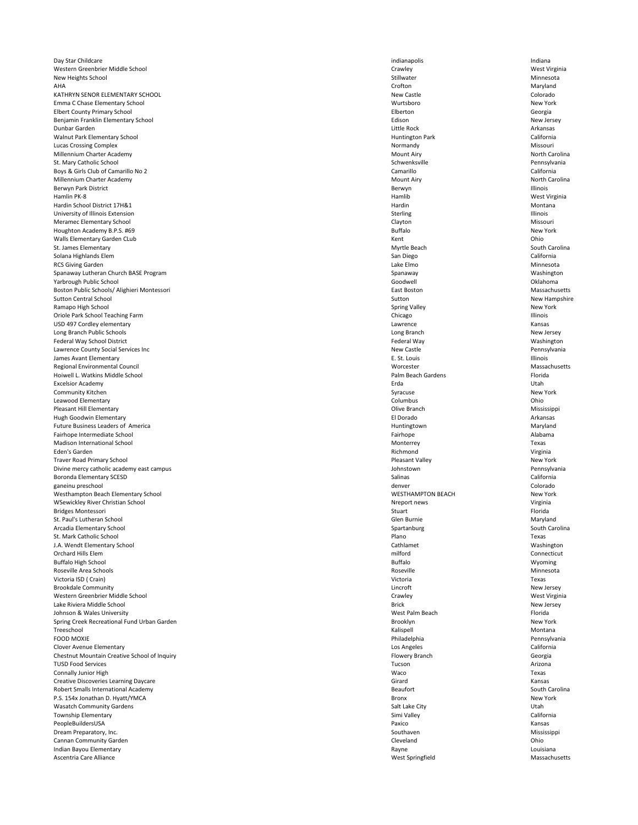Day Star Childcare **indianapolis** indianapolis indianapolis indianapolis indianapolis indianapolis indianapolis indiana Western Greenbrier Middle School **West Virginia** Crawley Crawley Crawley Crawley Crawley West Virginia New Heights School Ninnesota AHA Crofton Maryland KATHRYN SENOR ELEMENTARY SCHOOL **ELEMENTARY SCHOOL** COLORADO NEW CASTLE NEW CASTLE NEW CASTLE COLORADO COLORADO Emma C Chase Elementary School Wurtsboro New York Elbert County Primary School Elberton Georgia Benjamin Franklin Elementary School New Jersey New Jersey Dunbar Garden Little Rock Arkansas Walnut Park Elementary School **Exercise 2018** California **Huntington Park** California Lucas Crossing Complex **Missouri** Missouri **Missouri** Normandy **Missouri Missouri Missouri** Millennium Charter Academy **Mount Airy** Mount Airy **Mount Airy** Mount Airy **Noth Carolina** St. Mary Catholic School Schwenksville Pennsylvania Boys & Girls Club of Camarillo No 2 California Millennium Charter Academy **Mount Airy North Carolina** Mount Airy North Carolina and Mount Airy North Carolina Berwyn Park District herwyn Illinois a Berwyn Berwyn District a Berwyn Illinois Hamlin PK-8 Hamlib West Virginia Hardin School District 17H&1 Hardin Montana University of Illinois Extension and Illinois in the University of Illinois Sterling Sterling Sterling Sterling Sterling Sterling Sterling Sterling Sterling Sterling Sterling Sterling Sterling Sterling Sterling Sterling St Meramec Elementary School Missouri Houghton Academy B.P.S. #69 New York Walls Elementary Garden CLub **Contract CLUB CONSERVERS** CONSERVERSE Elementary Garden CLub Contract Contract Ohio St. James Elementary **South Carolina** South Carolina and South Carolina South Carolina Solana Highlands Elem **San Diego** California California RCS Giving Garden **Lake Elmo** and Minnesota Spanaway Lutheran Church BASE Program Spanaway Spanaway Spanaway Spanaway Washington Yarbrough Public School Goodwell Oklahoma Boston Public Schools/ Alighieri Montessori **East Boston** East Boston Massachusetts Sutton Central School New Hampshire New Hampshire Sutton New Hampshire Sutton New Hampshire Ramapo High School New York New York Oriole Park School Teaching Farm **Illinois** and the United States of Chicago Chicago Chicago Illinois USD 497 Cordley elementary Lawrence Kansas Long Branch Public Schools Long Branch New Jersey Federal Way School District Washington Channels and Teachers' Channels and Teachers' Federal Way Washington Washington Lawrence County Social Services Inc New Castle 2008 and the Services Inc. New Castle 2008 and New Castle 2008 and Dennsylvania James Avant Elementary **E. St. Louis** E. St. Louis **E. St. Louis** Illinois Regional Environmental Council and Massachusetts and Massachusetts and Massachusetts and Massachusetts and Massachusetts Hoiwell L. Watkins Middle School Palm Beach Gardens Florida Excelsior Academy Erda Utah Community Kitchen New York New York New York New York New York New York New York Leawood Elementary Columbus Ohio Pleasant Hill Elementary **Example 2018** Mississippi Hugh Goodwin Elementary **Election Contract Contract Contract Contract Contract Contract Contract Contract Contract Contract Contract Contract Contract Contract Contract Contract Contract Contract Contract Contract Contract** Future Business Leaders of America **Maryland** Maryland Maryland Fairhope Intermediate School Fairhope Alabama Madison International School Texas Eden's Garden Richmond Virginia Traver Road Primary School New York New York New York New York New York New York New York New York New York New York Divine mercy catholic academy east campus Johnstown Pennsylvania Boronda Elementary SCESD California ganeinu preschool denver Colorado Westhampton Beach Elementary School New York WSewickley River Christian School Virginia Nreport news Nreport news Nreport news Virginia Bridges Montessori Stuart Florida St. Paul's Lutheran School Maryland Maryland (1999) and Stephen Glen Burnie (1999) and Glen Burnie Maryland Maryland Arcadia Elementary School Spartanburg South Carolina St. Mark Catholic School Plano Texas

| J.A. Wenut Elementary School                 |
|----------------------------------------------|
| <b>Orchard Hills Elem</b>                    |
| <b>Buffalo High School</b>                   |
| Roseville Area Schools                       |
| Victoria ISD (Crain)                         |
| <b>Brookdale Community</b>                   |
| Western Greenbrier Middle School             |
| Lake Riviera Middle School                   |
| Johnson & Wales University                   |
| Spring Creek Recreational Fund Urban Garden  |
| Treeschool                                   |
| <b>FOOD MOXIE</b>                            |
| <b>Clover Avenue Elementary</b>              |
| Chestnut Mountain Creative School of Inquiry |
| <b>TUSD Food Services</b>                    |
| <b>Connally Junior High</b>                  |
| <b>Creative Discoveries Learning Daycare</b> |
| Robert Smalls International Academy          |
| P.S. 154x Jonathan D. Hyatt/YMCA             |
| <b>Wasatch Community Gardens</b>             |
| <b>Township Elementary</b>                   |
| PeopleBuildersUSA                            |
| Dream Preparatory, Inc.                      |
| <b>Cannan Community Garden</b>               |
| Indian Bayou Elementary                      |
| Ascentria Care Alliance                      |

| J.A. Wendt Elementary School                 | Cathlamet             | Washington     |
|----------------------------------------------|-----------------------|----------------|
| Orchard Hills Elem                           | milford               | Connecticut    |
| <b>Buffalo High School</b>                   | <b>Buffalo</b>        | Wyoming        |
| Roseville Area Schools                       | Roseville             | Minnesota      |
| Victoria ISD (Crain)                         | Victoria              | Texas          |
| <b>Brookdale Community</b>                   | Lincroft              | New Jersey     |
| Western Greenbrier Middle School             | Crawley               | West Virginia  |
| Lake Riviera Middle School                   | <b>Brick</b>          | New Jersey     |
| Johnson & Wales University                   | West Palm Beach       | Florida        |
| Spring Creek Recreational Fund Urban Garden  | Brooklyn              | New York       |
| Treeschool                                   | Kalispell             | Montana        |
| FOOD MOXIE                                   | Philadelphia          | Pennsylvania   |
| <b>Clover Avenue Elementary</b>              | Los Angeles           | California     |
| Chestnut Mountain Creative School of Inquiry | <b>Flowery Branch</b> | Georgia        |
| <b>TUSD Food Services</b>                    | Tucson                | Arizona        |
| <b>Connally Junior High</b>                  | Waco                  | Texas          |
| <b>Creative Discoveries Learning Daycare</b> | Girard                | Kansas         |
| <b>Robert Smalls International Academy</b>   | <b>Beaufort</b>       | South Carolina |
| P.S. 154x Jonathan D. Hyatt/YMCA             | <b>Bronx</b>          | New York       |
| <b>Wasatch Community Gardens</b>             | Salt Lake City        | Utah           |
| Township Elementary                          | Simi Valley           | California     |
| PeopleBuildersUSA                            | Paxico                | Kansas         |
| Dream Preparatory, Inc.                      | Southaven             | Mississippi    |
| Cannan Community Garden                      | Cleveland             | Ohio           |
| Indian Bayou Elementary                      | Rayne                 | Louisiana      |
| Ascentria Care Alliance                      | West Springfield      | Massachusetts  |
|                                              |                       |                |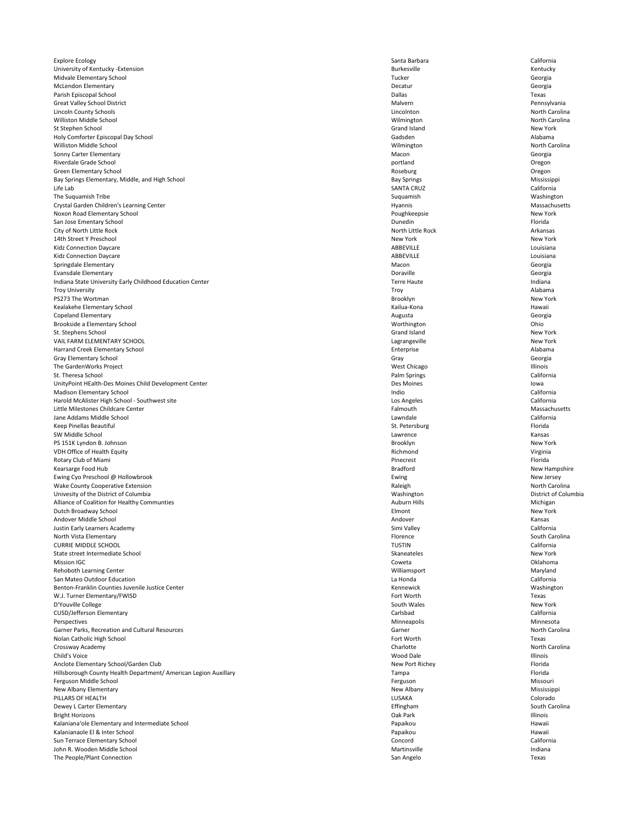Explore Ecology **Santa Barbara California** California University of Kentucky -Extension Kentucky **Rentucky** Sentucky Midvale Elementary School **Georgia** Georgia McLendon Elementary **Election Contracts** Georgia Parish Episcopal School **Example 2018** Texas Texas Great Valley School District **Malvern School District Act and School Pennsylvania** Malvern Pennsylvania Lincoln County Schools Lincolnton North Carolina Williston Middle School North Carolina and North Carolina and North Carolina and North Carolina St Stephen School New York Holy Comforter Episcopal Day School Gadsden Alabama Williston Middle School North Carolina and North Carolina and North Carolina and North Carolina and North Carolina Sonny Carter Elementary **Macon** Georgia **Macon** Georgia and Security and Security of Macon Georgia Riverdale Grade School **Discrete School** Deegon and Oregon and Oregon portland **Oregon Oregon** Green Elementary School **Contract Contract Contract Contract Contract Contract Contract Contract Contract Contract Contract Contract Contract Contract Contract Contract Contract Contract Contract Contract Contract Contract** Bay Springs Elementary, Middle, and High School and Bay Springs and Bay Springs Mississippi Life Lab SANTA CRUZ California The Suquamish Tribe **Supersets** Washington Crystal Garden Children's Learning Center **Hyannis** Massachusetts **Massachusetts** Massachusetts Noxon Road Elementary School New York San Jose Ementary School **Example 20** Florida **Contract Contract Contract Contract Contract Contract Contract Contract Contract Contract Contract Contract Contract Contract Contract Contract Contract Contract Contract Cont** City of North Little Rock Arkansas 14th Street Y Preschool New York New York Kidz Connection Daycare **ABBEVILLE Research Connection Daycare** Louisiana Louisiana and ABBEVILLE Kidz Connection Daycare Louisiana Louisiana Springdale Elementary **Subset Contract Contract Contract Contract Contract Contract Contract Contract Contract Contract Contract Contract Contract Contract Contract Contract Contract Contract Contract Contract Contract Con** Evansdale Elementary Doraville Georgia Indiana State University Early Childhood Education Center Nation 2001 12:00 12:00 12:00 12:00 12:00 12:00 12:00 12:00 12:00 12:00 12:00 12:00 12:00 12:00 12:00 12:00 12:00 12:00 12:00 12:00 12:00 12:00 12:00 12:00 12:00 12 Troy University Troy Alabama PS273 The Wortman New York New York New York New York New York New York New York Kealakehe Elementary School **Kailua-Kona** Kailua-Kona Kailua-Kona Kailua-Kona Hawaii Copeland Elementary **Augusta** Georgia Brookside a Elementary School **Elementary School** Union Chio<sup>n</sup> Chio Northington Number of Number 2012 12:00 Number 2013 St. Stephens School New York New York VAIL FARM ELEMENTARY SCHOOL New York Harrand Creek Elementary School and the state of the state of the state of the Enterprise Alabama and Creek Elementary School and the Alabama Gray Elementary School Georgia Georgia Communication Communication Cray Georgia Georgia The GardenWorks Project and the University of the Chicago and Mest Chicago Chicago Illinois St. Theresa School **Exercical California** California UnityPoint HEalth-Des Moines Child Development Center **Example 2018** Notified a state of the Des Moines Iowa Madison Elementary School California Harold McAlister High School - Southwest site California California Little Milestones Childcare Center **Falmouth** Massachusetts **Falmouth** Falmouth Massachusetts Jane Addams Middle School Lawndale California Keep Pinellas Beautiful **St. Petersburg Florida** St. Petersburg St. Petersburg St. Petersburg St. Petersburg Florida SW Middle School **Example 20** Kansas Kansas Constanting Constanting Constanting Constanting Constanting Constanting Constanting Constanting Constanting Constanting Constanting Constanting Constanting Constanting Constantin PS 151K Lyndon B. Johnson New York **Brooklyn** Brooklyn Brooklyn Brooklyn New York VDH Office of Health Equity Virginia Virginia Rotary Club of Miami **Pinecrest** Florida **Pinecrest** Pinecrest Pinecrest Pinecrest Pinecrest Pinecrest Pinecrest Pinecrest Pinecrest Pinecrest Pinecrest Pinecrest Pinecres Pinecres Pinecres Pinecres Pinecres Pinecres Pinec Kearsarge Food Hub New Hampshire New Hampshire New Hampshire New Hampshire New Hampshire Ewing Cyo Preschool @ Hollowbrook New Jersey New Jersey Wake County Cooperative Extension **North Carolina** Raleigh Raleigh Raleigh Raleigh North Carolina Univesity of the District of Columbia **Exercise 2018** 2019 12:30 Washington District of Columbia Alliance of Coalition for Healthy Communties Michigan and Auburn Hills Auburn Hills Michigan Michigan Dutch Broadway School Elmont New York Andover Middle School Andover Kansas Justin Early Learners Academy **Simi Valley** California North Vista Elementary **South Carolina Florence** South Carolina **South Carolina Florence** South Carolina

| <b>CURRIE MIDDLE SCHOOL</b>                                      | <b>TUSTIN</b>   | California     |
|------------------------------------------------------------------|-----------------|----------------|
| State street Intermediate School                                 | Skaneateles     | New York       |
| <b>Mission IGC</b>                                               | Coweta          | Oklahoma       |
| Rehoboth Learning Center                                         | Williamsport    | Maryland       |
| San Mateo Outdoor Education                                      | La Honda        | California     |
| Benton-Franklin Counties Juvenile Justice Center                 | Kennewick       | Washington     |
| W.J. Turner Elementary/FWISD                                     | Fort Worth      | Texas          |
| D'Youville College                                               | South Wales     | New York       |
| <b>CUSD/Jefferson Elementary</b>                                 | Carlsbad        | California     |
| Perspectives                                                     | Minneapolis     | Minnesota      |
| Garner Parks, Recreation and Cultural Resources                  | Garner          | North Carolina |
| Nolan Catholic High School                                       | Fort Worth      | Texas          |
| Crossway Academy                                                 | Charlotte       | North Carolina |
| Child's Voice                                                    | Wood Dale       | Illinois       |
| Anclote Elementary School/Garden Club                            | New Port Richey | Florida        |
| Hillsborough County Health Department/ American Legion Auxillary | Tampa           | Florida        |
| Ferguson Middle School                                           | Ferguson        | Missouri       |
| New Albany Elementary                                            | New Albany      | Mississippi    |
| PILLARS OF HEALTH                                                | LUSAKA          | Colorado       |
| Dewey L Carter Elementary                                        | Effingham       | South Carolina |
| <b>Bright Horizons</b>                                           | Oak Park        | Illinois       |
| Kalaniana'ole Elementary and Intermediate School                 | Papaikou        | Hawaii         |
| Kalanianaole El & Inter School                                   | Papaikou        | Hawaii         |
| Sun Terrace Elementary School                                    | Concord         | California     |
| John R. Wooden Middle School                                     | Martinsville    | Indiana        |
| The People/Plant Connection                                      | San Angelo      | Texas          |
|                                                                  |                 |                |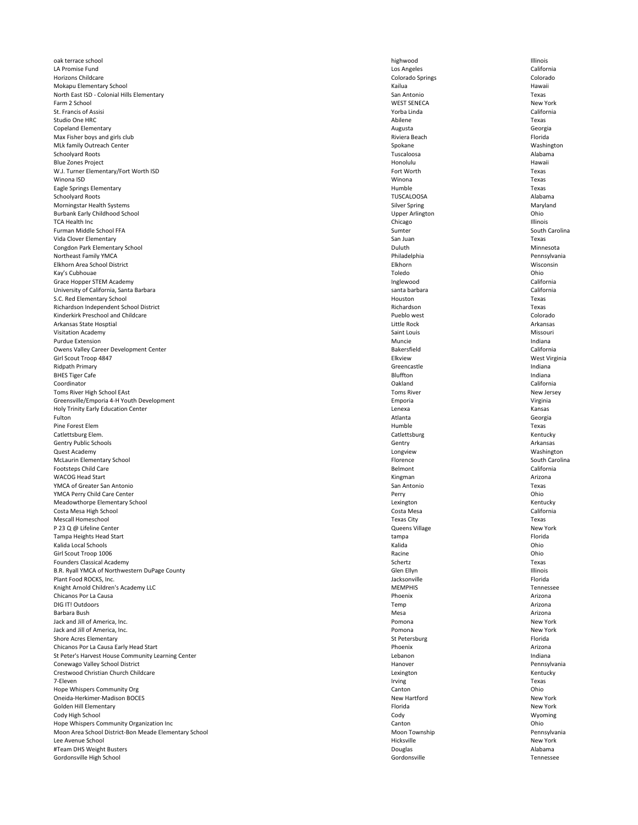oak terrace school highwood Illinois LA Promise Fund Los Angeles California Horizons Childcare **Colorado Springs** Colorado Springs Colorado Springs Colorado Springs Colorado Springs Colorado Mokapu Elementary School **Exercise School** Hawaii **Kailua** Kailua Kailua Kailua Kailua Kailua Kailua Kailua Kailua Kailua Kailua Kailua Kailua Kailua Kailua Kailua Kailua Kailua Kailua Kailua Kailua Kailua Kailua Kailua Ka North East ISD - Colonial Hills Elementary **San Antonio** San Antonio San Antonio Texas Farm 2 School New York St. Francis of Assisi **Subset and Assisi** California Studio One HRC **Research Contract Contract Contract Contract Contract Contract Contract Contract Contract Contract Contract Contract Contract Contract Contract Contract Contract Contract Contract Contract Contract Contract** Copeland Elementary Augusta Georgia Max Fisher boys and girls club Riviera Beach Riviera Beach Riviera Beach Riviera Beach Riviera Beach Riviera Beach Riviera Beach Riviera Beach Riviera Beach Riviera Beach Riviera Beach Riviera Beach Riviera Beach Riviera B MLk family Outreach Center **Spokane** Washington **Spokane** Spokane Spokane Washington Schoolyard Roots Tuscaloosa Alabama Blue Zones Project Honolulu Hawaii W.J. Turner Elementary/Fort Worth ISD Texas Winona ISD Winona Texas Eagle Springs Elementary **Example 19** Texas Schoolyard Roots TUSCALOOSA Alabama Morningstar Health Systems **Silver Spring Silver Spring Maryland** Maryland Burbank Early Childhood School **Early Childhood School** Upper Arlington **Upper Arlington** Upper Arlington **Ohio** TCA Health Inc **Example 20** Security 20 and 20 and 20 and 20 and 20 and 20 and 20 and 20 and 20 and 20 and 20 and 20 and 20 and 20 and 20 and 20 and 20 and 20 and 20 and 20 and 20 and 20 and 20 and 20 and 20 and 20 and 20 Furman Middle School FFA Sumter South Carolina Vida Clover Elementary **San Juan** Texas Congdon Park Elementary School Duluth Minnesota Northeast Family YMCA Pennsylvania Pennsylvania Elkhorn Area School District Elkhorn Wisconsin Kay's Cubhouae Toledo Ohio Grace Hopper STEM Academy **Inglewood** California University of California, Santa Barbara Santa Barbara santa barbara santa barbara santa barbara santa barbara California S.C. Red Elementary School **Texas** and the set of the set of the set of the set of the set of the set of the set of the set of the set of the set of the set of the set of the set of the set of the set of the set of the set Richardson Independent School District Texas Kinderkirk Preschool and Childcare Colorado Colorado Pueblo west Pueblo west Colorado Arkansas State Hosptial **Arkansas State Hosptial** Arkansas Christianus and Arkansas Christianus and Arkansas Christianus and Arkansas Christianus and Arkansas Christianus and Arkansas Christianus and Arkansas Christianus a Visitation Academy with the controller of the controller of the Saint Louis Saint Louis Missouri Missouri Purdue Extension **Extension** and the contract of the contract of the Muncie and Muncie and Muncie indianal methods in the contract of the contract of the contract of the contract of the contract of the contract of the cont Owens Valley Career Development Center **Bakersfield** California **California** Bakersfield California Girl Scout Troop 4847 West Virginia Ridpath Primary **State Accord Contract Contract Contract Contract Contract Contract Contract Contract Contract Contract Contract Contract Contract Contract Contract Contract Contract Contract Contract Contract Contract Con** BHES Tiger Cafe **Example 2018** and the set of the Bluffton **Bluffton** Bluffton **Indiana** Coordinator Oakland California Toms River High School EAst New Jersey New Jersey Greensville/Emporia 4-H Youth Development Virginia Creensville/Emporia Creensville/Emporia Virginia Holy Trinity Early Education Center **Lenexa** Kansas Cansas Cansas Center Accounts Center Accounts Cansas Cansas Fulton and a second contract the contract of the contract of the contract of the Georgia contract of Georgia Pine Forest Elem **Texas** Catlettsburg Elem. **Example 2018** Kentucky Gentry Public Schools **Gentry Arkansas** Gentry **Gentry** Gentry **Arkansas** Gentry **Arkansas** Quest Academy Longview Washington McLaurin Elementary School South Carolina and South Carolina and South Carolina and South Carolina Footsteps Child Care **California** California WACOG Head Start **Arizona** Arizona and Arizona and Arizona and Arizona and Arizona and Arizona and Arizona and A YMCA of Greater San Antonio San Antonio Texas YMCA Perry Child Care Center **Child Care Center** Perry **Child Care Center Perry Child Care Center** Ohio Meadowthorpe Elementary School **Elementary School** Lexington Lexington Lexington Kentucky Costa Mesa High School Costa Mesa California Mescall Homeschool Texas City Texas P 23 Q @ Lifeline Center New York Tampa Heights Head Start **Tampa Florida** Florida Channel Channel Channel Channel Channel Channel Channel Channel Channel Channel Channel Channel Channel Channel Channel Channel Channel Channel Channel Channel Channel Chann

| Kalida Local Schools                                  | Kalida         | Ohio             |
|-------------------------------------------------------|----------------|------------------|
| Girl Scout Troop 1006                                 | Racine         | Ohio             |
| <b>Founders Classical Academy</b>                     | Schertz        | Texas            |
| B.R. Ryall YMCA of Northwestern DuPage County         | Glen Ellyn     | <b>Illinois</b>  |
| Plant Food ROCKS, Inc.                                | Jacksonville   | Florida          |
| Knight Arnold Children's Academy LLC                  | <b>MEMPHIS</b> | <b>Tennessee</b> |
| Chicanos Por La Causa                                 | Phoenix        | Arizona          |
| DIG IT! Outdoors                                      | Temp           | Arizona          |
| Barbara Bush                                          | Mesa           | Arizona          |
| Jack and Jill of America, Inc.                        | Pomona         | New York         |
| Jack and Jill of America, Inc.                        | Pomona         | New York         |
| <b>Shore Acres Elementary</b>                         | St Petersburg  | Florida          |
| Chicanos Por La Causa Early Head Start                | Phoenix        | Arizona          |
| St Peter's Harvest House Community Learning Center    | Lebanon        | Indiana          |
| Conewago Valley School District                       | Hanover        | Pennsylvania     |
| Crestwood Christian Church Childcare                  | Lexington      | Kentucky         |
| 7-Eleven                                              | Irving         | Texas            |
| Hope Whispers Community Org                           | Canton         | Ohio             |
| Oneida-Herkimer-Madison BOCES                         | New Hartford   | New York         |
| Golden Hill Elementary                                | Florida        | New York         |
| Cody High School                                      | Cody           | Wyoming          |
| Hope Whispers Community Organization Inc              | Canton         | Ohio             |
| Moon Area School District-Bon Meade Elementary School | Moon Township  | Pennsylvania     |
| Lee Avenue School                                     | Hicksville     | New York         |
| #Team DHS Weight Busters                              | Douglas        | Alabama          |
| Gordonsville High School                              | Gordonsville   | <b>Tennessee</b> |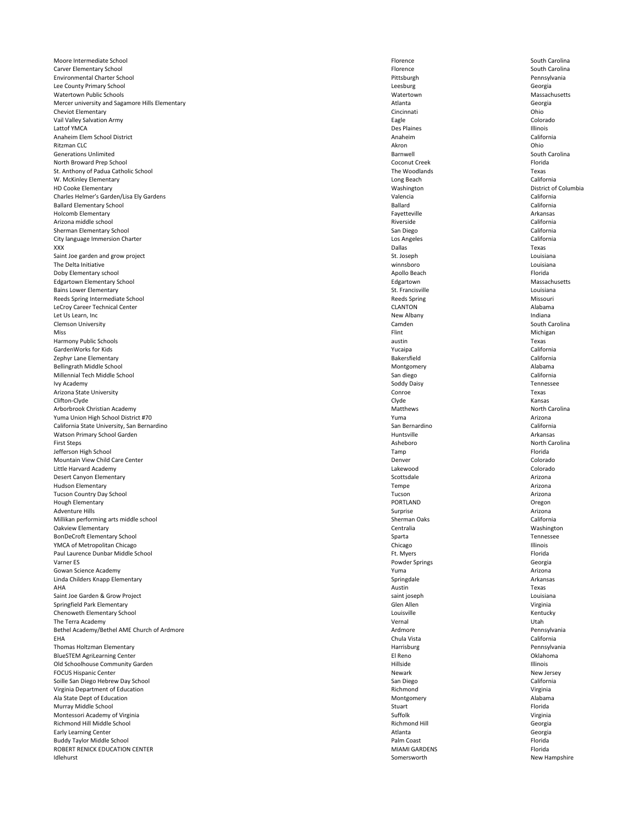Moore Intermediate School South Carolina and South Carolina South Carolina South Carolina Carver Elementary School South Carolina and South Carolina Carver Elementary School South Carolina Environmental Charter School Pittsburgh Pennsylvania Lee County Primary School Georgia Watertown Public Schools Watertown Massachusetts Mercer university and Sagamore Hills Elementary **Atlanta** Georgia Atlanta Ceorgia Cheviot Elementary Cincinnati Ohio Vail Valley Salvation Army Colorado Contract Colorado Colorado Lattof YMCA **Des Plaines** Provident and the United States of the Des Plaines Providence of the Illinois Anaheim Elem School District California Ritzman CLC Akron Ohio Generations Unlimited South Carolina and South Carolina Barnwell South Carolina South Carolina North Broward Prep School Florida Coconut Creek Florida Coconut Creek Florida Coconut Creek Florida St. Anthony of Padua Catholic School Texas W. McKinley Elementary **California** California HD Cooke Elementary Washington District of Columbia Charles Helmer's Garden/Lisa Ely Gardens California California California California Ballard Elementary School California Holcomb Elementary Fayetteville Arkansas Arizona middle school Riverside California Sherman Elementary School **Sherman Elementary School** California City language Immersion Charter **California** California **California** Los Angeles California XXX Dallas Texas Saint Joe garden and grow project **St. Joseph St. Joseph** St. Joseph Louisiana The Delta Initiative winnsboro Louisiana Doby Elementary school **Exercise Elementary school** Florida Edgartown Elementary School Massachusetts **Edgartown** Edgartown Edgartown Massachusetts Bains Lower Elementary **St. Francisville** Louisiana and St. Francisville Louisiana and St. Francisville Louisiana Reeds Spring Intermediate School Missouri and School and School Reeds Spring Reeds Spring Missouri Reeds Spring Missouri LeCroy Career Technical Center **CLANTON** Alabama Let Us Learn, Inc **New Albany** Indiana Clemson University South Carolina and South Carolina Cambridge Cambridge Cambridge Cambridge Cambridge Cambridge Cambridge Cambridge Cambridge Cambridge Cambridge Cambridge Cambridge Cambridge Cambridge Cambridge Cambridge Miss and the Michigan Michigan of the Michigan Michigan Michigan Michigan Michigan Michigan Michigan Harmony Public Schools **Example 19** Texas austin Texas GardenWorks for Kids Yucaipa California Zephyr Lane Elementary **California** California Bellingrath Middle School and a state of the Montgomery and Montgomery and Montgomery Alabama Millennial Tech Middle School San diego California Ivy Academy **Solution and South Accepts** South Solution Solution South Solution Solution Solution Solution Solution Tennessee Arizona State University **Contract Contract Contract Contract Conroe** Conroe Conroe Conroe Texas Clifton-Clyde Clyde Kansas Arborbrook Christian Academy **Matthews** Matthews North Carolina Yuma Union High School District #70 **Arizona** Arizona Arizona California State University, San Bernardino **San Bernardino** San Bernardino California Watson Primary School Garden **Arkansas** Arkansas and the Unit of the Muntsville Arkansas Arkansas and Huntsville First Steps North Carolina and Security Asheboro Asheboro Asheboro Asheboro North Carolina Jefferson High School Tamp Florida Mountain View Child Care Center **Colorado** Colorado **Colorado** Denver **Colorado** Denver Colorado Denver Colorado Little Harvard Academy Lakewood Colorado Desert Canyon Elementary **Scottsdale** Arizona Hudson Elementary Tempe Arizona Tucson Country Day School Tucson Arizona Hough Elementary PORTLAND Oregon Adventure Hills Surprise Arizona Millikan performing arts middle school Sherman Oaks California Oakview Elementary Centralia Washington BonDeCroft Elementary School Sparta Tennessee

| YMCA of Metropolitan Chicago                | Chicago              | Illinois      |
|---------------------------------------------|----------------------|---------------|
| Paul Laurence Dunbar Middle School          | Ft. Myers            | Florida       |
| Varner ES                                   | Powder Springs       | Georgia       |
| Gowan Science Academy                       | Yuma                 | Arizona       |
| Linda Childers Knapp Elementary             | Springdale           | Arkansas      |
| AHA                                         | Austin               | Texas         |
| Saint Joe Garden & Grow Project             | saint joseph         | Louisiana     |
| Springfield Park Elementary                 | Glen Allen           | Virginia      |
| Chenoweth Elementary School                 | Louisville           | Kentucky      |
| The Terra Academy                           | Vernal               | Utah          |
| Bethel Academy/Bethel AME Church of Ardmore | Ardmore              | Pennsylvania  |
| EHA                                         | Chula Vista          | California    |
| Thomas Holtzman Elementary                  | Harrisburg           | Pennsylvania  |
| <b>BlueSTEM AgriLearning Center</b>         | El Reno              | Oklahoma      |
| Old Schoolhouse Community Garden            | Hillside             | Illinois      |
| <b>FOCUS Hispanic Center</b>                | <b>Newark</b>        | New Jersey    |
| Soille San Diego Hebrew Day School          | San Diego            | California    |
| Virginia Department of Education            | Richmond             | Virginia      |
| Ala State Dept of Education                 | Montgomery           | Alabama       |
| Murray Middle School                        | Stuart               | Florida       |
| Montessori Academy of Virginia              | Suffolk              | Virginia      |
| Richmond Hill Middle School                 | <b>Richmond Hill</b> | Georgia       |
| <b>Early Learning Center</b>                | Atlanta              | Georgia       |
| <b>Buddy Taylor Middle School</b>           | Palm Coast           | Florida       |
| ROBERT RENICK EDUCATION CENTER              | <b>MIAMI GARDENS</b> | Florida       |
| Idlehurst                                   | Somersworth          | New Hampshire |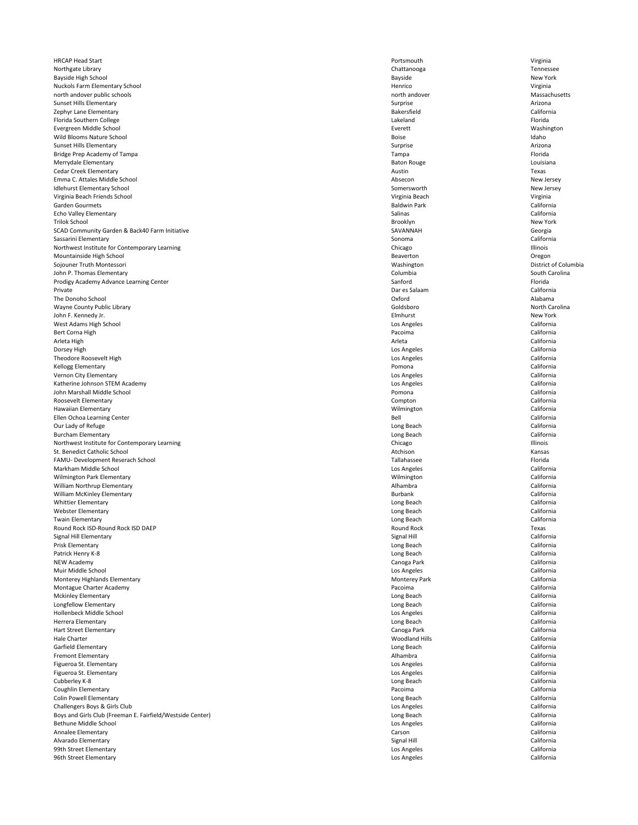HRCAP Head Start **National State of the Contract of the Contract of Contract Contract of Contract Contract Originia** Northgate Library Chattanooga Tennessee Bayside High School New York New York Nuckols Farm Elementary School Virginia and School Changes and School Henrico Changes and School Virginia north andover public schools Massachusetts north andover and a massachusetts north andover Sunset Hills Elementary **Surprise** Arizona zephyr Lane Elementary **California** California Florida Southern College **Lakeland** Florida Electric College Reserves the Lakeland Florida Electric College Reserves the Reserves of the Reserves the Reserves the Reserves the Reserves the Reserves the Reserves the Reserve Evergreen Middle School Everett Washington Wild Blooms Nature School Boise Idaho Sunset Hills Elementary **Surprise** Arizona Bridge Prep Academy of Tampa Florida Tampa Tampa Tampa Tampa Tampa Tampa Tampa Florida Merrydale Elementary **Baton Rouge Louisiana** Louisiana and the Baton Rouge Research Rouge Louisiana Cedar Creek Elementary **Austin** Texas Emma C. Attales Middle School New Jersey New Jersey New Jersey New Jersey New Jersey New Jersey New Jersey Idlehurst Elementary School Somersworth New Jersey Virginia Beach Friends School Virginia Beach Virginia Garden Gourmets Baldwin Park California Echo Valley Elementary Salinas California Trilok School Brooklyn New York SCAD Community Garden & Back40 Farm Initiative Georgia SAVANNAH SAVANNAH Georgia Sassarini Elementary Sonoma California Northwest Institute for Contemporary Learning and a structure of the Chicago Chicago Chicago Chicago Illinois Mountainside High School **Contract Contract Contract Contract Contract Contract Contract Contract Contract Contract Contract Contract Contract Contract Contract Contract Contract Contract Contract Contract Contract Contrac** Sojouner Truth Montessori **Natural Solumbia** and Mashington Mashington District of Columbia John P. Thomas Elementary South Carolina and South Carolina Columbia South Carolina Prodigy Academy Advance Learning Center **Sanford** Florida Center Sanford Sanford Florida Private Dar es Salaam California The Donoho School Oxford Alabama Wayne County Public Library **North Carolina** Goldsboro **Collection** Goldsboro **North Carolina John F. Kennedy Jr.** New York West Adams High School Los Angeles California Bert Corna High Pacoima California Arleta High Arleta California Dorsey High Los Angeles California Theodore Roosevelt High California Kellogg Elementary **Pomona** California Vernon City Elementary **California** California Katherine Johnson STEM Academy **California** California John Marshall Middle School Pomona California Roosevelt Elementary **California** California California California California California California Hawaiian Elementary Wilmington California Ellen Ochoa Learning Center **Ellen Ochoa Learning Center** California Our Lady of Refuge **Long Beach** California Burcham Elementary **Elementary** California Northwest Institute for Contemporary Learning and a structure of the Chicago Chicago Chicago Chicago Illinois St. Benedict Catholic School **Atchison** Kansas Atchison Atchison Atchison Atchison Atchison Kansas Atchison Kansas FAMU- Development Reserach School Tallahassee Florida Markham Middle School **California** California Wilmington Park Elementary **California** California William Northrup Elementary **Alhambra** California William McKinley Elementary **Elementary** California Whittier Elementary Long Beach California Webster Elementary Long Beach California Twain Elementary Long Beach California Round Rock ISD-Round Rock ISD DAEP Texas Signal Hill Elementary California

| Prisk Elementary                                           | Long Beach            | California |
|------------------------------------------------------------|-----------------------|------------|
| Patrick Henry K-8                                          | Long Beach            | California |
| <b>NEW Academy</b>                                         | Canoga Park           | California |
| Muir Middle School                                         | Los Angeles           | California |
| Monterey Highlands Elementary                              | <b>Monterey Park</b>  | California |
| Montague Charter Academy                                   | Pacoima               | California |
| <b>Mckinley Elementary</b>                                 | Long Beach            | California |
| Longfellow Elementary                                      | Long Beach            | California |
| Hollenbeck Middle School                                   | Los Angeles           | California |
| <b>Herrera Elementary</b>                                  | Long Beach            | California |
| Hart Street Elementary                                     | Canoga Park           | California |
| <b>Hale Charter</b>                                        | <b>Woodland Hills</b> | California |
| Garfield Elementary                                        | Long Beach            | California |
| <b>Fremont Elementary</b>                                  | Alhambra              | California |
| Figueroa St. Elementary                                    | Los Angeles           | California |
| Figueroa St. Elementary                                    | Los Angeles           | California |
| Cubberley K-8                                              | Long Beach            | California |
| Coughlin Elementary                                        | Pacoima               | California |
| <b>Colin Powell Elementary</b>                             | Long Beach            | California |
| Challengers Boys & Girls Club                              | Los Angeles           | California |
| Boys and Girls Club (Freeman E. Fairfield/Westside Center) | Long Beach            | California |
| <b>Bethune Middle School</b>                               | Los Angeles           | California |
| Annalee Elementary                                         | Carson                | California |
| Alvarado Elementary                                        | Signal Hill           | California |
| 99th Street Elementary                                     | Los Angeles           | California |
| 96th Street Elementary                                     | Los Angeles           | California |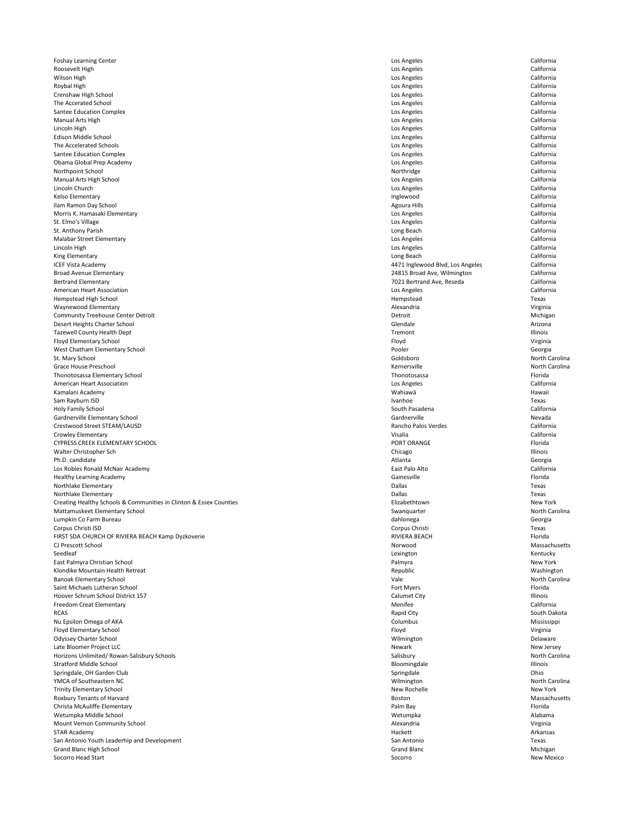Foshay Learning Center **Los Angeles** California Roosevelt High **Los Angeles** California Wilson High Los Angeles California Roybal High **Los Angeles** California Crenshaw High School California California The Accerated School **California** California Santee Education Complex California Manual Arts High Los Angeles California Lincoln High Los Angeles California Edison Middle School Los Angeles California The Accelerated Schools **Exercise California** Los Angeles Los Angeles California Santee Education Complex California Obama Global Prep Academy Los Angeles California Northpoint School **Note and Acidemic California** California Manual Arts High School California Lincoln Church Los Angeles California Kelso Elementary **Inglewood** California Ilam Ramon Day School **California** California Morris K. Hamasaki Elementary Los Angeles California St. Elmo's Village **Los Angeles** California St. Anthony Parish **Long Beach** California Malabar Street Elementary Los Angeles California Lincoln High Los Angeles California King Elementary **Long Beach** California ICEF Vista Academy 4471 Inglewood Blvd, Los Angeles California Broad Avenue Elementary 24815 Broad Ave, Wilmington California Bertrand Elementary 7021 Bertrand Ave, Reseda California American Heart Association California Hempstead High School Texas Waynewood Elementary **Alexandria** Virginia **Alexandria** Alexandria **Alexandria** Virginia Community Treehouse Center Detroit **Michigan** Michigan Community Treehouse Center Detroit **Detroit** Detroit **Detroit** Desert Heights Charter School Glendale Arizona Tazewell County Health Dept and Tremont and Tremont and Tremont and Tremont and Tremont and Tremont and Tremont Illinois Floyd Elementary School Virginia West Chatham Elementary School **Georgia** Georgia St. Mary School North Carolina (1999) and School Goldsboro Analysis of the Carolina St. Mary School North Carolina Grace House Preschool North Carolina (Grace House Preschool North Carolina North Carolina North Carolina North Carolina North Carolina (Grace House Preschool North Carolina North Carolina North Carolina North Carolina Nort Thonotosassa Elementary School **Elementary School** Florida American Heart Association **California** California Kamalani Academy Wahiawā Hawaii Sam Rayburn ISD is a common control of the control of the control of the control of the control of the control of the control of the control of the control of the control of the control of the control of the control of the Holy Family School South Pasadena California Gardnerville Elementary School Nevada Crestwood Street STEAM/LAUSD California California Crowley Elementary **California** California CYPRESS CREEK ELEMENTARY SCHOOL **External of the set of the set of the set of the set of the set of the set of the set of the set of the set of the set of the set of the set of the set of the set of the set of the set of t** Walter Christopher Sch **Chicago** Chicago Chicago Chicago Chicago Chicago Chicago Chicago Chicago Chicago Chicago Chicago Chicago Chicago Chicago Chicago Chicago Chicago Chicago Chicago Chicago Chicago Chicago Chicago Chica Ph.D. candidate **Atlanta** Georgia Georgia Los Robles Ronald McNair Academy **East Palo Alto** California Healthy Learning Academy **Gainesville** Florida **Gainesville** Gainesville **Florida** Northlake Elementary Dallas Texas Northlake Elementary Dallas Texas Creating Healthy Schools & Communities in Clinton & Essex Counties **Elizabethtown** Elizabethtown New York Mattamuskeet Elementary School **Exercise 2008** Swanquarter Swanquarter Swanquarter North Carolina Lumpkin Co Farm Bureau dahlonega Georgia Corpus Christi ISD Corpus Christi Texas FIRST SDA CHURCH OF RIVIERA BEACH Kamp Dyzkoverie **Example 2008** Note that the RIVIERA BEACH Florida

| CJ Prescott School                          | Norwood             | Massachusetts  |
|---------------------------------------------|---------------------|----------------|
| Seedleaf                                    | Lexington           | Kentucky       |
| East Palmyra Christian School               | Palmyra             | New York       |
| Klondike Mountain Health Retreat            | Republic            | Washington     |
| <b>Banoak Elementary School</b>             | Vale                | North Carolina |
| Saint Michaels Lutheran School              | Fort Myers          | Florida        |
| Hoover Schrum School District 157           | <b>Calumet City</b> | Illinois       |
| <b>Freedom Creat Elementary</b>             | Menifee             | California     |
| <b>RCAS</b>                                 | Rapid City          | South Dakota   |
| Nu Epsilon Omega of AKA                     | Columbus            | Mississippi    |
| <b>Floyd Elementary School</b>              | Floyd               | Virginia       |
| <b>Odyssey Charter School</b>               | Wilmington          | Delaware       |
| Late Bloomer Project LLC                    | Newark              | New Jersey     |
| Horizons Unlimited/Rowan-Salisbury Schools  | Salisbury           | North Carolina |
| <b>Stratford Middle School</b>              | Bloomingdale        | Illinois       |
| Springdale, OH Garden Club                  | Springdale          | Ohio           |
| YMCA of Southeastern NC                     | Wilmington          | North Carolina |
| <b>Trinity Elementary School</b>            | New Rochelle        | New York       |
| Roxbury Tenants of Harvard                  | <b>Boston</b>       | Massachusetts  |
| Christa McAuliffe Elementary                | Palm Bay            | Florida        |
| Wetumpka Middle School                      | Wetumpka            | Alabama        |
| Mount Vernon Community School               | Alexandria          | Virginia       |
| <b>STAR Academy</b>                         | Hackett             | Arkansas       |
| San Antonio Youth Leaderhip and Development | San Antonio         | Texas          |
| <b>Grand Blanc High School</b>              | <b>Grand Blanc</b>  | Michigan       |
| Socorro Head Start                          | Socorro             | New Mexico     |

| wood       |  |  |
|------------|--|--|
| ngton      |  |  |
| nyra       |  |  |
| ublic      |  |  |
|            |  |  |
| Myers      |  |  |
| met City   |  |  |
| iifee      |  |  |
| id City    |  |  |
| ımbus      |  |  |
| d          |  |  |
| nington    |  |  |
| ark        |  |  |
| bury       |  |  |
| mingdale   |  |  |
| ngdale     |  |  |
| nington    |  |  |
| / Rochelle |  |  |
| ton        |  |  |
| n Bay      |  |  |
| umpka      |  |  |
| andria     |  |  |
| kett       |  |  |
| Antonio    |  |  |
| าd Blanc   |  |  |
| erro.      |  |  |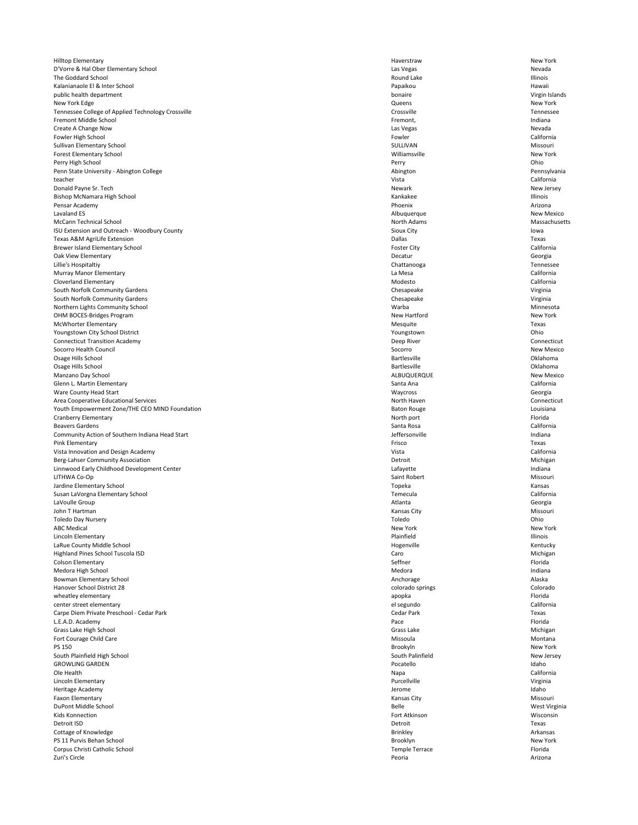Hilltop Elementary New York New York D'Vorre & Hal Ober Elementary School Nevada Nevada The Goddard School **Exercise Construction Construction** Round Lake Round Lake Round Lake Illinois Kalanianaole El & Inter School **El Australiana** Hawaii **Papaikou** Papaikou **Papaikou** Hawaii Papaikou Hawaii Papaikou Hawaii public health department Virgin Islands New York Edge Queens New York Tennessee College of Applied Technology Crossville Tennessee Fremont Middle School **Exercise School** Fremont, Fremont, Fremont, Fremont, Premont, Premont, Premont, Premont, Premont, Premont, Premont, Premont, Premont, Premont, Premont, Premont, Premont, Premont, Premont, Premont, Pr Create A Change Now **Nevada** Nevada Nevada Nevada Nevada Nevada Nevada Nevada Nevada Nevada Nevada Nevada Nevada Fowler High School **Example 20** California Sullivan Elementary School Missouri and Sullivan Elementary School Missouri Forest Elementary School Williamsville New York Perry High School Perry Ohio Penn State University - Abington College **Abington** Pennsylvania teacher Vista California Donald Payne Sr. Tech New Jersey New Jersey New Jersey New Jersey New Jersey New Jersey New Jersey New Jersey Bishop McNamara High School Namara High School Namara High School Namara Kankakee Namara High School Namara High School Namara High School Namara High School Namara High School Namara High School Namara High School Namara Pensar Academy Phoenix Arizona Lavaland ES New Mexico New Mexico New Mexico New Mexico New Mexico New Mexico McCann Technical School **Massachusetts** and the Massachusetts of the Massachusetts of the Massachusetts of the Massachusetts of the Massachusetts of the Massachusetts of the Massachusetts of the Massachusetts of the Massac ISU Extension and Outreach - Woodbury County Iowa Sioux City Sioux City Sioux City Sioux City Iowa Texas A&M AgriLife Extension Dallas Texas Brewer Island Elementary School **Elementary School** California Oak View Elementary **Georgia** Georgia Lillie's Hospitaltiy Chattanooga Tennessee Murray Manor Elementary La Mesa California Cloverland Elementary **California** California South Norfolk Community Gardens Virginia Chesapeake Chesapeake Chesapeake Virginia South Norfolk Community Gardens Virginia Chesapeake Chesapeake Chesapeake Virginia Northern Lights Community School Ninnesota **Minnesota** Minnesota OHM BOCES-Bridges Program New York McWhorter Elementary **Mesquite** Texas Youngstown City School District **National City School District** Chio Connecticut Transition Academy **Deep River** Connecticut **Deep River** Connecticut Socorro Health Council New Mexico New Mexico New Mexico Socorro Socorro New Mexico Osage Hills School **Exercise Contract Contract Contract Contract Contract Contract Contract Contract Contract Contract Contract Contract Contract Contract Contract Contract Contract Contract Contract Contract Contract Cont** Osage Hills School **Exercise Contract Contract Contract Contract Contract Contract Contract Contract Contract Contract Contract Contract Contract Contract Contract Contract Contract Contract Contract Contract Contract Cont** Manzano Day School New Mexico New Mexico ALBUQUERQUE ALBUQUERQUE New Mexico Glenn L. Martin Elementary **Santa Ana** California California Ware County Head Start Georgia Area Cooperative Educational Services North Haven Connecticut North Haven North Haven Connecticut Youth Empowerment Zone/THE CEO MIND Foundation **Baton Rouge Contract Contract CEO MIND** Foundation **Baton Rouge** Louisiana Cranberry Elementary **North port** Florida and The Term of The Second 2011 of the Second 2012 of the Second 2012 of the Second 2013 of the Second 2013 of the Second 2013 of the Second 2013 of the Second 2013 of the Second 2 Beavers Gardens **Santa Rosa** California Community Action of Southern Indiana Head Start and the Community Action of Southern Indiana Pink Elementary **Filter and the Contract Example 2** Frisco **Filter and the Contract Texas** Texas Vista Innovation and Design Academy **State California** California Berg-Lahser Community Association Michigan and Michigan Detroit Detroit Detroit Nichigan Linnwood Early Childhood Development Center **Lafayette** Lafayette Lafayette Lafayette Lafayette Lafayette Lafayette LITHWA Co-Op Saint Robert Missouri Jardine Elementary School **Exercise School** Kansas Susan LaVorgna Elementary School Temecula California LaVoulle Group **Atlanta** Georgia John T Hartman Kansas City Missouri Toledo Day Nursery Toledo Ohio ABC Medical New York New York New York New York New York New York New York New York New York Lincoln Elementary Plainfield Illinois

| LaRue County Middle School                | Hogenville            | Kentucky      |
|-------------------------------------------|-----------------------|---------------|
| Highland Pines School Tuscola ISD         | Caro                  | Michigan      |
| <b>Colson Elementary</b>                  | Seffner               | Florida       |
| Medora High School                        | Medora                | Indiana       |
| Bowman Elementary School                  | Anchorage             | Alaska        |
| Hanover School District 28                | colorado springs      | Colorado      |
| wheatley elementary                       | apopka                | Florida       |
| center street elementary                  | el segundo            | California    |
| Carpe Diem Private Preschool - Cedar Park | Cedar Park            | Texas         |
| L.E.A.D. Academy                          | Pace                  | Florida       |
| Grass Lake High School                    | Grass Lake            | Michigan      |
| Fort Courage Child Care                   | Missoula              | Montana       |
| PS 150                                    | Brookyln              | New York      |
| South Plainfield High School              | South Palinfield      | New Jersey    |
| <b>GROWLING GARDEN</b>                    | Pocatello             | Idaho         |
| Ole Health                                | Napa                  | California    |
| Lincoln Elementary                        | Purcellville          | Virginia      |
| Heritage Academy                          | Jerome                | Idaho         |
| Faxon Elementary                          | Kansas City           | Missouri      |
| DuPont Middle School                      | <b>Belle</b>          | West Virginia |
| <b>Kids Konnection</b>                    | Fort Atkinson         | Wisconsin     |
| Detroit ISD                               | Detroit               | Texas         |
| Cottage of Knowledge                      | <b>Brinkley</b>       | Arkansas      |
| PS 11 Purvis Behan School                 | Brooklyn              | New York      |
| Corpus Christi Catholic School            | <b>Temple Terrace</b> | Florida       |
| Zuri's Circle                             | Peoria                | Arizona       |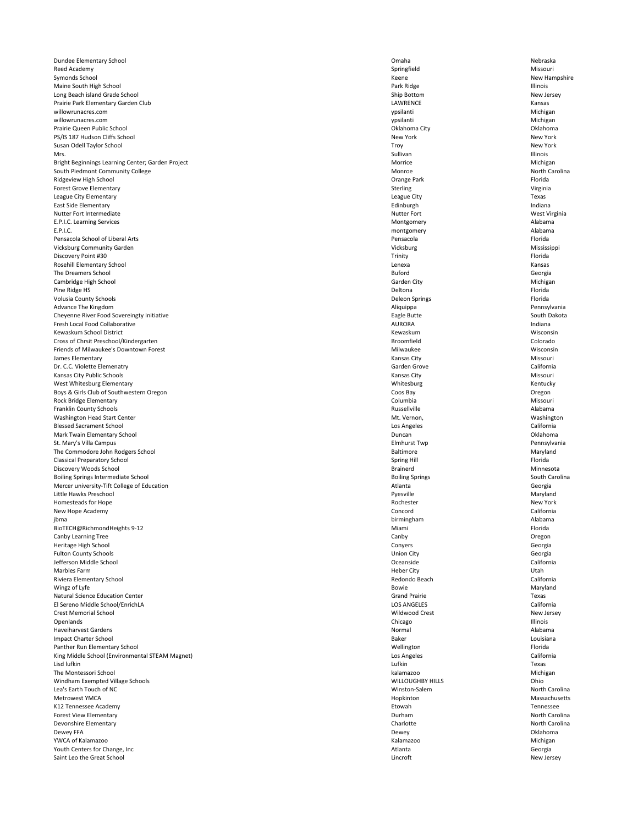Dundee Elementary School Omaha Nebraska Reed Academy **Springfield** Springfield Springfield Springfield Missouri Symonds School Keene New Hampshire Maine South High School and Maine South High School and Maine South High School and Maine South High School and Maine South High School and Maine South High School and Maine School and Maine School and Maine School and Mai Long Beach island Grade School New Jersey New Jersey Prairie Park Elementary Garden Club LAWRENCE Kansas willowrunacres.com ypsilanti Michigan willowrunacres.com ypsilanti Michigan Prairie Queen Public School Oklahoma City Oklahoma PS/IS 187 Hudson Cliffs School New York New York New York New York New York New York New York Susan Odell Taylor School New York Mrs. Sullivan Illinois Bright Beginnings Learning Center; Garden Project **Michigan** Morrice Michigan Morrice Michigan South Piedmont Community College **Monroe** and Monroe and Monroe and Monroe North Carolina Ridgeview High School Orange Park Florida Forest Grove Elementary **Sterling Step and Step and Step and Step and Step and Step and Step and Step and Step and Step and Step and Step and Step and Step and Step and Step and Step and Step and Step and Step and Step and** League City Elementary **Example 20** Texas East Side Elementary **Edinburgh** Indiana Nutter Fort Intermediate West Virginia E.P.I.C. Learning Services and the subset of the state of the Montgomery and Montgomery Alabama E.P.I.C. montgomery Alabama Pensacola School of Liberal Arts **Pensacola** Pensacola **Pensacola** Pensacola Pensacola **Pensacola** Florida Vicksburg Community Garden Nississippi Discovery Point #30 Florida Rosehill Elementary School **Elementary School** Lenexa **Kansas** Kansas Kansas Kansas Kansas Kansas Kansas Kansas Kansas Kansas Kansas Kansas Kansas Kansas Kansas Kansas Kansas Kansas Kansas Kansas Kansas Kansas Kansas Kansa The Dreamers School **Georgia** Georgia **Georgia** Buford Buford **Georgia Georgia** Georgia Cambridge High School Michigan Michigan Cambridge High School Michigan Pine Ridge HS **Share Exercise According the Contract Contract Contract Contract Contract Contract Contract Contract Contract Contract Contract Contract Contract Contract Contract Contract Contract Contract Contract Contrac** Volusia County Schools Deleon Springs Florida Advance The Kingdom **Aliquippa** Pennsylvania Cheyenne River Food Sovereingty Initiative South Dakota Eagle Butte South Dakota Eagle Butte South Dakota Fresh Local Food Collaborative **AURORA Indiana** Indiana **Indiana AURORA Indiana** Kewaskum School District Nisconsin Nisconsin Nisconsin Nisconsin Nisconsin Nisconsin Nisconsin Nisconsin Nisconsin Cross of Chrsit Preschool/Kindergarten Colorado Colorado Colorado Friends of Milwaukee's Downtown Forest **Milwaukee** Milwaukee Milwaukee Milwaukee Wisconsin James Elementary Kansas City Missouri Dr. C.C. Violette Elemenatry **California** California Kansas City Public Schools Missouri West Whitesburg Elementary **Kentucky** Kentucky Boys & Girls Club of Southwestern Oregon **Coos Coos Bay** Coos Bay Coos Bay Coos Bay Coos Bay Coos Bay Coos Bay Coos Bay Coos Bay Coos Bay Coos Bay Coos Bay Coos Bay Coos Bay Coos Bay Coos Bay Coos Bay Coos Bay Coos Bay Coo Rock Bridge Elementary **Columbia** Columbia Columbia Columbia Columbia Columbia Nissouri Franklin County Schools Alabama and Alabama and Alabama and Alabama and Alabama and Alabama and Alabama and Alabama Washington Head Start Center **Music Center Accord Accord Control** Mt. Vernon, Mt. Vernon, Mushington Blessed Sacrament School **Exercise California** Los Angeles **Los Angeles** California Mark Twain Elementary School **Exercise School** Duncan **Duncan** Duncan Duncan Oklahoma St. Mary's Villa Campus **Elmhurst Twp** Pennsylvania The Commodore John Rodgers School and The Commodore John Rodgers School and The Commodore John Rodgers School Anaryland Classical Preparatory School Spring Hill Florida Discovery Woods School Brainerd Minnesota Boiling Springs Intermediate School South Carolina and South Carolina Springs South Carolina South Carolina Mercer university-Tift College of Education Georgia Channel College of Education Atlanta Georgia Little Hawks Preschool Pyesville Maryland Homesteads for Hope New York New Hope Academy **Concord** California jbma birmingham Alabama BioTECH@RichmondHeights 9-12 Miami Florida Canby Learning Tree **Canby Canby** Canby Canby Canby Canby Canby Canby Canby Canby Canby Cregon

| Heritage High School                            | Conyers                 | Georgia        |
|-------------------------------------------------|-------------------------|----------------|
| <b>Fulton County Schools</b>                    | <b>Union City</b>       | Georgia        |
| Jefferson Middle School                         | Oceanside               | California     |
| Marbles Farm                                    | <b>Heber City</b>       | Utah           |
| Riviera Elementary School                       | Redondo Beach           | California     |
| Wingz of Lyfe                                   | <b>Bowie</b>            | Maryland       |
| <b>Natural Science Education Center</b>         | <b>Grand Prairie</b>    | Texas          |
| El Sereno Middle School/EnrichLA                | <b>LOS ANGELES</b>      | California     |
| <b>Crest Memorial School</b>                    | Wildwood Crest          | New Jersey     |
| Openlands                                       | Chicago                 | Illinois       |
| <b>Haveiharvest Gardens</b>                     | Normal                  | Alabama        |
| <b>Impact Charter School</b>                    | <b>Baker</b>            | Louisiana      |
| Panther Run Elementary School                   | Wellington              | Florida        |
| King Middle School (Environmental STEAM Magnet) | Los Angeles             | California     |
| Lisd lufkin                                     | Lufkin                  | Texas          |
| The Montessori School                           | kalamazoo               | Michigan       |
| Windham Exempted Village Schools                | <b>WILLOUGHBY HILLS</b> | Ohio           |
| Lea's Earth Touch of NC                         | Winston-Salem           | North Carolina |
| <b>Metrowest YMCA</b>                           | Hopkinton               | Massachusetts  |
| K12 Tennessee Academy                           | Etowah                  | Tennessee      |
| <b>Forest View Elementary</b>                   | Durham                  | North Carolina |
| Devonshire Elementary                           | Charlotte               | North Carolina |
| Dewey FFA                                       | Dewey                   | Oklahoma       |
| YWCA of Kalamazoo                               | Kalamazoo               | Michigan       |
| Youth Centers for Change, Inc                   | Atlanta                 | Georgia        |
| Saint Leo the Great School                      | Lincroft                | New Jersey     |

| yers          |
|---------------|
| on City       |
| anside        |
| er City       |
| ondo Beach    |
| ⁄ie           |
| nd Prairie    |
| ANGELES       |
| lwood Crest   |
| ago           |
| mal           |
| er            |
| lington       |
| Angeles       |
| in            |
| mazoo         |
| LOUGHBY HILLS |
| ston-Salem    |
| kinton        |
| wah           |
| ham           |
| rlotte        |
| ey/           |
| mazoo         |
| nta           |
| rnft.         |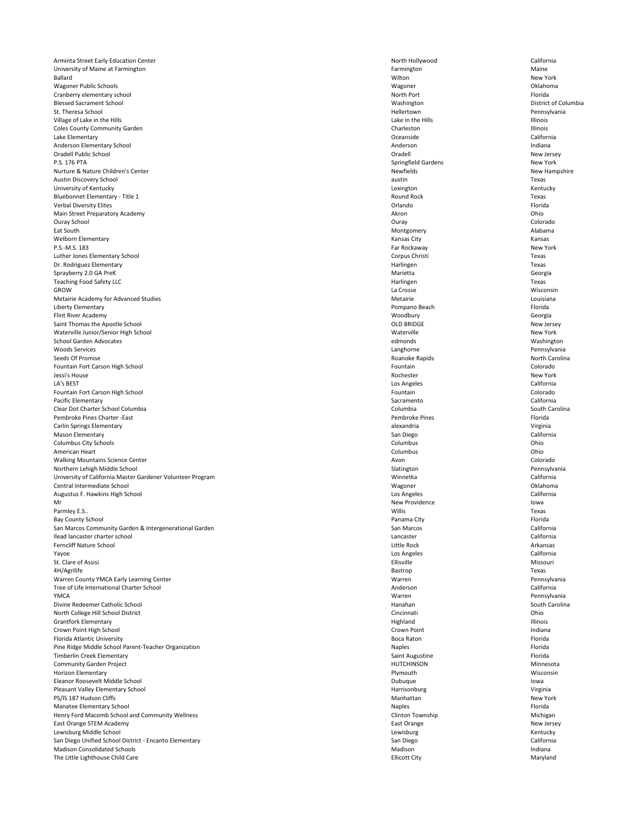Arminta Street Early Education Center **North Accord California** North Hollywood North Hollywood California University of Maine at Farmington Maine **Farmington** Farmington Farmington Farmington Maine Ballard Wilton New York Wagoner Public Schools Wagoner Oklahoma Cranberry elementary school **Example 2018** North Port **North Port** Florida Blessed Sacrament School Washington District of Columbia St. Theresa School **Exercise School** Pennsylvania Village of Lake in the Hills **Exercise 2020** Lake in the Hills **Lake in the Hills** Lake in the Hills **Illinois** Coles County Community Garden and the Charleston Charleston Charleston Charleston Charleston Illinois Lake Elementary Oceanside California Anderson Elementary School and a structure of the structure of the Anderson Anderson and Anderson and Indiana Oradell Public School Oradell New Jersey P.S. 176 PTA Springfield Gardens New York Nurture & Nature Children's Center **New Hampshire** New Hampshire New Hampshire New Hampshire Austin Discovery School austin Texas University of Kentucky **Reserves and Serversity of Kentucky** Lexington **Channel Communist Communist Channel Communist Communist Communist Communist Communist Communist Communist Communist Communist Communist Communist Comm** Bluebonnet Elementary - Title 1 Texas Verbal Diversity Elites **Exercise Contract Contract Contract Contract Contract Contract Contract Contract Contract Contract Contract Contract Contract Contract Contract Contract Contract Contract Contract Contract Contract** Main Street Preparatory Academy **According to the Contract Contract Contract Contract Contract Contract Contract Contract Contract Contract Contract Contract Contract Contract Contract Contract Contract Contract Contract C** Ouray School Ouray Colorado Eat South Montgomery Alabama Welborn Elementary **Kansas City** Kansas City **Kansas City** Kansas City Kansas City Kansas City Kansas City Kansas P.S.-M.S. 183 Far Rockaway New York Luther Jones Elementary School Corpus Christi Texas Dr. Rodriguez Elementary **Example 2008** Texas Sprayberry 2.0 GA PreK Georgia Georgia Communication of the Marietta Communication of the Georgia Teaching Food Safety LLC **Texas** Texas GROW La Crosse Wisconsin Metairie Academy for Advanced Studies and Studies and Studies and Studies and Studies and Studies and Studies and Studies and Studies and Studies and Studies and Studies and Studies and Studies and Studies and Studies and Liberty Elementary **Pompano Beach** Florida Flint River Academy **Georgia** Georgia Saint Thomas the Apostle School New Jersey New Jersey New Jersey New Jersey New Jersey New Jersey New Jersey New Jersey Waterville Junior/Senior High School New York School Garden Advocates **Edmonds** Washington edmonds edmonds Washington Woods Services Langhorne Pennsylvania Seeds Of Promise North Carolina Roanoke Rapids North Carolina Roanoke Rapids North Carolina Fountain Fort Carson High School **Exercise Colorado** Fountain **Fountain** Colorado Jessi's House Rochester New York LA's BEST Examples California Fountain Fort Carson High School **Colorado** Colorado **Fountain** Colorado **Fountain** Colorado Pacific Elementary **Sacramento** California Clear Dot Charter School Columbia Columbia South Carolina Pembroke Pines Charter -East Florida Carlin Springs Elementary alexandria Virginia Mason Elementary **San Diego** California Columbus City Schools **Columbus** Columbus City Schools **Columbus** Columbus Columbus City Schools **Columbus** Chio American Heart **Exercise Columbus** Columbus Columbus Columbus Columbus Columbus Columbus Columbus Columbus Columbus Walking Mountains Science Center **Avon** Colorado **Colorado Colorado Colorado Colorado Colorado Colorado Colorado Colorado Colorado Colorado Colorado Colorado Colorado Colorado Colorado Colorad** Northern Lehigh Middle School **Exercise 2018** Slatington Slatington Slatington Pennsylvania University of California Master Gardener Volunteer Program Number 2008 and 2008 and 2008 and 2008 and 2008 and 2008 and 2008 and 2008 and 2008 and 2008 and 2008 and 2008 and 2008 and 2008 and 2008 and 2008 and 2008 and 200 Central Intermediate School and Communication of the Central Intermediate School Chanoma Augustus F. Hawkins High School **California** California Mr New Providence New Providence New Providence Parmley E.S.. Willis Texas Bay County School **Example 20** Florida **Panama City Panama City Panama City Panama City Panama City Panama City** San Marcos Community Garden & Intergenerational Garden San Marcos San Marcos California Ilead lancaster charter school Lancaster California

| <b>Ferncliff Nature School</b>                         | Little Rock             | Arkansas        |
|--------------------------------------------------------|-------------------------|-----------------|
| Yayoe                                                  | Los Angeles             | California      |
| St. Clare of Assisi                                    | Ellisville              | Missouri        |
| 4H/Agrilife                                            | Bastrop                 | Texas           |
| Warren County YMCA Early Learning Center               | Warren                  | Pennsylvania    |
| Tree of Life International Charter School              | Anderson                | California      |
| <b>YMCA</b>                                            | Warren                  | Pennsylvania    |
| Divine Redeemer Catholic School                        | Hanahan                 | South Carolina  |
| North College Hill School District                     | Cincinnati              | Ohio            |
| <b>Grantfork Elementary</b>                            | Highland                | <b>Illinois</b> |
| Crown Point High School                                | Crown Point             | Indiana         |
| Florida Atlantic University                            | <b>Boca Raton</b>       | Florida         |
| Pine Ridge Middle School Parent-Teacher Organization   | <b>Naples</b>           | Florida         |
| <b>Timberlin Creek Elementary</b>                      | Saint Augustine         | Florida         |
| <b>Community Garden Project</b>                        | <b>HUTCHINSON</b>       | Minnesota       |
| Horizon Elementary                                     | Plymouth                | Wisconsin       |
| Eleanor Roosevelt Middle School                        | Dubuque                 | lowa            |
| Pleasant Valley Elementary School                      | Harrisonburg            | Virginia        |
| PS/IS 187 Hudson Cliffs                                | Manhattan               | New York        |
| Manatee Elementary School                              | <b>Naples</b>           | Florida         |
| Henry Ford Macomb School and Community Wellness        | <b>Clinton Township</b> | Michigan        |
| East Orange STEM Academy                               | East Orange             | New Jersey      |
| Lewisburg Middle School                                | Lewisburg               | Kentucky        |
| San Diego Unified School District - Encanto Elementary | San Diego               | California      |
| <b>Madison Consolidated Schools</b>                    | Madison                 | Indiana         |
| The Little Lighthouse Child Care                       | <b>Ellicott City</b>    | Maryland        |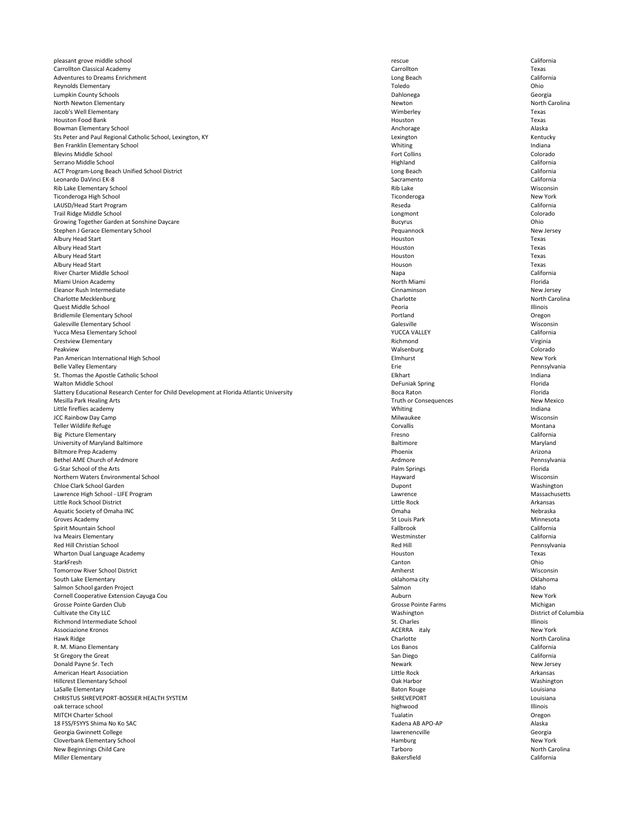pleasant grove middle school and the california california california california Carrollton Classical Academy Carrollton Texas Adventures to Dreams Enrichment California Reynolds Elementary Toledo Ohio Lumpkin County Schools Dahlonega Georgia North Newton Elementary **Newton** Newton Newton Newton Newton Newton Newton North Carolina Jacob's Well Elementary Wimberley Texas Houston Food Bank Texas Bowman Elementary School and a state of the state of the Alaska Alaska Anchorage Alaska Alaska Alaska Alaska Sts Peter and Paul Regional Catholic School, Lexington, KY **Lexington** Kentucky Rentucky Rentucky Ben Franklin Elementary School and a state of the state of the state of the United States of the United States of the United States of the United States of the United States of the United States of the United States of the Blevins Middle School **Example 20** Colorado **Fort Collins** Colorado **Fort Collins** Colorado Serrano Middle School **Exercise California** California and Serrano Middle School California ACT Program-Long Beach Unified School District **Long Act and Act and Act and Act and Act and Act and Act and Act and Act and Act and Act and Act and Act and Act and Act and Act and Act and Act and Act and Act and Act and A** Leonardo DaVinci EK-8 California Rib Lake Elementary School Wisconsin Number of the Constant of the Constant of the Constant of the Constant of the Constant of the Constant of the Constant of the Constant of the Constant of the Constant of the Constant of Ticonderoga High School Ticonderoga New York LAUSD/Head Start Program Reseda California Trail Ridge Middle School **Colorado** Colorado Colorado Colorado Colorado Colorado Colorado Colorado Colorado Colorado Growing Together Garden at Sonshine Daycare **Bucyrus** Ohio Stephen J Gerace Elementary School New Jersey New Jersey New Jersey Pequannock New Jersey Albury Head Start **Albury Head Start Albury Houston** Texas Albury Head Start **Albury Head Start Albury Houston** Texas Albury Head Start **Albury Head Start Albury Houston** Texas Albury Head Start **Albury Head Start Albury Houson** Texas River Charter Middle School **Exercise School** and School and School Napa California Miami Union Academy **North Miami** Florida and The Term of The Term of The North Miami Florida and The Term of The Term of The Term of The Term of The Term of The Term of The Term of The Term of The Term of The Term of The Eleanor Rush Intermediate Cinnaminson New Jersey Charlotte Mecklenburg Charlotte North Carolina Quest Middle School Peoria Illinois Bridlemile Elementary School **Elementary School** Cregon Galesville Elementary School Nisconsin<br>
Salesville Nucca Mesa Elementary School Nisconsin<br>
Salesville Mucca Mesa Elementary School California Yucca Mesa Elementary School YUCCA VALLEY California Crestview Elementary **Richmond Crestview Elementary Virginia** Peakview Walsenburg Colorado **Pan American International High School School Elmhurst New York New York New York** New York Belle Valley Elementary Erie Pennsylvania St. Thomas the Apostle Catholic School **Elkhart** and Elkhart **Indiana** Elkhart **Indiana** Walton Middle School **Exercise School** Provides and Security DeFuniak Spring Provides and Security Provides and Security Provides and DeFuniak Spring Provides and Security Provides and Security Provides and Security Provid Slattery Educational Research Center for Child Development at Florida Atlantic University **Boca Raton** Boca Raton Florida Mesilla Park Healing Arts New Mexico New Mexico New Mexico New Mexico New Mexico Little fireflies academy **Indiana** Indiana Indiana Indiana Indiana Indiana Indiana Indiana Indiana Indiana Indiana JCC Rainbow Day Camp Milwaukee Milwaukee Milwaukee Milwaukee Milwaukee Milwaukee Milwaukee Milwaukee Milwaukee Milwaukee Milwaukee Milwaukee Milwaukee Milwaukee Milwaukee Milwaukee Milwaukee Milwaukee Milwaukee Milwaukee M Teller Wildlife Refuge Corvallis Montana Big Picture Elementary **Fresno** California University of Maryland Baltimore Maryland Saltimore and the Maryland Baltimore and Baltimore Maryland Maryland Biltmore Prep Academy Phoenix Arizona Bethel AME Church of Ardmore **Arthur Pennsylvania** and the Second Ardmore Ardmore Ardmore Pennsylvania G-Star School of the Arts Florida and Springs Florida and Springs Florida and Springs Florida and Springs Florida and Springs Florida and Springs Florida and Springs Florida and Springs Florida and Springs Florida and Spri Northern Waters Environmental School Wisconsin Northern Waters Environmental School Wisconsin Chloe Clark School Garden **Washington** Washington **Dupont** Dupont **Dupont** Washington **Washington** Lawrence High School - LIFE Program Lawrence Massachusetts Little Rock School District Arkansas Aquatic Society of Omaha INC **Nebraska** Nebraska Inc. The Society of Omaha Nebraska Inc. In the Nebraska Inc. Inc. Nebraska Groves Academy **St Louis Park Minnesota** St Louis Park St Louis Park Minnesota Spirit Mountain School California Iva Meairs Elementary Westminster California Red Hill Christian School Red Hill Pennsylvania Wharton Dual Language Academy **Texas** Texas StarkFresh Canton Ohio Tomorrow River School District Amherst Wisconsin South Lake Elementary **Supervisors and South Lake Elementary** Oklahoma city **Oklahoma city** Oklahoma city Oklahoma city Salmon School garden Project and the same of the same of the same of the Salmon Salmon Idaho Cornell Cooperative Extension Cayuga Cou and the state of the state of the state of the state of the State of the State of the State of the State of the State of the State of the State of the State of the State of the Stat Grosse Pointe Garden Club **Grosse Pointe Garden Club** Michigan Michigan Grosse Pointe Farms **Grosse Pointe Farms** Cultivate the City LLC **Example 2018** Cultivate the City LLC District of Columbia Richmond Intermediate School **Exercise 2018** St. Charles St. Charles St. Charles Illinois Associazione Kronos New York **ACERRA** italy New York Hawk Ridge **North Carolina** Charlotte **Charlotte** Charlotte **North Carolina** R. M. Miano Elementary **California** California St Gregory the Great **San Diego California** California Donald Payne Sr. Tech Newark New Jersey American Heart Association and the Second Arkansas and Arkansas and Arkansas and Little Rock and Arkansas and Arkansas Hillcrest Elementary School Oak Harbor Washington LaSalle Elementary **Baton Rouge Louisiana** Louisiana Louisiana Louisiana Louisiana CHRISTUS SHREVEPORT-BOSSIER HEALTH SYSTEM **SHREVEPORT** SHREVEPORT SHREVEPORT **SHREVEPORT** oak terrace school highwood Illinois MITCH Charter School **Exercise Contract Contract Contract Contract Contract Contract Contract Contract Contract Contract Contract Contract Contract Contract Contract Contract Contract Contract Contract Contract Contract Co** 18 FSS/FSYYS Shima No Ko SAC **Alaska** Alaska AB APO-AP **Alaska** Kadena AB APO-AP Alaska Georgia Gwinnett College and Georgia College and Georgia College and Georgia College and Georgia College and Georgia Cloverbank Elementary School New York **Elementary School** Hamburg New York **Hamburg** New York **Hamburg** New York New Beginnings Child Care **North Carolina North Carolina Tarboro** Tarboro **North Carolina** Miller Elementary Bakersfield California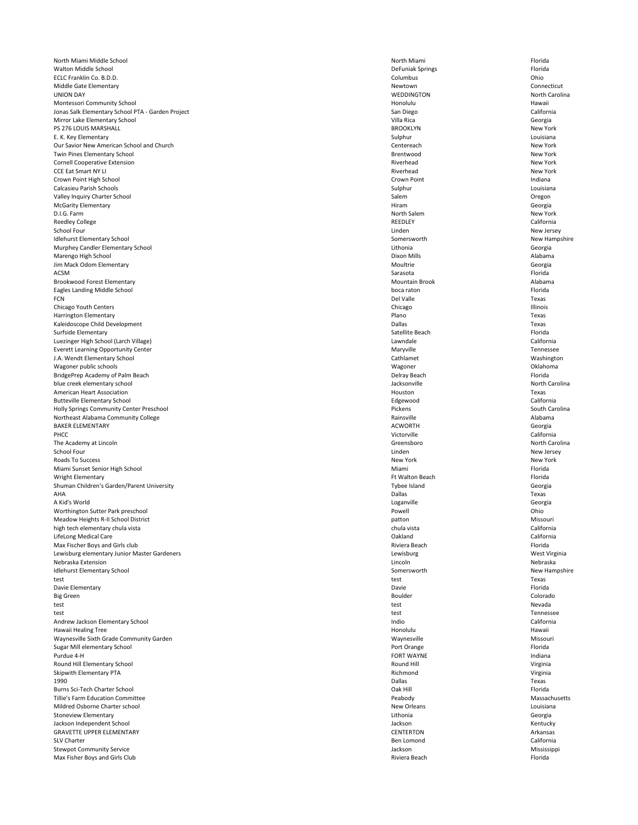North Miami Middle School **Exercise School** Plorida **North Miami** North Miami **Florida** Walton Middle School DeFuniak Springs Florida ECLC Franklin Co. B.D.D. Columbus Ohio Middle Gate Elementary **Newtown** Connecticut UNION DAY WEDDINGTON North Carolina Montessori Community School Honolulu Hawaii Jonas Salk Elementary School PTA - Garden Project **San Diego** San Diego San Diego California Mirror Lake Elementary School Villa Rica Georgia PS 276 LOUIS MARSHALL BROOKLYN New York E. K. Key Elementary **Sulphur** Louisiana and the substitution of the Sulphur Sulphur Louisiana and the substitution of the substitution of the substitution of the substitution of the substitution of the substitution of the Our Savior New American School and Church **New York** Centereach Centereach **Centereach** New York Twin Pines Elementary School New York **New York and School School Brentwood** Brentwood New York New York Cornell Cooperative Extension New York **Cornell Cooperative Extension** Riverhead New York CCE Eat Smart NY LI **Riverhead** New York Riverhead Riverhead Riverhead New York Crown Point High School Crown Point Indiana Calcasieu Parish Schools Sulphur Louisiana Valley Inquiry Charter School **Charter School** Cregon Creater and Salem Creater and Salem Creater and Salem Creater and Salem Creater and Salem Creater and Salem Creater and Salem Creater and Salem Creater and Salem Create McGarity Elementary **Elementary** Georgia D.I.G. Farm New York New York New York Reedley College **Reedley College** California School Four which is a set of the set of the set of the set of the set of the set of the New Jersey New Jersey Idlehurst Elementary School New Hampshire Somersworth Somersworth New Hampshire Murphey Candler Elementary School **Candler Candidates and Canadian Canadian Canadian Canadian Canadian Canadian Canadian Canadian Canadian Canadian Canadian Canadian Canadian Canadian Canadian Canadian Canadian Canadian Ca** Marengo High School Dixon Mills Alabama Jim Mack Odom Elementary **Moultrie** Georgia ACSM Sarasota Florida Brookwood Forest Elementary **Music Alabama** Mountain Brook **Music Alabama** Mountain Brook Alabama Eagles Landing Middle School boca raton Florida FCN Del Valle Texas Chicago Youth Centers **Chicago Illinois** Chicago Chicago Chicago Chicago Chicago Illinois Harrington Elementary **Example 2018** Texas **Plano** Plano **Plano** Plano Kaleidoscope Child Development Dallas Texas Surfside Elementary **Surfside Elementary Surfside Elementary** Satellite Beach Florida Luezinger High School (Larch Village) Lawndale California Everett Learning Opportunity Center **Maryon Controllers and Controllers** Maryville Maryville Tennessee J.A. Wendt Elementary School Cathlamet Washington Wagoner public schools Wagoner Oklahoma BridgePrep Academy of Palm Beach Florida **BridgePrep Academy of Palm Beach** Florida blue creek elementary school and a series of the Carolina Jacksonville and a series of the North Carolina American Heart Association Texas Butteville Elementary School Edgewood California Holly Springs Community Center Preschool **Exercise 2008** Pickens Pickens South Carolina Northeast Alabama Community College **Rainsville** Alabama Rainsville **Rainsville** Alabama Rainsville Alabama Rainsville BAKER ELEMENTARY Georgia PHCC Victorville California The Academy at Lincoln North Carolina and Science of the Carolina Greensboro North Carolina School Four which is a set of the set of the set of the set of the set of the set of the set of the New Jersey Roads To Success New York New York New York New York New York New York New York New York New York New York New York Miami Sunset Senior High School **Exercise Senior High School** Florida Wright Elementary **Fig. 2008** For the extension of the Seach Florida **Fig. 2008** Ft Walton Beach Florida Shuman Children's Garden/Parent University The Contract of the Contract of the Contract of Tybee Island Georgia AHA Dallas Texas A Kid's World Loganville Georgia Worthington Sutter Park preschool and the control of the Chinese Powell and Powell and Powell control of the Chinese Chinese Chinese Chinese Chinese Chinese Chinese Chinese Chinese Chinese Chinese Chinese Chinese Chinese C Meadow Heights R-II School District Missouri and the Missouri patton and the Missouri patton Missouri patton Missouri high tech elementary chula vista chula vista California LifeLong Medical Care **California** California

|                    | Florida       |
|--------------------|---------------|
| Lewisburg          | West Virginia |
| Lincoln            | Nebraska      |
| Somersworth        | New Hampshire |
| test               | Texas         |
| Davie              | Florida       |
| <b>Boulder</b>     | Colorado      |
| test               | Nevada        |
| test               | Tennessee     |
| Indio              | California    |
| Honolulu           | Hawaii        |
| Waynesville        | Missouri      |
| Port Orange        | Florida       |
| <b>FORT WAYNE</b>  | Indiana       |
| Round Hill         | Virginia      |
| Richmond           | Virginia      |
| <b>Dallas</b>      | Texas         |
| Oak Hill           | Florida       |
| Peabody            | Massachusetts |
| <b>New Orleans</b> | Louisiana     |
| Lithonia           | Georgia       |
| Jackson            | Kentucky      |
| <b>CENTERTON</b>   | Arkansas      |
| Ben Lomond         | California    |
| Jackson            | Mississippi   |
| Riviera Beach      | Florida       |
|                    | Riviera Beach |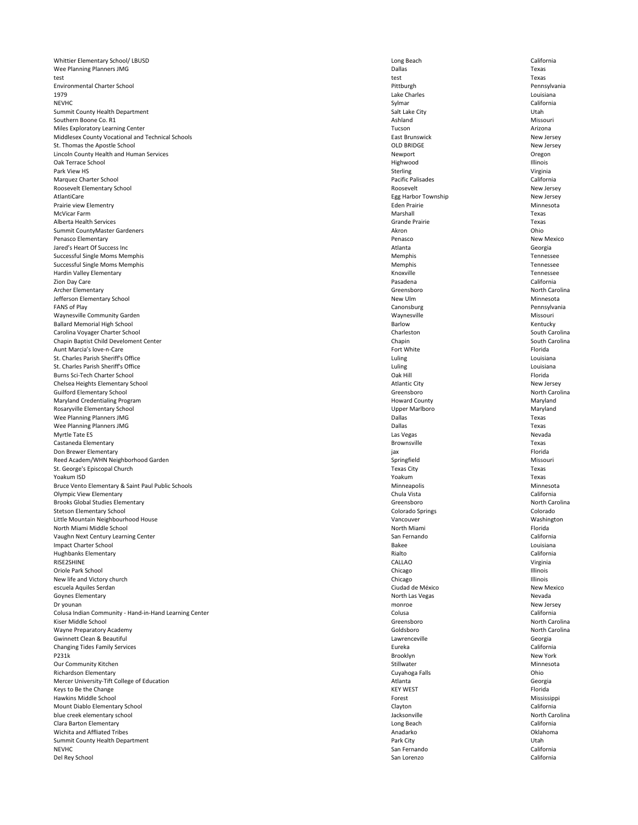Whittier Elementary School/ LBUSD California Wee Planning Planners JMG **Dallas** Texas test test Texas Environmental Charter School Pittburgh Pennsylvania 1979 Lake Charles Louisiana NEVHC Sylmar California Summit County Health Department Utah Southern Boone Co. R1 **Ashland** Missouri Missouri Missouri Ashland Missouri Ashland Missouri Ashland Missouri Ashland Missouri Ashland Missouri Ashland Missouri Ashland Missouri Ashland Missouri Ashland Missouri Ashland Mi Miles Exploratory Learning Center **Arizona** Arizona and Arizona and Arizona and Arizona and Arizona and Arizona and Arizona and Arizona and Arizona and Arizona and Arizona and Arizona and Arizona and Arizona and Arizona an Middlesex County Vocational and Technical Schools **East Brunswick** East Brunswick New Jersey St. Thomas the Apostle School New Jersey Lincoln County Health and Human Services **Newport** 2012 **Community Community Community Community Community Community Community Community Community Community Community Community Community Community Community Community Commu** Oak Terrace School Highwood Illinois Park View HS Sterling Sterling Sterling Sterling Sterling Sterling Sterling Sterling Sterling Sterling Sterling Sterling Sterling Sterling Sterling Sterling Sterling Sterling Sterling Sterling Sterling Sterling Sterling St Marquez Charter School Pacific Palisades California Roosevelt Elementary School New Jersey New Jersey (New Jersey New Jersey New Jersey New Jersey New Jersey New Jersey AtlantiCare **Egg Harbor Township** Egg Harbor Township New Jersey Prairie view Elementry **Eden Prairie** Channesota **Eden Prairie** Eden Prairie **Minnesota** McVicar Farm **Marshall** Texas Alberta Health Services Grande Prairie Texas Summit CountyMaster Gardeners **Akron** Ohio Penasco Elementary **New Mexico** New Mexico Jared's Heart Of Success Inc Atlanta Georgia Successful Single Moms Memphis Tennessee Successful Single Moms Memphis Tennessee Hardin Valley Elementary Tennessee Zion Day Care Pasadena California Archer Elementary **Greensboro Greensboro Greensboro Greensboro North Carolina** Jefferson Elementary School New Ulm Minnesota FANS of Play **State Canonsburg Canonsburg Canonsburg Pennsylvania** Waynesville Community Garden Missouri Nissouri Nissouri Nissouri Nissouri Nissouri Nissouri Nissouri Nissouri Ballard Memorial High School Kentucky Carolina Voyager Charter School South Carolina Charleston Charleston South Carolina Chapin Baptist Child Develoment Center Chapin South Carolina Chapin South Carolina Chapin South Carolina Chapin South Carolina Aunt Marcia's love-n-Care **Fort School Controllering and School Controllering Controllering Controllering Controllering Controllering Florida Florida Provide Florida Provide Florida Provide Florida Provide Florida Provide** St. Charles Parish Sheriff's Office Louisiana Louisiana Luling Louisiana Luling Louisiana St. Charles Parish Sheriff's Office Louisiana Louisiana Luling Louisiana Luling Louisiana Burns Sci-Tech Charter School Florida Chelsea Heights Elementary School New Jersey New Jersey Guilford Elementary School Greensboro North Carolina Maryland Credentialing Program Naryland County Naryland Howard County Naryland Maryland Rosaryville Elementary School Maryland Wee Planning Planners JMG Texas Wee Planning Planners JMG Texas Myrtle Tate ES Nevada Castaneda Elementary **Brownsville** Texas Don Brewer Elementary **Elementary** Florida Reed Academ/WHN Neighborhood Garden Missouri and Springfield Springfield Springfield Missouri St. George's Episcopal Church Texas City Texas City Texas City Texas City Texas City Texas City Texas City Texas Yoakum ISD Yoakum Texas Bruce Vento Elementary & Saint Paul Public Schools and Schools and Schools and Schools Minneapolis Minnesota Minnesota Olympic View Elementary Chula Vista California Brooks Global Studies Elementary **Greensboro** Greensboro **Greensboro** North Carolina Stetson Elementary School **Elementary School** Colorado Springs Colorado Springs Colorado Springs Colorado Springs Colorado Springs Colorado Springs Colorado Springs Colorado Springs Colorado Springs Colorado Springs Colora Little Mountain Neighbourhood House Vancouver Washington North Miami Middle School **Exercise School** Plorida and North Miami Research of the School Plorida Vaughn Next Century Learning Center California California California California

| <b>Impact Charter School</b>                           | <b>Bakee</b>     | Louisiana         |
|--------------------------------------------------------|------------------|-------------------|
| <b>Hughbanks Elementary</b>                            | Rialto           | California        |
| RISE2SHINE                                             | <b>CALLAO</b>    | Virginia          |
| Oriole Park School                                     | Chicago          | <b>Illinois</b>   |
| New life and Victory church                            | Chicago          | Illinois          |
| escuela Aquiles Serdan                                 | Ciudad de México | <b>New Mexico</b> |
| <b>Goynes Elementary</b>                               | North Las Vegas  | Nevada            |
| Dr younan                                              | monroe           | New Jersey        |
| Colusa Indian Community - Hand-in-Hand Learning Center | Colusa           | California        |
| Kiser Middle School                                    | Greensboro       | North Carolina    |
| Wayne Preparatory Academy                              | Goldsboro        | North Carolina    |
| <b>Gwinnett Clean &amp; Beautiful</b>                  | Lawrenceville    | Georgia           |
| <b>Changing Tides Family Services</b>                  | Eureka           | California        |
| P231k                                                  | Brooklyn         | New York          |
| Our Community Kitchen                                  | Stillwater       | Minnesota         |
| Richardson Elementary                                  | Cuyahoga Falls   | Ohio              |
| Mercer University-Tift College of Education            | Atlanta          | Georgia           |
| Keys to Be the Change                                  | <b>KEY WEST</b>  | Florida           |
| Hawkins Middle School                                  | Forest           | Mississippi       |
| Mount Diablo Elementary School                         | Clayton          | California        |
| blue creek elementary school                           | Jacksonville     | North Carolina    |
| Clara Barton Elementary                                | Long Beach       | California        |
| Wichita and Affliated Tribes                           | Anadarko         | Oklahoma          |
| <b>Summit County Health Department</b>                 | Park City        | Utah              |
| <b>NEVHC</b>                                           | San Fernando     | California        |
| Del Rey School                                         | San Lorenzo      | California        |
|                                                        |                  |                   |

| cee             |  |
|-----------------|--|
| lto             |  |
| LLAO            |  |
| cago            |  |
| cago            |  |
| dad de México   |  |
| rth Las Vegas   |  |
| nroe            |  |
| usa             |  |
| ensboro:        |  |
| dsboro          |  |
| vrenceville     |  |
| eka             |  |
| oklyn           |  |
| lwater          |  |
| ahoga Falls     |  |
| anta            |  |
| WEST            |  |
| est             |  |
| yton            |  |
| ksonville       |  |
| ng Beach        |  |
| adarko          |  |
| k City          |  |
| <b>Fernando</b> |  |
| ı Lorenzo       |  |